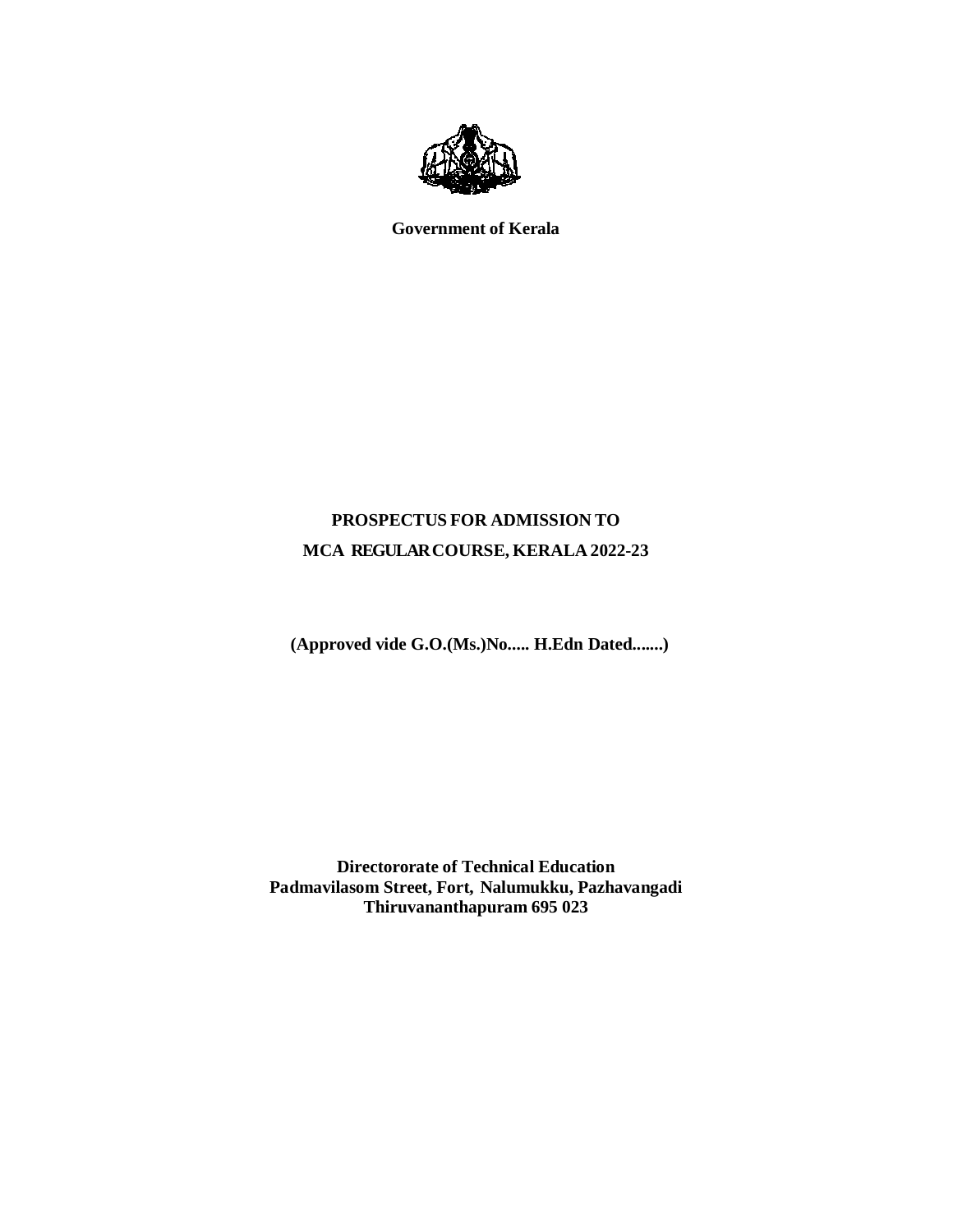

**Government of Kerala**

# **PROSPECTUS FOR ADMISSION TO MCA REGULAR COURSE, KERALA 2022-23**

**(Approved vide G.O.(Ms.)No..... H.Edn Dated.......)**

**Directororate of Technical Education Padmavilasom Street, Fort, Nalumukku, Pazhavangadi Thiruvananthapuram 695 023**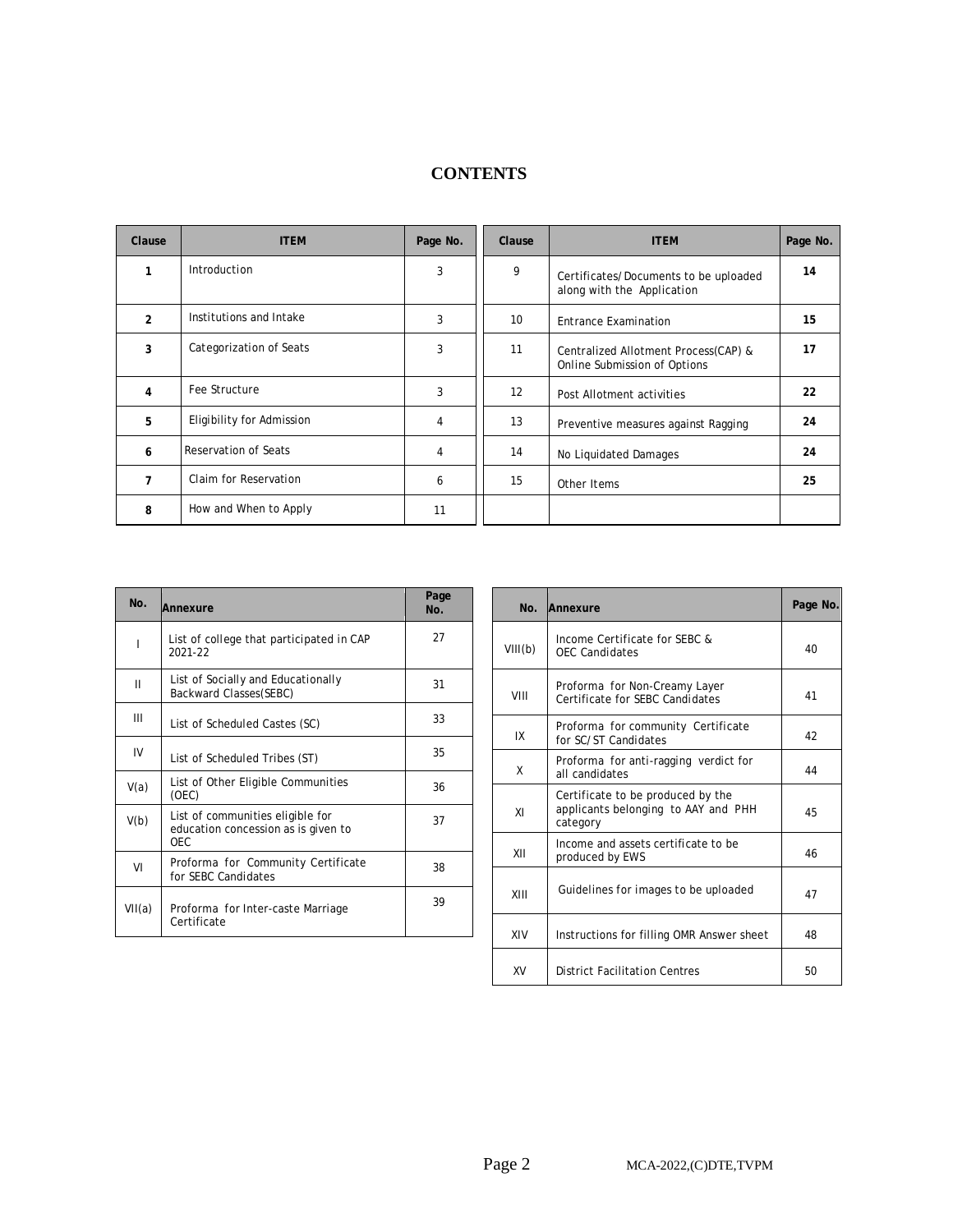| Clause         | <b>ITEM</b>               | Page No. | Clause          | <b>ITEM</b>                                                          | Page No. |
|----------------|---------------------------|----------|-----------------|----------------------------------------------------------------------|----------|
| 1              | Introduction              | 3        | 9               | Certificates/Documents to be uploaded<br>along with the Application  | 14       |
| $\overline{2}$ | Institutions and Intake   | 3        | 10 <sup>°</sup> | <b>Entrance Examination</b>                                          | 15       |
| 3              | Categorization of Seats   | 3        | 11              | Centralized Allotment Process(CAP) &<br>Online Submission of Options | 17       |
| 4              | Fee Structure             | 3        | 12              | Post Allotment activities                                            | 22       |
| 5              | Eligibility for Admission | 4        | 13              | Preventive measures against Ragging                                  | 24       |
| 6              | Reservation of Seats      | 4        | 14              | No Liquidated Damages                                                | 24       |
| $\overline{ }$ | Claim for Reservation     | 6        | 15              | Other Items                                                          | 25       |
| 8              | How and When to Apply     | 11       |                 |                                                                      |          |

# **CONTENTS**

| No.    | Annexure                                                                              | Page<br>No. |
|--------|---------------------------------------------------------------------------------------|-------------|
| I      | List of college that participated in CAP<br>2021-22                                   | 27          |
| Ш      | List of Socially and Educationally<br>Backward Classes(SEBC)                          | 31          |
| Ш      | List of Scheduled Castes (SC)                                                         | 33          |
| IV     | List of Scheduled Tribes (ST)                                                         | 35          |
| V(a)   | List of Other Eligible Communities<br>(OEC)                                           | 36          |
| V(b)   | List of communities eligible for<br>education concession as is given to<br><b>OEC</b> | 37          |
| VI     | Proforma for Community Certificate<br>for SEBC Candidates                             | 38          |
| VII(a) | Proforma for Inter-caste Marriage<br>Certificate                                      | 39          |

| No.     | Annexure                                                                             | Page No. |
|---------|--------------------------------------------------------------------------------------|----------|
| VIII(b) | Income Certificate for SEBC &<br><b>OEC Candidates</b>                               | 40       |
| VIII    | Proforma for Non-Creamy Layer<br>Certificate for SFBC Candidates                     | 41       |
| IX      | Proforma for community Certificate<br>for SC/ST Candidates                           | 42       |
| X       | Proforma for anti-ragging verdict for<br>all candidates                              | 44       |
| ΧI      | Certificate to be produced by the<br>applicants belonging to AAY and PHH<br>category | 45       |
| XII     | Income and assets certificate to be<br>produced by EWS                               | 46       |
| XIII    | Guidelines for images to be uploaded                                                 | 47       |
| XIV     | Instructions for filling OMR Answer sheet                                            | 48       |
| XV      | <b>District Facilitation Centres</b>                                                 | 50       |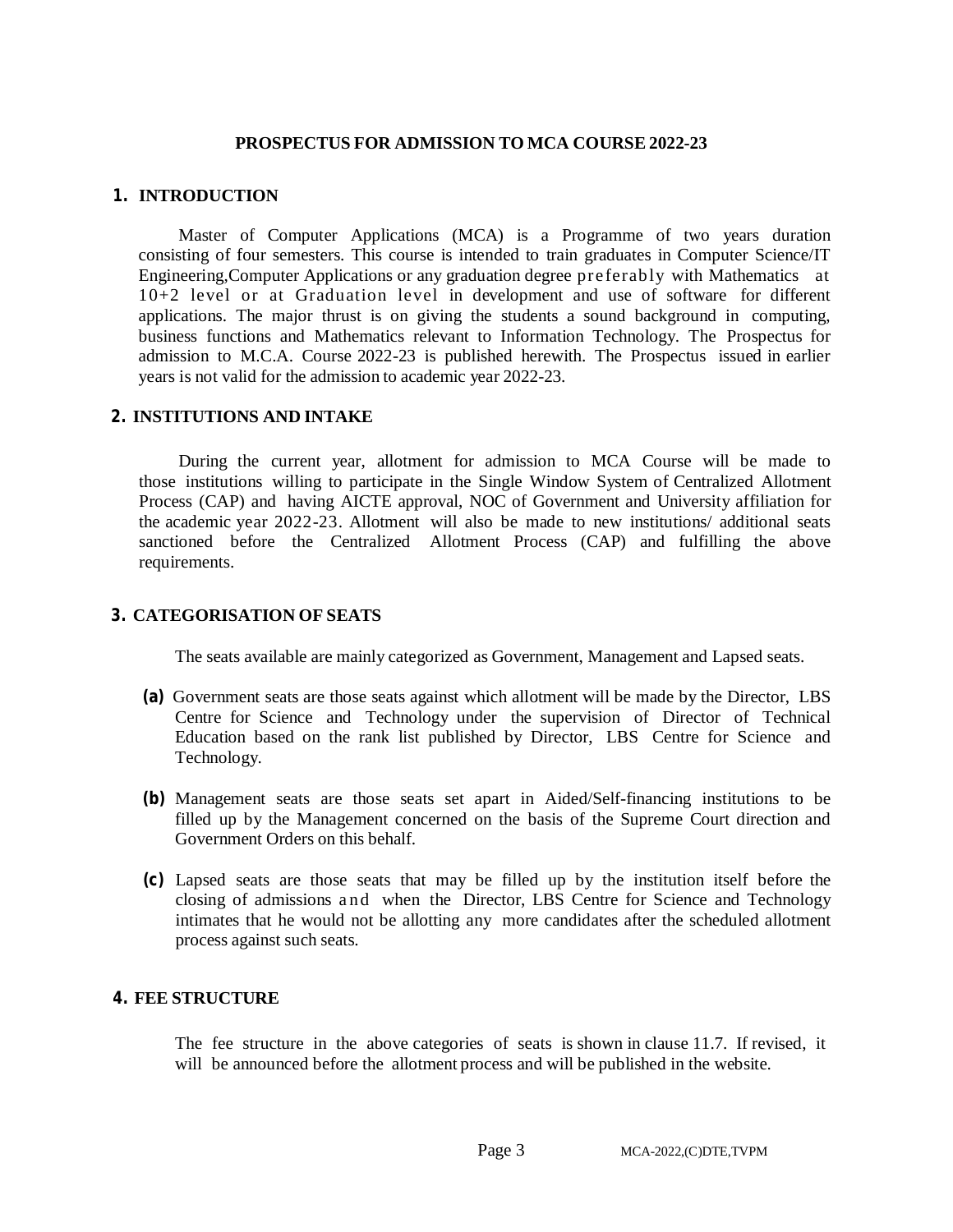#### **PROSPECTUS FOR ADMISSION TO MCA COURSE2022-23**

#### **1. INTRODUCTION**

Master of Computer Applications (MCA) is a Programme of two years duration consisting of four semesters. This course is intended to train graduates in Computer Science/IT Engineering,Computer Applications or any graduation degree preferably with Mathematics at 10+2 level or at Graduation level in development and use of software for different applications. The major thrust is on giving the students a sound background in computing, business functions and Mathematics relevant to Information Technology. The Prospectus for admission to M.C.A. Course 2022-23 is published herewith. The Prospectus issued in earlier years is not valid for the admission to academic year 2022-23.

#### **2. INSTITUTIONS AND INTAKE**

During the current year, allotment for admission to MCA Course will be made to those institutions willing to participate in the Single Window System of Centralized Allotment Process (CAP) and having AICTE approval, NOC of Government and University affiliation for the academic year 2022-23. Allotment will also be made to new institutions/ additional seats sanctioned before the Centralized Allotment Process (CAP) and fulfilling the above requirements.

#### **3. CATEGORISATION OF SEATS**

The seats available are mainly categorized as Government, Management and Lapsed seats.

- **(a)** Government seats are those seats against which allotment will be made by the Director, LBS Centre for Science and Technology under the supervision of Director of Technical Education based on the rank list published by Director, LBS Centre for Science and Technology.
- **(b)** Management seats are those seats set apart in Aided/Self-financing institutions to be filled up by the Management concerned on the basis of the Supreme Court direction and Government Orders on this behalf.
- **(c)** Lapsed seats are those seats that may be filled up by the institution itself before the closing of admissions a nd when the Director, LBS Centre for Science and Technology intimates that he would not be allotting any more candidates after the scheduled allotment process against such seats.

#### **4. FEE STRUCTURE**

The fee structure in the above categories of seats is shown in clause 11.7. If revised, it will be announced before the allotment process and will be published in the website.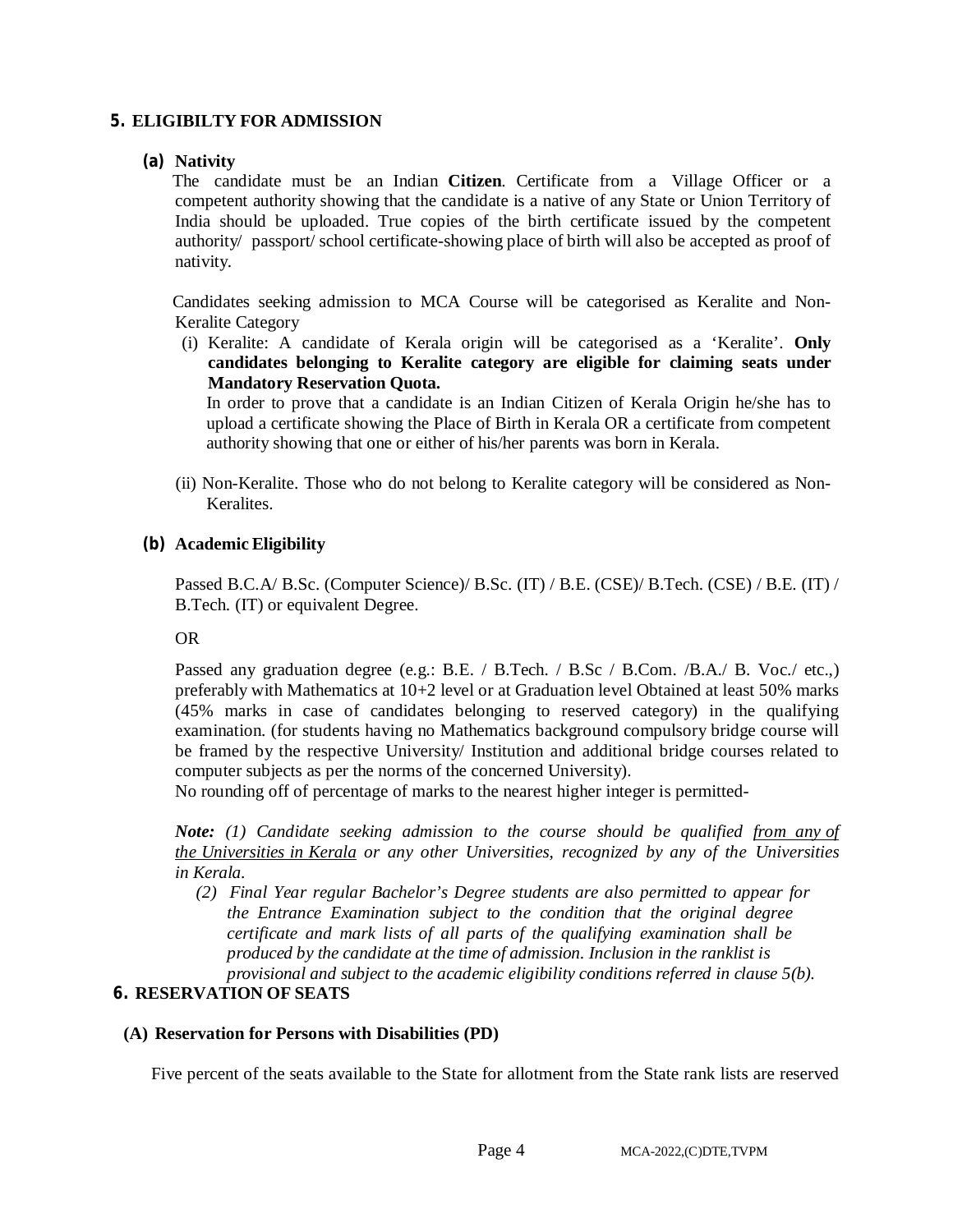# **5. ELIGIBILTY FOR ADMISSION**

#### **(a) Nativity**

The candidate must be an Indian **Citizen**. Certificate from a Village Officer or a competent authority showing that the candidate is a native of any State or Union Territory of India should be uploaded. True copies of the birth certificate issued by the competent authority/ passport/ school certificate-showing place of birth will also be accepted as proof of nativity.

Candidates seeking admission to MCA Course will be categorised as Keralite and Non-Keralite Category

(i) Keralite: A candidate of Kerala origin will be categorised as a 'Keralite'. **Only candidates belonging to Keralite category are eligible for claiming seats under Mandatory Reservation Quota.**

In order to prove that a candidate is an Indian Citizen of Kerala Origin he/she has to upload a certificate showing the Place of Birth in Kerala OR a certificate from competent authority showing that one or either of his/her parents was born in Kerala.

(ii) Non-Keralite. Those who do not belong to Keralite category will be considered as Non-Keralites.

#### **(b) Academic Eligibility**

Passed B.C.A/ B.Sc. (Computer Science)/ B.Sc. (IT) / B.E. (CSE)/ B.Tech. (CSE) / B.E. (IT) / B.Tech. (IT) or equivalent Degree.

#### OR

Passed any graduation degree (e.g.: B.E. / B.Tech. / B.Sc / B.Com. /B.A./ B. Voc./ etc.,) preferably with Mathematics at 10+2 level or at Graduation level Obtained at least 50% marks (45% marks in case of candidates belonging to reserved category) in the qualifying examination. (for students having no Mathematics background compulsory bridge course will be framed by the respective University/ Institution and additional bridge courses related to computer subjects as per the norms of the concerned University).

No rounding off of percentage of marks to the nearest higher integer is permitted-

*Note: (1) Candidate seeking admission to the course should be qualified from any of the Universities in Kerala or any other Universities, recognized by any of the Universities in Kerala.*

*(2) Final Year regular Bachelor's Degree students are also permitted to appear for the Entrance Examination subject to the condition that the original degree certificate and mark lists of all parts of the qualifying examination shall be produced by the candidate at the time of admission. Inclusion in the ranklist is provisional and subject to the academic eligibility conditions referred in clause 5(b).*

# **6. RESERVATION OF SEATS**

#### **(A) Reservation for Persons with Disabilities (PD)**

Five percent of the seats available to the State for allotment from the State rank lists are reserved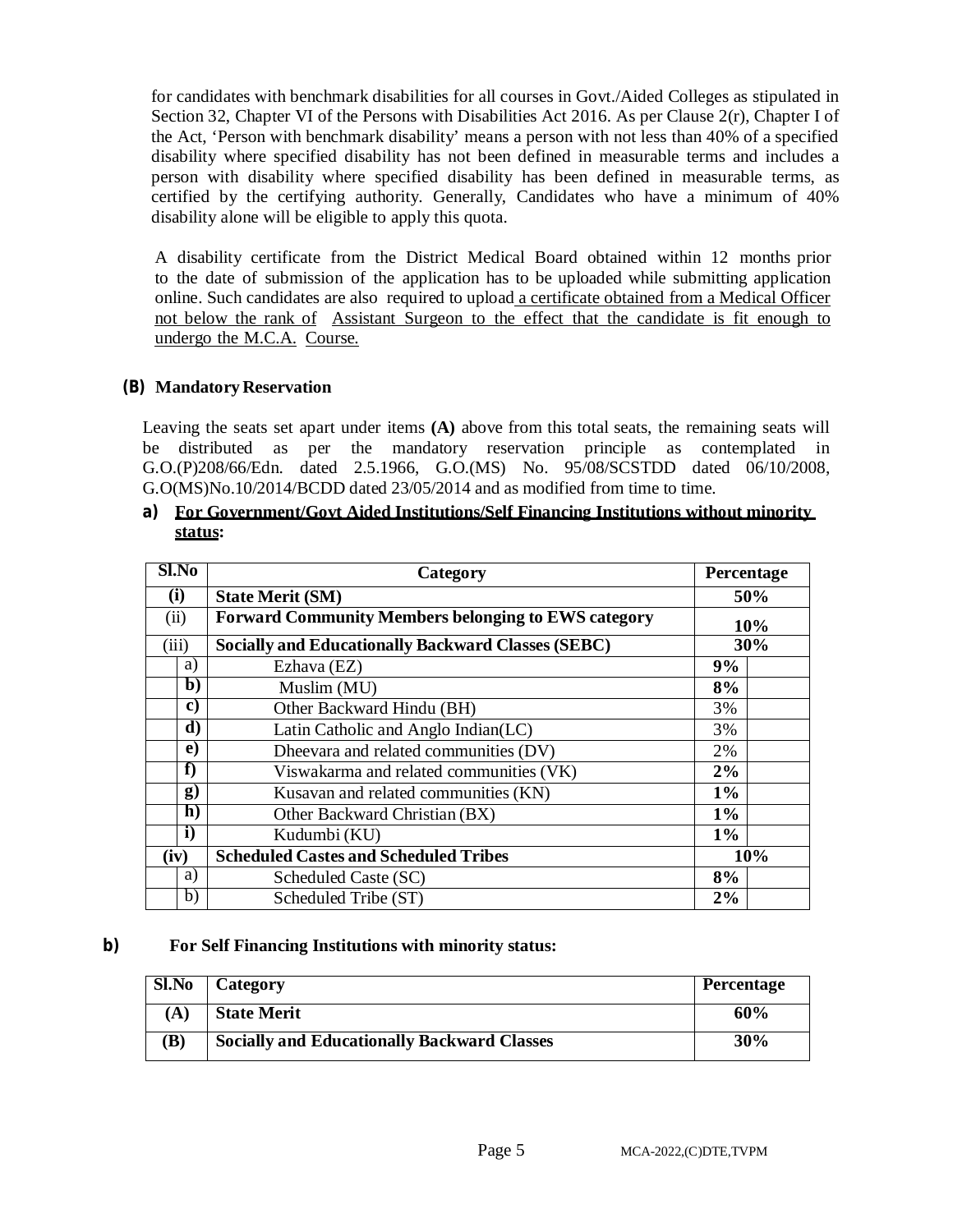for candidates with benchmark disabilities for all courses in Govt./Aided Colleges as stipulated in Section 32, Chapter VI of the Persons with Disabilities Act 2016. As per Clause 2(r), Chapter I of the Act, 'Person with benchmark disability' means a person with not less than 40% of a specified disability where specified disability has not been defined in measurable terms and includes a person with disability where specified disability has been defined in measurable terms, as certified by the certifying authority. Generally, Candidates who have a minimum of 40% disability alone will be eligible to apply this quota.

A disability certificate from the District Medical Board obtained within 12 months prior to the date of submission of the application has to be uploaded while submitting application online. Such candidates are also required to upload a certificate obtained from a Medical Officer not below the rank of Assistant Surgeon to the effect that the candidate is fit enough to undergo the M.C.A. Course.

# **(B) Mandatory Reservation**

Leaving the seats set apart under items **(A)** above from this total seats, the remaining seats will be distributed as per the mandatory reservation principle as contemplated in G.O.(P)208/66/Edn. dated 2.5.1966, G.O.(MS) No. 95/08/SCSTDD dated 06/10/2008, G.O(MS)No.10/2014/BCDD dated 23/05/2014 and as modified from time to time.

#### **a) For Government/Govt Aided Institutions/Self Financing Institutions without minority status:**

| $Sl$ . No |              | Category                                                   | Percentage |     |
|-----------|--------------|------------------------------------------------------------|------------|-----|
|           | (i)          | <b>State Merit (SM)</b>                                    | 50%        |     |
|           | (ii)         | <b>Forward Community Members belonging to EWS category</b> |            | 10% |
|           | (iii)        | <b>Socially and Educationally Backward Classes (SEBC)</b>  |            | 30% |
|           | a)           | Ezhava (EZ)                                                | 9%         |     |
|           | $\mathbf{b}$ | Muslim (MU)                                                | 8%         |     |
|           | C)           | Other Backward Hindu (BH)                                  | 3%         |     |
|           | d)           | Latin Catholic and Anglo Indian(LC)                        | 3%         |     |
|           | $\bf e)$     | Dheevara and related communities (DV)                      | 2%         |     |
|           | f)           | Viswakarma and related communities (VK)                    | 2%         |     |
|           | g)           | Kusavan and related communities (KN)                       | $1\%$      |     |
|           | $\mathbf{h}$ | Other Backward Christian (BX)                              | $1\%$      |     |
|           | i)           | Kudumbi (KU)                                               | $1\%$      |     |
|           | (iv)         | <b>Scheduled Castes and Scheduled Tribes</b>               |            | 10% |
|           | a)           | Scheduled Caste (SC)                                       | 8%         |     |
|           | b)           | Scheduled Tribe (ST)                                       | 2%         |     |

#### **b) For Self Financing Institutions with minority status:**

| Sl.No    | Category                                           | <b>Percentage</b> |
|----------|----------------------------------------------------|-------------------|
| $\bf{A}$ | <b>State Merit</b>                                 | 60%               |
| B)       | <b>Socially and Educationally Backward Classes</b> | 30%               |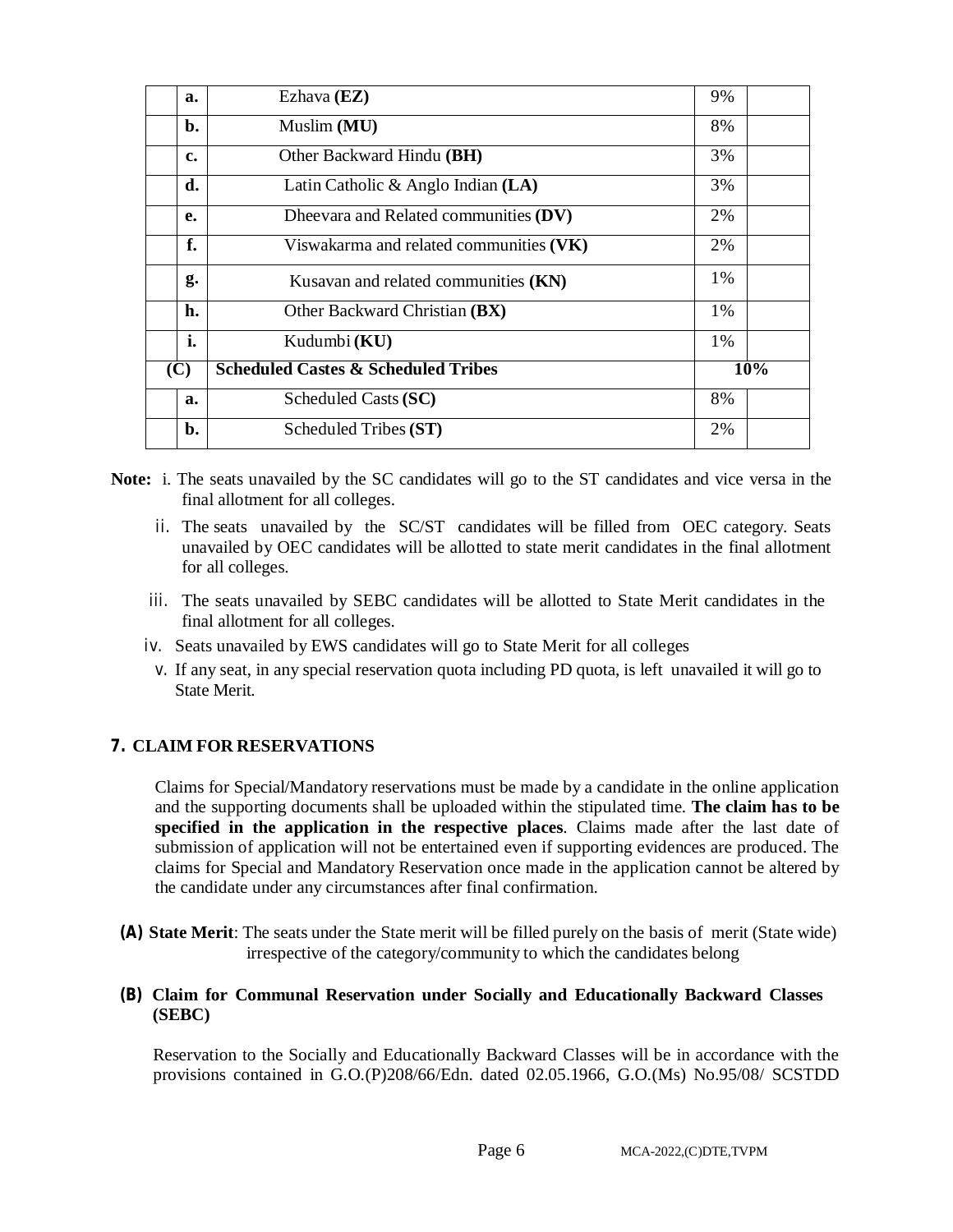| a.             | Ezhava (EZ)                                    | 9%  |
|----------------|------------------------------------------------|-----|
| $\mathbf{b}$ . | Muslim (MU)                                    | 8%  |
| c.             | Other Backward Hindu (BH)                      | 3%  |
| d.             | Latin Catholic & Anglo Indian $(LA)$           | 3%  |
| e.             | Dheevara and Related communities (DV)          | 2%  |
| f.             | Viswakarma and related communities (VK)        | 2%  |
| g.             | Kusavan and related communities (KN)           | 1%  |
| h.             | Other Backward Christian (BX)                  | 1%  |
| i.             | Kudumbi (KU)                                   | 1%  |
| (C)            | <b>Scheduled Castes &amp; Scheduled Tribes</b> | 10% |
| a.             | Scheduled Casts (SC)                           | 8%  |
| b.             | Scheduled Tribes (ST)                          | 2%  |

- **Note:** i. The seats unavailed by the SC candidates will go to the ST candidates and vice versa in the final allotment for all colleges.
	- ii. The seats unavailed by the SC/ST candidates will be filled from OEC category. Seats unavailed by OEC candidates will be allotted to state merit candidates in the final allotment for all colleges.
	- iii. The seats unavailed by SEBC candidates will be allotted to State Merit candidates in the final allotment for all colleges.
	- iv. Seats unavailed by EWS candidates will go to State Merit for all colleges
	- v. If any seat, in any special reservation quota including PD quota, is left unavailed it will go to State Merit.

# **7. CLAIM FOR RESERVATIONS**

Claims for Special/Mandatory reservations must be made by a candidate in the online application and the supporting documents shall be uploaded within the stipulated time. **The claim has to be specified in the application in the respective places**. Claims made after the last date of submission of application will not be entertained even if supporting evidences are produced. The claims for Special and Mandatory Reservation once made in the application cannot be altered by the candidate under any circumstances after final confirmation.

- **(A) State Merit**: The seats under the State merit will be filled purely on the basis of merit (State wide) irrespective of the category/community to which the candidates belong
- **(B) Claim for Communal Reservation under Socially and Educationally Backward Classes (SEBC)**

Reservation to the Socially and Educationally Backward Classes will be in accordance with the provisions contained in G.O.(P)208/66/Edn. dated 02.05.1966, G.O.(Ms) No.95/08/ SCSTDD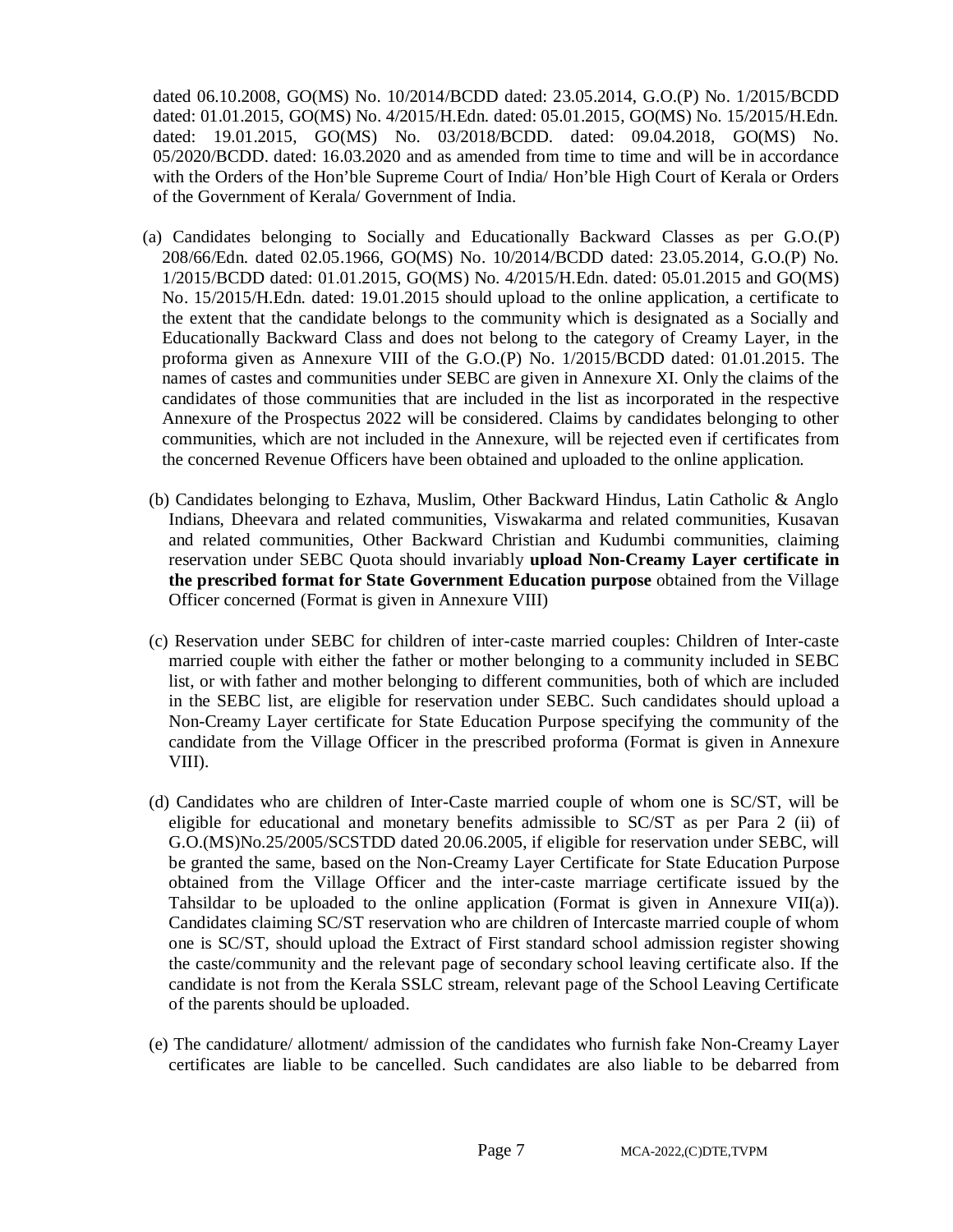dated 06.10.2008, GO(MS) No. 10/2014/BCDD dated: 23.05.2014, G.O.(P) No. 1/2015/BCDD dated: 01.01.2015, GO(MS) No. 4/2015/H.Edn. dated: 05.01.2015, GO(MS) No. 15/2015/H.Edn. dated: 19.01.2015, GO(MS) No. 03/2018/BCDD. dated: 09.04.2018, GO(MS) No. 05/2020/BCDD. dated: 16.03.2020 and as amended from time to time and will be in accordance with the Orders of the Hon'ble Supreme Court of India/ Hon'ble High Court of Kerala or Orders of the Government of Kerala/ Government of India.

- (a) Candidates belonging to Socially and Educationally Backward Classes as per G.O.(P) 208/66/Edn. dated 02.05.1966, GO(MS) No. 10/2014/BCDD dated: 23.05.2014, G.O.(P) No. 1/2015/BCDD dated: 01.01.2015, GO(MS) No. 4/2015/H.Edn. dated: 05.01.2015 and GO(MS) No. 15/2015/H.Edn. dated: 19.01.2015 should upload to the online application, a certificate to the extent that the candidate belongs to the community which is designated as a Socially and Educationally Backward Class and does not belong to the category of Creamy Layer, in the proforma given as Annexure VIII of the G.O.(P) No. 1/2015/BCDD dated: 01.01.2015. The names of castes and communities under SEBC are given in Annexure XI. Only the claims of the candidates of those communities that are included in the list as incorporated in the respective Annexure of the Prospectus 2022 will be considered. Claims by candidates belonging to other communities, which are not included in the Annexure, will be rejected even if certificates from the concerned Revenue Officers have been obtained and uploaded to the online application.
- (b) Candidates belonging to Ezhava, Muslim, Other Backward Hindus, Latin Catholic & Anglo Indians, Dheevara and related communities, Viswakarma and related communities, Kusavan and related communities, Other Backward Christian and Kudumbi communities, claiming reservation under SEBC Quota should invariably **upload Non-Creamy Layer certificate in the prescribed format for State Government Education purpose** obtained from the Village Officer concerned (Format is given in Annexure VIII)
- (c) Reservation under SEBC for children of inter-caste married couples: Children of Inter-caste married couple with either the father or mother belonging to a community included in SEBC list, or with father and mother belonging to different communities, both of which are included in the SEBC list, are eligible for reservation under SEBC. Such candidates should upload a Non-Creamy Layer certificate for State Education Purpose specifying the community of the candidate from the Village Officer in the prescribed proforma (Format is given in Annexure VIII).
- (d) Candidates who are children of Inter-Caste married couple of whom one is SC/ST, will be eligible for educational and monetary benefits admissible to SC/ST as per Para 2 (ii) of G.O.(MS)No.25/2005/SCSTDD dated 20.06.2005, if eligible for reservation under SEBC, will be granted the same, based on the Non-Creamy Layer Certificate for State Education Purpose obtained from the Village Officer and the inter-caste marriage certificate issued by the Tahsildar to be uploaded to the online application (Format is given in Annexure VII(a)). Candidates claiming SC/ST reservation who are children of Intercaste married couple of whom one is SC/ST, should upload the Extract of First standard school admission register showing the caste/community and the relevant page of secondary school leaving certificate also. If the candidate is not from the Kerala SSLC stream, relevant page of the School Leaving Certificate of the parents should be uploaded.
- (e) The candidature/ allotment/ admission of the candidates who furnish fake Non-Creamy Layer certificates are liable to be cancelled. Such candidates are also liable to be debarred from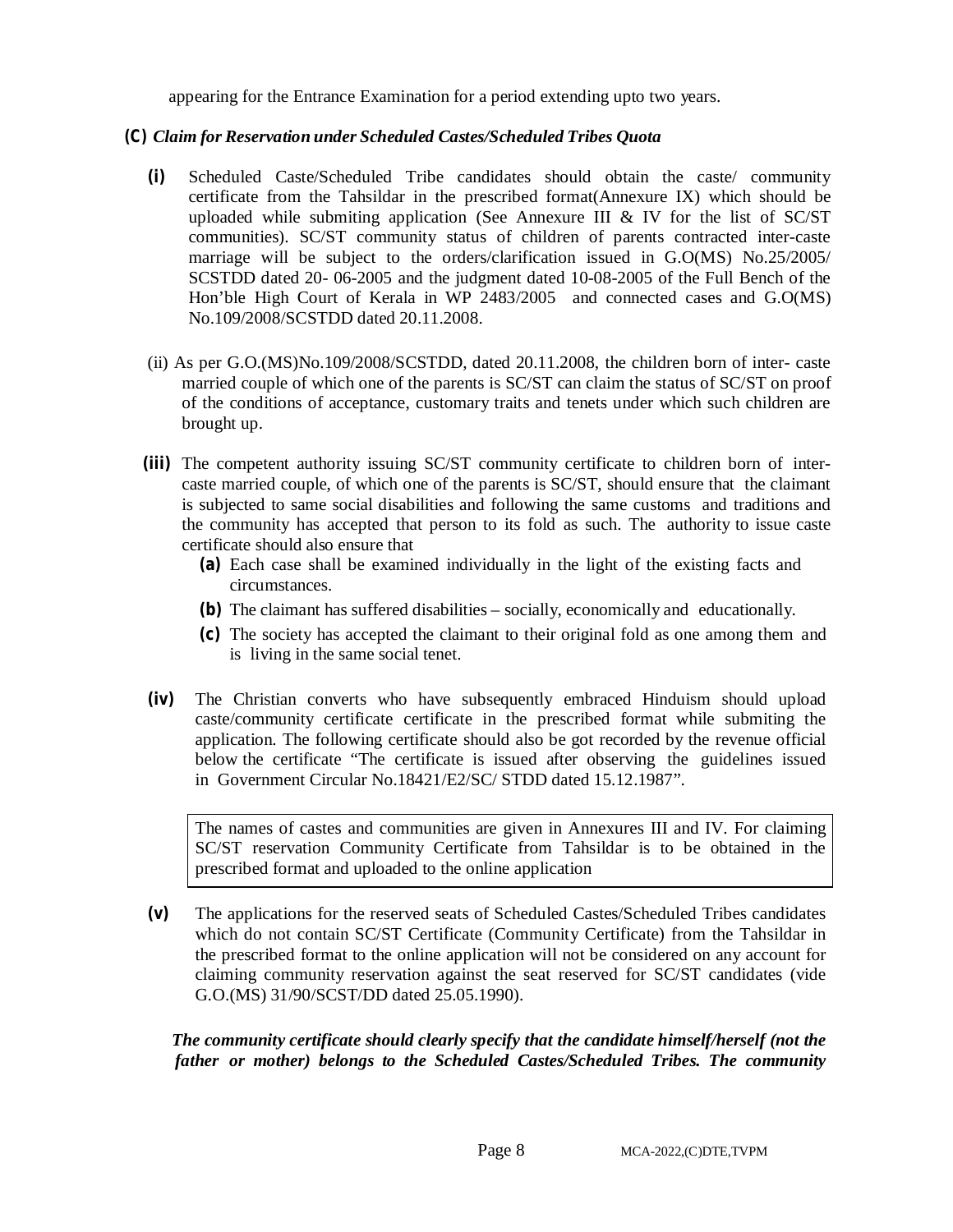appearing for the Entrance Examination for a period extending upto two years.

#### *(C) Claim for Reservation under Scheduled Castes/Scheduled Tribes Quota*

- **(i)** Scheduled Caste/Scheduled Tribe candidates should obtain the caste/ community certificate from the Tahsildar in the prescribed format(Annexure IX) which should be uploaded while submiting application (See Annexure III  $&$  IV for the list of SC/ST communities). SC/ST community status of children of parents contracted inter-caste marriage will be subject to the orders/clarification issued in G.O(MS) No.25/2005/ SCSTDD dated 20- 06-2005 and the judgment dated 10-08-2005 of the Full Bench of the Hon'ble High Court of Kerala in WP 2483/2005 and connected cases and G.O(MS) No.109/2008/SCSTDD dated 20.11.2008.
- (ii) As per G.O.(MS)No.109/2008/SCSTDD, dated 20.11.2008, the children born of inter- caste married couple of which one of the parents is SC/ST can claim the status of SC/ST on proof of the conditions of acceptance, customary traits and tenets under which such children are brought up.
- **(iii)** The competent authority issuing SC/ST community certificate to children born of intercaste married couple, of which one of the parents is SC/ST, should ensure that the claimant is subjected to same social disabilities and following the same customs and traditions and the community has accepted that person to its fold as such. The authority to issue caste certificate should also ensure that
	- **(a)** Each case shall be examined individually in the light of the existing facts and circumstances.
	- **(b)** The claimant has suffered disabilities socially, economically and educationally.
	- **(c)** The society has accepted the claimant to their original fold as one among them and is living in the same social tenet.
- **(iv)** The Christian converts who have subsequently embraced Hinduism should upload caste/community certificate certificate in the prescribed format while submiting the application. The following certificate should also be got recorded by the revenue official below the certificate "The certificate is issued after observing the guidelines issued in Government Circular No.18421/E2/SC/ STDD dated 15.12.1987".

The names of castes and communities are given in Annexures III and IV. For claiming SC/ST reservation Community Certificate from Tahsildar is to be obtained in the prescribed format and uploaded to the online application

**(v)** The applications for the reserved seats of Scheduled Castes/Scheduled Tribes candidates which do not contain SC/ST Certificate (Community Certificate) from the Tahsildar in the prescribed format to the online application will not be considered on any account for claiming community reservation against the seat reserved for SC/ST candidates (vide G.O.(MS) 31/90/SCST/DD dated 25.05.1990).

*The community certificate should clearly specify that the candidate himself/herself (not the father or mother) belongs to the Scheduled Castes/Scheduled Tribes. The community*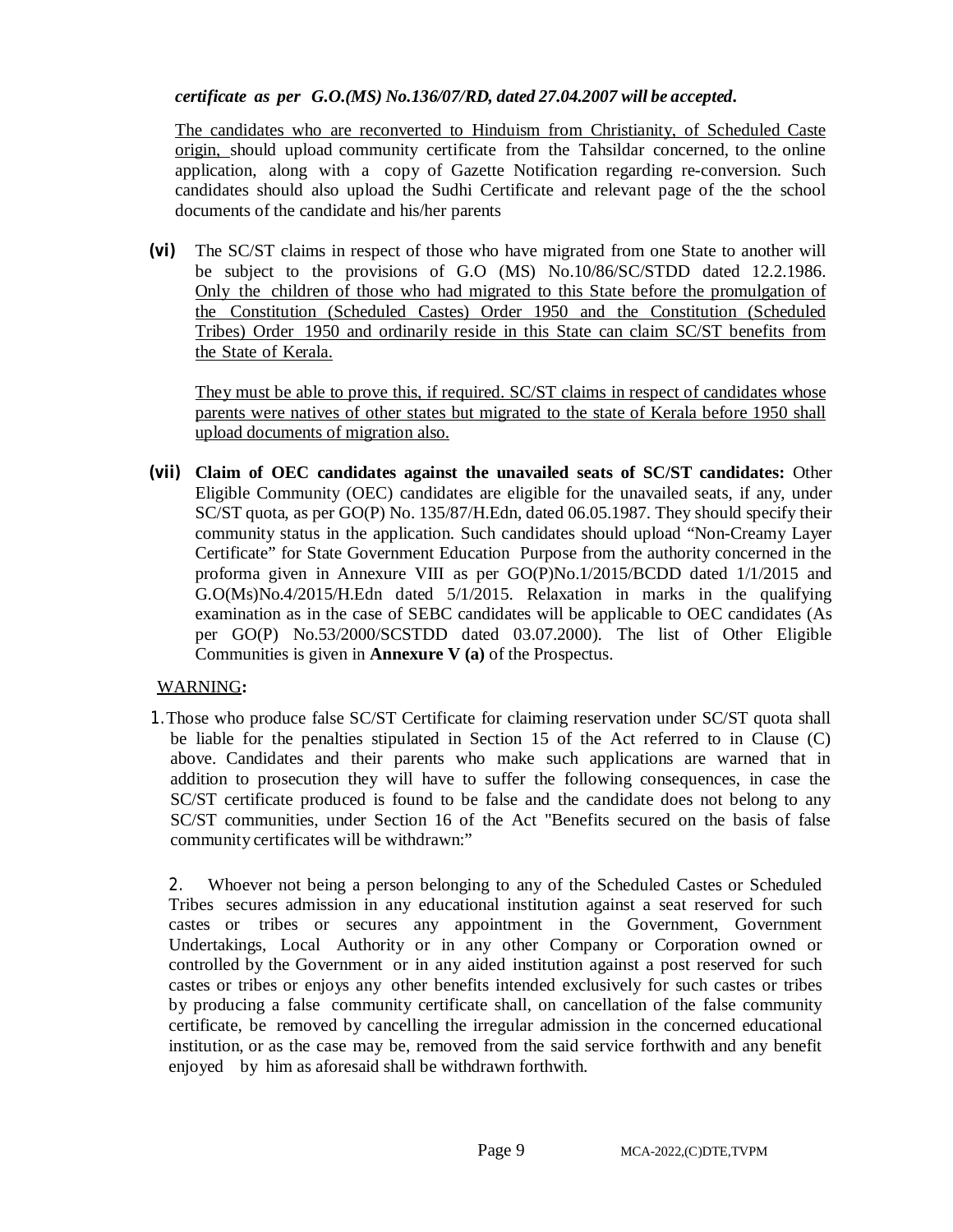#### *certificate as per G.O.(MS) No.136/07/RD, dated 27.04.2007 will be accepted.*

The candidates who are reconverted to Hinduism from Christianity, of Scheduled Caste origin, should upload community certificate from the Tahsildar concerned, to the online application, along with a copy of Gazette Notification regarding re-conversion. Such candidates should also upload the Sudhi Certificate and relevant page of the the school documents of the candidate and his/her parents

**(vi)** The SC/ST claims in respect of those who have migrated from one State to another will be subject to the provisions of G.O (MS) No.10/86/SC/STDD dated 12.2.1986. Only the children of those who had migrated to this State before the promulgation of the Constitution (Scheduled Castes) Order 1950 and the Constitution (Scheduled Tribes) Order 1950 and ordinarily reside in this State can claim SC/ST benefits from the State of Kerala.

They must be able to prove this, if required. SC/ST claims in respect of candidates whose parents were natives of other states but migrated to the state of Kerala before 1950 shall upload documents of migration also.

**(vii) Claim of OEC candidates against the unavailed seats of SC/ST candidates:** Other Eligible Community (OEC) candidates are eligible for the unavailed seats, if any, under SC/ST quota, as per GO(P) No. 135/87/H.Edn, dated 06.05.1987. They should specify their community status in the application. Such candidates should upload "Non-Creamy Layer Certificate" for State Government Education Purpose from the authority concerned in the proforma given in Annexure VIII as per GO(P)No.1/2015/BCDD dated 1/1/2015 and G.O(Ms)No.4/2015/H.Edn dated 5/1/2015. Relaxation in marks in the qualifying examination as in the case of SEBC candidates will be applicable to OEC candidates (As per GO(P) No.53/2000/SCSTDD dated 03.07.2000). The list of Other Eligible Communities is given in **Annexure V (a)** of the Prospectus.

# WARNING**:**

1.Those who produce false SC/ST Certificate for claiming reservation under SC/ST quota shall be liable for the penalties stipulated in Section 15 of the Act referred to in Clause (C) above. Candidates and their parents who make such applications are warned that in addition to prosecution they will have to suffer the following consequences, in case the SC/ST certificate produced is found to be false and the candidate does not belong to any SC/ST communities, under Section 16 of the Act "Benefits secured on the basis of false community certificates will be withdrawn:"

2. Whoever not being a person belonging to any of the Scheduled Castes or Scheduled Tribes secures admission in any educational institution against a seat reserved for such castes or tribes or secures any appointment in the Government, Government Undertakings, Local Authority or in any other Company or Corporation owned or controlled by the Government or in any aided institution against a post reserved for such castes or tribes or enjoys any other benefits intended exclusively for such castes or tribes by producing a false community certificate shall, on cancellation of the false community certificate, be removed by cancelling the irregular admission in the concerned educational institution, or as the case may be, removed from the said service forthwith and any benefit enjoyed by him as aforesaid shall be withdrawn forthwith.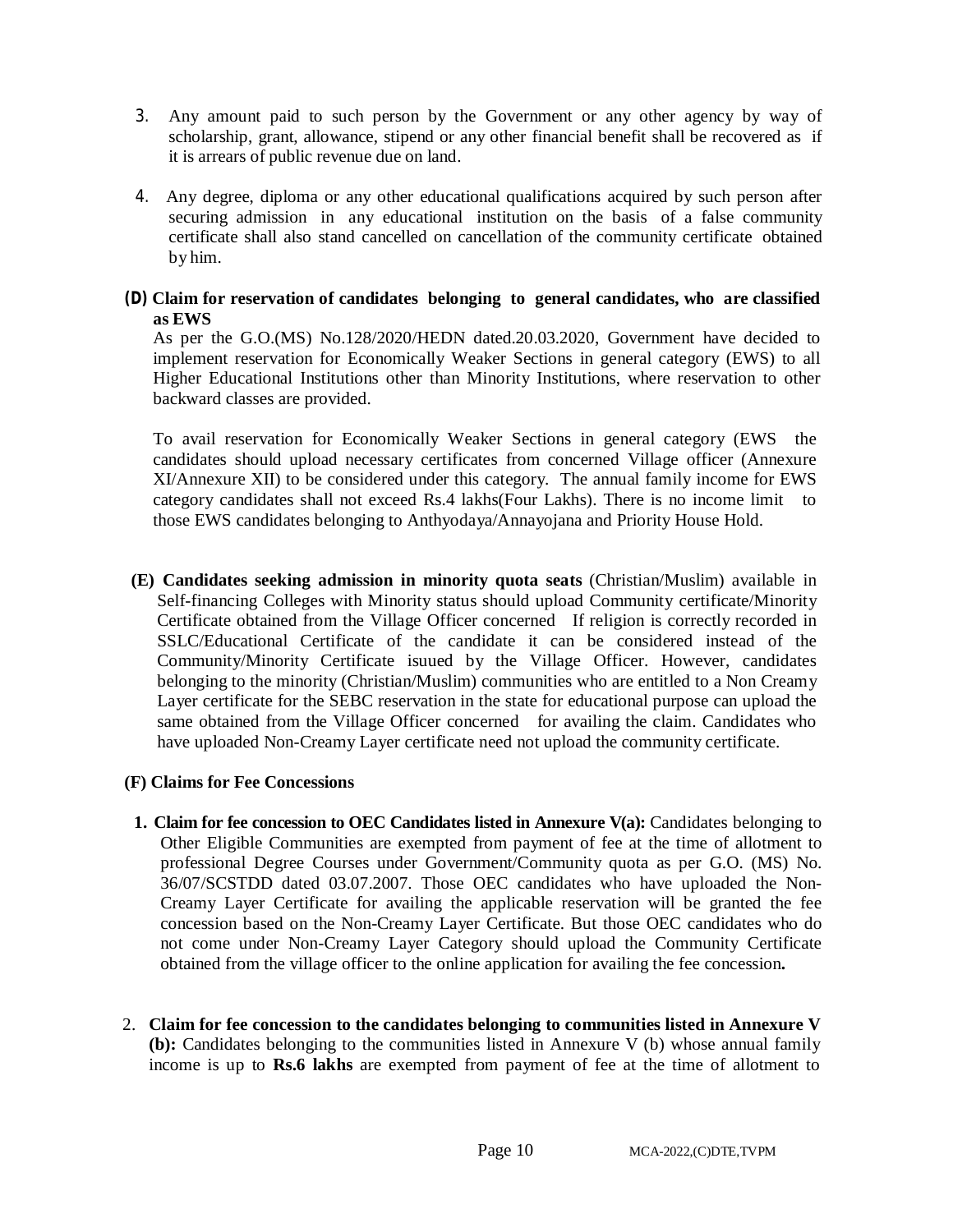- 3. Any amount paid to such person by the Government or any other agency by way of scholarship, grant, allowance, stipend or any other financial benefit shall be recovered as if it is arrears of public revenue due on land.
- 4. Any degree, diploma or any other educational qualifications acquired by such person after securing admission in any educational institution on the basis of a false community certificate shall also stand cancelled on cancellation of the community certificate obtained by him.

### *(D)* **Claim for reservation of candidates belonging to general candidates, who are classified as EWS**

As per the G.O.(MS) No.128/2020/HEDN dated.20.03.2020, Government have decided to implement reservation for Economically Weaker Sections in general category (EWS) to all Higher Educational Institutions other than Minority Institutions, where reservation to other backward classes are provided.

To avail reservation for Economically Weaker Sections in general category (EWS the candidates should upload necessary certificates from concerned Village officer (Annexure XI/Annexure XII) to be considered under this category. The annual family income for EWS category candidates shall not exceed Rs.4 lakhs(Four Lakhs). There is no income limit to those EWS candidates belonging to Anthyodaya/Annayojana and Priority House Hold.

**(E) Candidates seeking admission in minority quota seats** (Christian/Muslim) available in Self-financing Colleges with Minority status should upload Community certificate/Minority Certificate obtained from the Village Officer concerned If religion is correctly recorded in SSLC/Educational Certificate of the candidate it can be considered instead of the Community/Minority Certificate isuued by the Village Officer. However, candidates belonging to the minority (Christian/Muslim) communities who are entitled to a Non Creamy Layer certificate for the SEBC reservation in the state for educational purpose can upload the same obtained from the Village Officer concerned for availing the claim. Candidates who have uploaded Non-Creamy Layer certificate need not upload the community certificate.

# **(F) Claims for Fee Concessions**

- **1. Claim for fee concession to OEC Candidates listed in Annexure V(a):** Candidates belonging to Other Eligible Communities are exempted from payment of fee at the time of allotment to professional Degree Courses under Government/Community quota as per G.O. (MS) No. 36/07/SCSTDD dated 03.07.2007. Those OEC candidates who have uploaded the Non-Creamy Layer Certificate for availing the applicable reservation will be granted the fee concession based on the Non-Creamy Layer Certificate. But those OEC candidates who do not come under Non-Creamy Layer Category should upload the Community Certificate obtained from the village officer to the online application for availing the fee concession**.**
- 2. **Claim for fee concession to the candidates belonging to communities listed in Annexure V (b):** Candidates belonging to the communities listed in Annexure V (b) whose annual family income is up to **Rs.6 lakhs** are exempted from payment of fee at the time of allotment to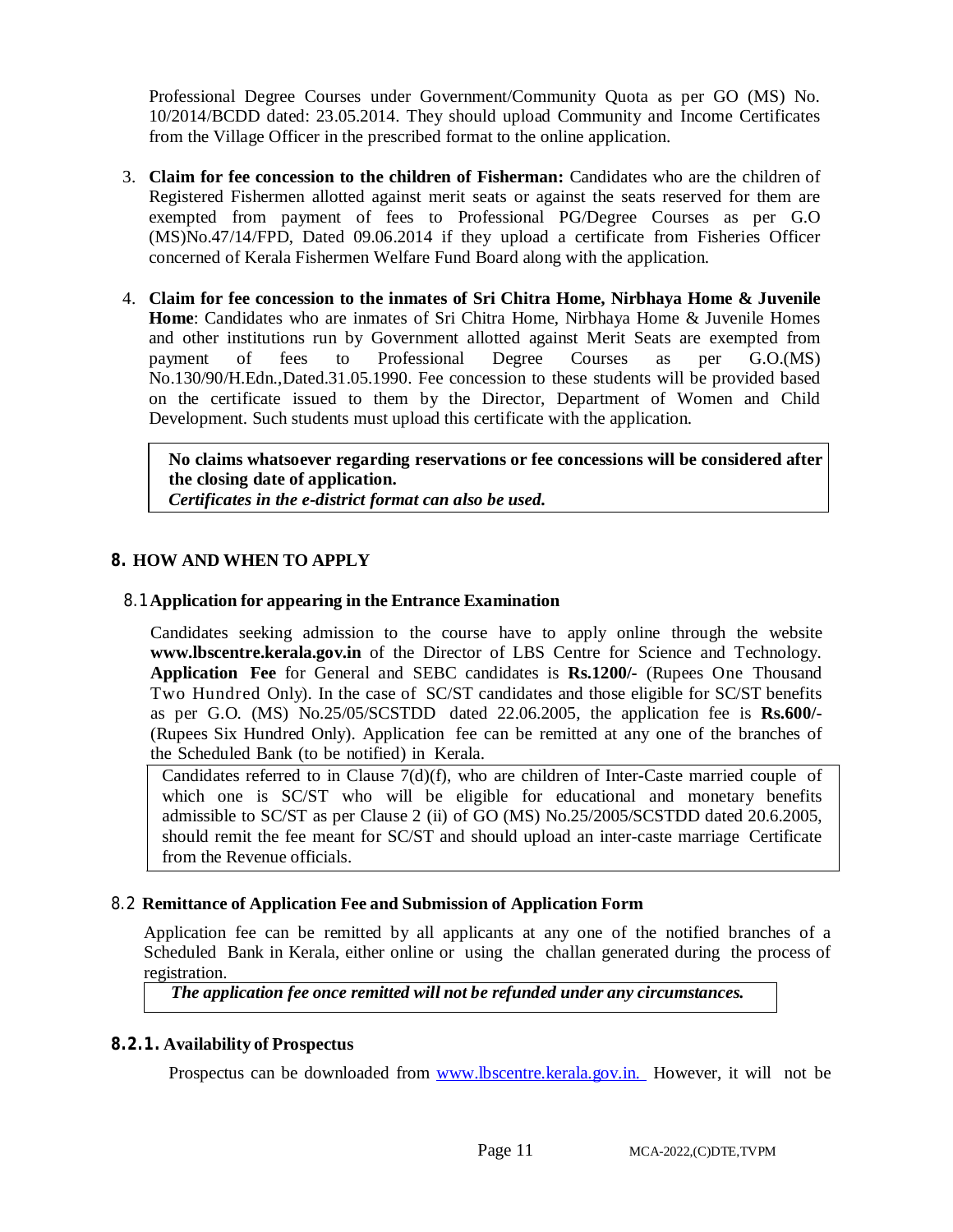Professional Degree Courses under Government/Community Quota as per GO (MS) No. 10/2014/BCDD dated: 23.05.2014. They should upload Community and Income Certificates from the Village Officer in the prescribed format to the online application.

- 3. **Claim for fee concession to the children of Fisherman:** Candidates who are the children of Registered Fishermen allotted against merit seats or against the seats reserved for them are exempted from payment of fees to Professional PG/Degree Courses as per G.O (MS)No.47/14/FPD, Dated 09.06.2014 if they upload a certificate from Fisheries Officer concerned of Kerala Fishermen Welfare Fund Board along with the application.
- 4. **Claim for fee concession to the inmates of Sri Chitra Home, Nirbhaya Home & Juvenile Home**: Candidates who are inmates of Sri Chitra Home, Nirbhaya Home & Juvenile Homes and other institutions run by Government allotted against Merit Seats are exempted from payment of fees to Professional Degree Courses as per G.O.(MS) No.130/90/H.Edn.,Dated.31.05.1990. Fee concession to these students will be provided based on the certificate issued to them by the Director, Department of Women and Child Development. Such students must upload this certificate with the application.

**No claims whatsoever regarding reservations or fee concessions will be considered after the closing date of application.** 

*Certificates in the e-district format can also be used.* 

# **8. HOW AND WHEN TO APPLY**

# 8.1**Application for appearing in the Entrance Examination**

Candidates seeking admission to the course have to apply online through the website **[www.lbscentre.kerala.gov.in](http://www.lbscentre.kerala.gov.in)** of the Director of LBS Centre for Science and Technology. **Application Fee** for General and SEBC candidates is **Rs.1200/-** (Rupees One Thousand Two Hundred Only). In the case of SC/ST candidates and those eligible for SC/ST benefits as per G.O. (MS) No.25/05/SCSTDD dated 22.06.2005, the application fee is **Rs.600/-** (Rupees Six Hundred Only). Application fee can be remitted at any one of the branches of the Scheduled Bank (to be notified) in Kerala.

Candidates referred to in Clause  $7(d)(f)$ , who are children of Inter-Caste married couple of which one is SC/ST who will be eligible for educational and monetary benefits admissible to SC/ST as per Clause 2 (ii) of GO (MS) No.25/2005/SCSTDD dated 20.6.2005, should remit the fee meant for SC/ST and should upload an inter-caste marriage Certificate from the Revenue officials.

# 8.2 **Remittance of Application Fee and Submission of Application Form**

Application fee can be remitted by all applicants at any one of the notified branches of a Scheduled Bank in Kerala, either online or using the challan generated during the process of registration.

*The application fee once remitted will not be refunded under any circumstances.*

# **8.2.1. Availability of Prospectus**

Prospectus can be downloaded from [www.lbscentre.kerala.gov.in.](http://www.lbscentre.kerala.gov.in.) However, it will not be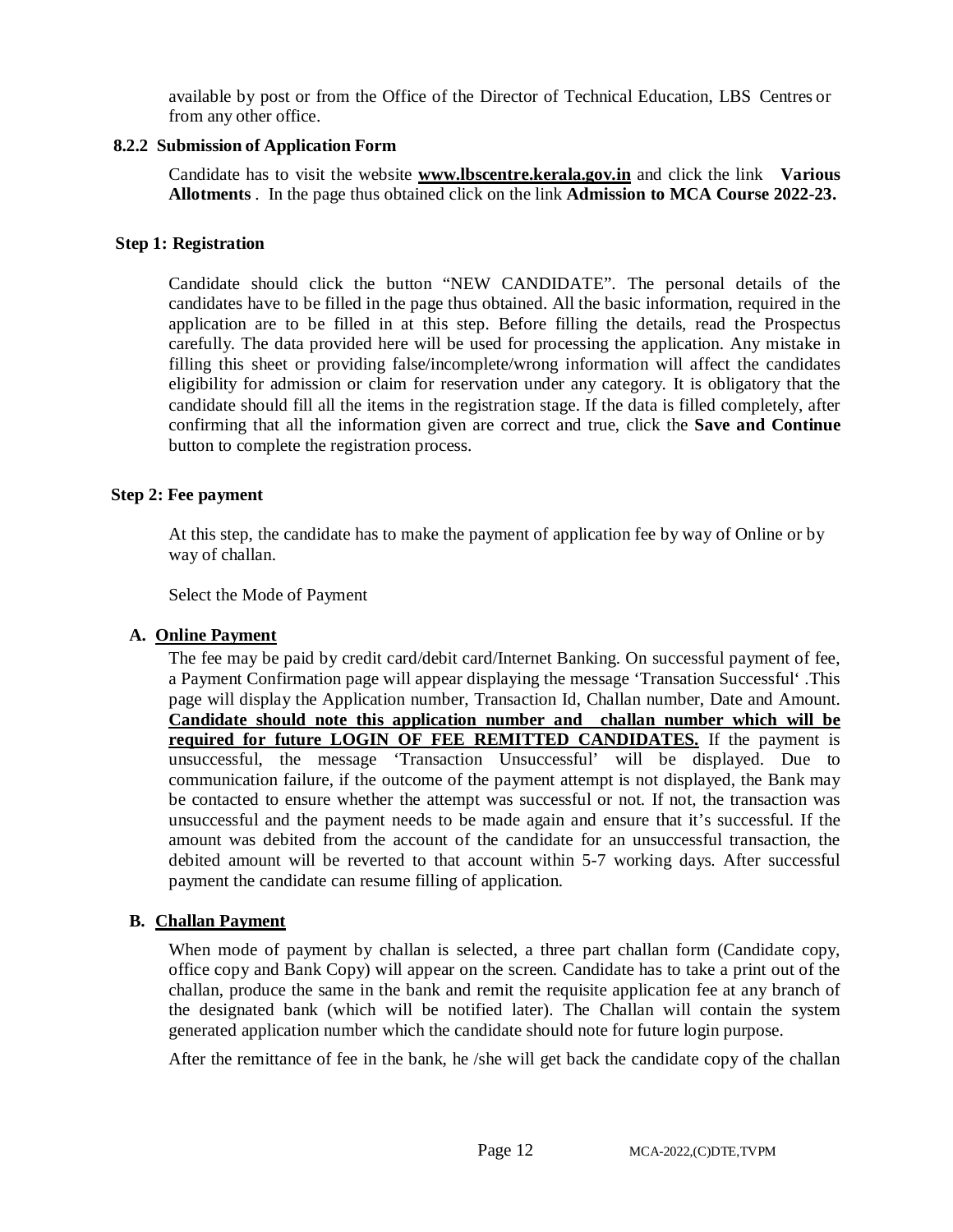available by post or from the Office of the Director of Technical Education, LBS Centres or from any other office.

#### **8.2.2 Submission of Application Form**

Candidate has to visit the website **[www.lbscentre.kerala.gov.in](http://www.lbscentre.kerala.gov.in)** and click the link **Various Allotments** . In the page thus obtained click on the link **Admission to MCA Course 2022-23.**

#### **Step 1: Registration**

Candidate should click the button "NEW CANDIDATE". The personal details of the candidates have to be filled in the page thus obtained. All the basic information, required in the application are to be filled in at this step. Before filling the details, read the Prospectus carefully. The data provided here will be used for processing the application. Any mistake in filling this sheet or providing false/incomplete/wrong information will affect the candidates eligibility for admission or claim for reservation under any category. It is obligatory that the candidate should fill all the items in the registration stage. If the data is filled completely, after confirming that all the information given are correct and true, click the **Save and Continue** button to complete the registration process.

#### **Step 2: Fee payment**

At this step, the candidate has to make the payment of application fee by way of Online or by way of challan.

Select the Mode of Payment

#### **A. Online Payment**

The fee may be paid by credit card/debit card/Internet Banking. On successful payment of fee, a Payment Confirmation page will appear displaying the message 'Transation Successful' .This page will display the Application number, Transaction Id, Challan number, Date and Amount. **Candidate should note this application number and challan number which will be required for future LOGIN OF FEE REMITTED CANDIDATES.** If the payment is unsuccessful, the message 'Transaction Unsuccessful' will be displayed. Due to communication failure, if the outcome of the payment attempt is not displayed, the Bank may be contacted to ensure whether the attempt was successful or not. If not, the transaction was unsuccessful and the payment needs to be made again and ensure that it's successful. If the amount was debited from the account of the candidate for an unsuccessful transaction, the debited amount will be reverted to that account within 5-7 working days. After successful payment the candidate can resume filling of application.

#### **B. Challan Payment**

When mode of payment by challan is selected, a three part challan form (Candidate copy, office copy and Bank Copy) will appear on the screen. Candidate has to take a print out of the challan, produce the same in the bank and remit the requisite application fee at any branch of the designated bank (which will be notified later). The Challan will contain the system generated application number which the candidate should note for future login purpose.

After the remittance of fee in the bank, he /she will get back the candidate copy of the challan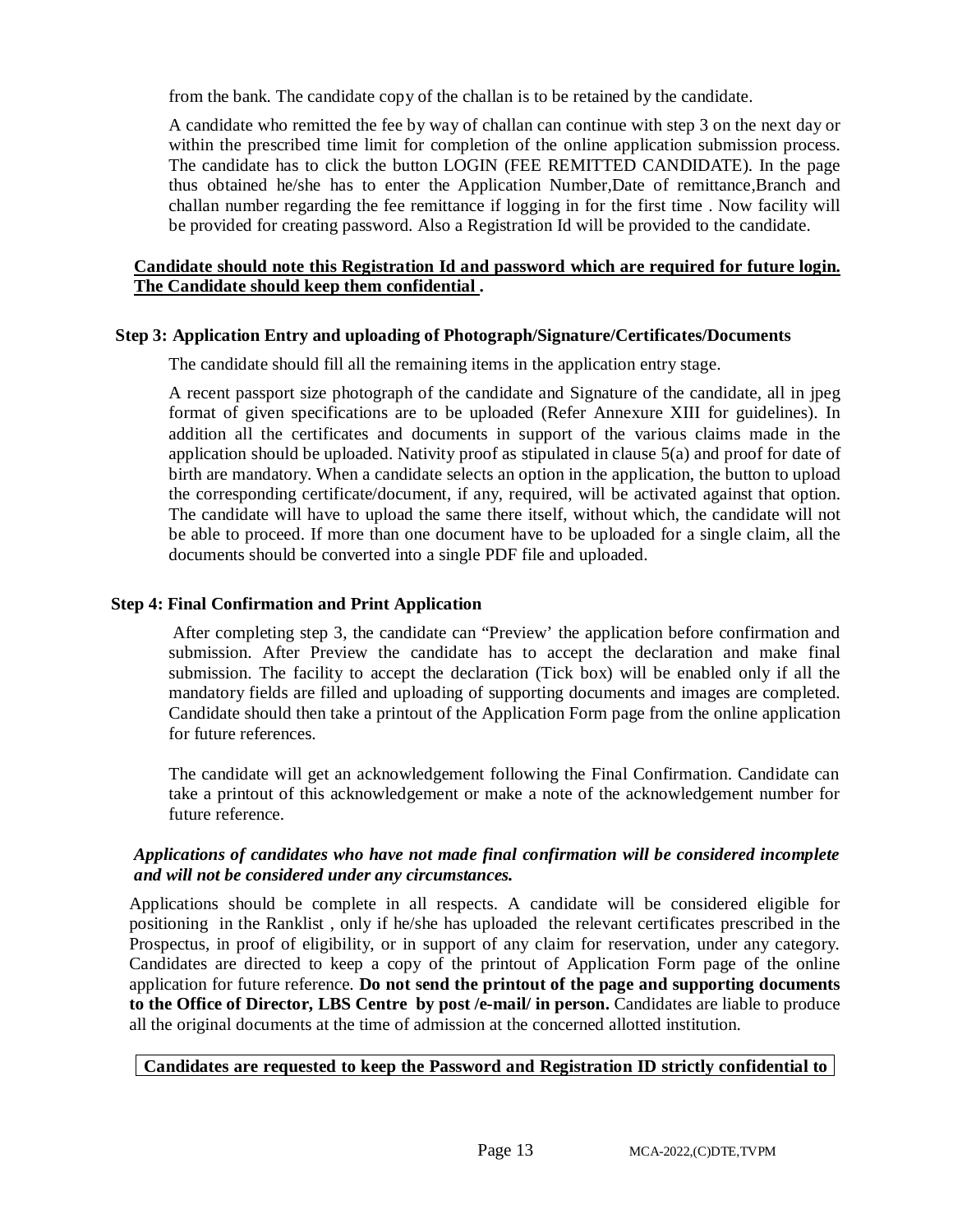from the bank. The candidate copy of the challan is to be retained by the candidate.

A candidate who remitted the fee by way of challan can continue with step 3 on the next day or within the prescribed time limit for completion of the online application submission process. The candidate has to click the button LOGIN (FEE REMITTED CANDIDATE). In the page thus obtained he/she has to enter the Application Number,Date of remittance,Branch and challan number regarding the fee remittance if logging in for the first time . Now facility will be provided for creating password. Also a Registration Id will be provided to the candidate.

# **Candidate should note this Registration Id and password which are required for future login. The Candidate should keep them confidential .**

#### **Step 3: Application Entry and uploading of Photograph/Signature/Certificates/Documents**

The candidate should fill all the remaining items in the application entry stage.

A recent passport size photograph of the candidate and Signature of the candidate, all in jpeg format of given specifications are to be uploaded (Refer Annexure XIII for guidelines). In addition all the certificates and documents in support of the various claims made in the application should be uploaded. Nativity proof as stipulated in clause 5(a) and proof for date of birth are mandatory. When a candidate selects an option in the application, the button to upload the corresponding certificate/document, if any, required, will be activated against that option. The candidate will have to upload the same there itself, without which, the candidate will not be able to proceed. If more than one document have to be uploaded for a single claim, all the documents should be converted into a single PDF file and uploaded.

# **Step 4: Final Confirmation and Print Application**

After completing step 3, the candidate can "Preview' the application before confirmation and submission. After Preview the candidate has to accept the declaration and make final submission. The facility to accept the declaration (Tick box) will be enabled only if all the mandatory fields are filled and uploading of supporting documents and images are completed. Candidate should then take a printout of the Application Form page from the online application for future references.

The candidate will get an acknowledgement following the Final Confirmation. Candidate can take a printout of this acknowledgement or make a note of the acknowledgement number for future reference.

#### *Applications of candidates who have not made final confirmation will be considered incomplete and will not be considered under any circumstances.*

Applications should be complete in all respects. A candidate will be considered eligible for positioning in the Ranklist , only if he/she has uploaded the relevant certificates prescribed in the Prospectus, in proof of eligibility, or in support of any claim for reservation, under any category. Candidates are directed to keep a copy of the printout of Application Form page of the online application for future reference. **Do not send the printout of the page and supporting documents to the Office of Director, LBS Centre by post /e-mail/ in person.** Candidates are liable to produce all the original documents at the time of admission at the concerned allotted institution.

# **Candidates are requested to keep the Password and Registration ID strictly confidential to**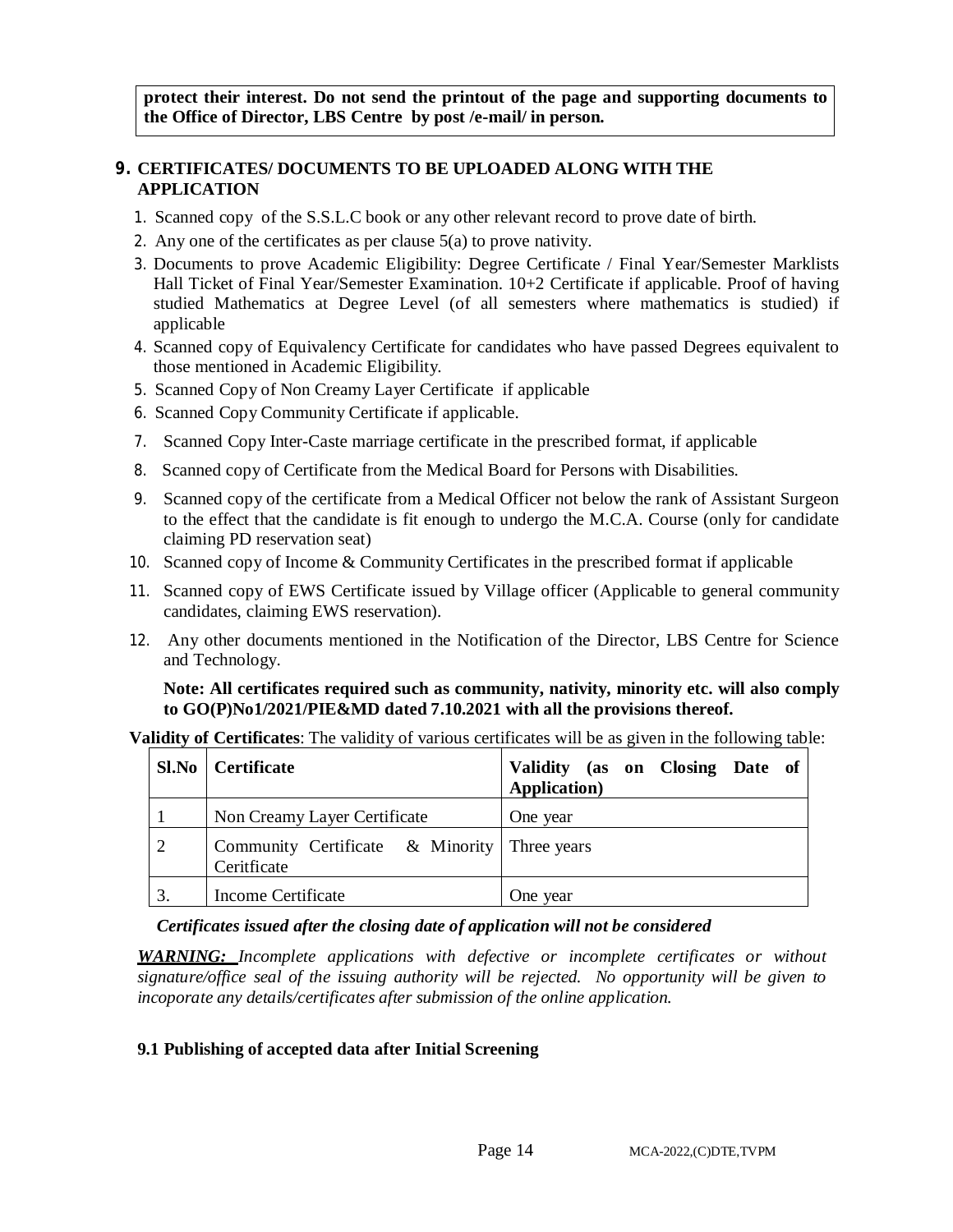**protect their interest. Do not send the printout of the page and supporting documents to the Office of Director, LBS Centre by post /e-mail/ in person.**

#### **9. CERTIFICATES/ DOCUMENTS TO BE UPLOADED ALONG WITH THE APPLICATION**

- 1. Scanned copy of the S.S.L.C book or any other relevant record to prove date of birth.
- 2. Any one of the certificates as per clause 5(a) to prove nativity.
- 3. Documents to prove Academic Eligibility: Degree Certificate / Final Year/Semester Marklists Hall Ticket of Final Year/Semester Examination. 10+2 Certificate if applicable. Proof of having studied Mathematics at Degree Level (of all semesters where mathematics is studied) if applicable
- 4. Scanned copy of Equivalency Certificate for candidates who have passed Degrees equivalent to those mentioned in Academic Eligibility.
- 5. Scanned Copy of Non Creamy Layer Certificate if applicable
- 6. Scanned Copy Community Certificate if applicable.

- 7. Scanned Copy Inter-Caste marriage certificate in the prescribed format, if applicable
- 8. Scanned copy of Certificate from the Medical Board for Persons with Disabilities.
- 9. Scanned copy of the certificate from a Medical Officer not below the rank of Assistant Surgeon to the effect that the candidate is fit enough to undergo the M.C.A. Course (only for candidate claiming PD reservation seat)
- 10. Scanned copy of Income & Community Certificates in the prescribed format if applicable
- 11. Scanned copy of EWS Certificate issued by Village officer (Applicable to general community candidates, claiming EWS reservation).
- 12. Any other documents mentioned in the Notification of the Director, LBS Centre for Science and Technology.

**Note: All certificates required such as community, nativity, minority etc. will also comply to GO(P)No1/2021/PIE&MD dated 7.10.2021 with all the provisions thereof.**

**Validity of Certificates**: The validity of various certificates will be as given in the following table:

|    | <b>Sl.No</b>   Certificate                                  | Validity (as on Closing Date of<br><b>Application</b> ) |
|----|-------------------------------------------------------------|---------------------------------------------------------|
|    | Non Creamy Layer Certificate                                | One year                                                |
| 2  | Community Certificate & Minority Three years<br>Ceritficate |                                                         |
| 3. | Income Certificate                                          | One vear                                                |

#### *Certificates issued after the closing date of application will not be considered*

*WARNING: Incomplete applications with defective or incomplete certificates or without signature/office seal of the issuing authority will be rejected. No opportunity will be given to incoporate any details/certificates after submission of the online application.*

#### **9.1 Publishing of accepted data after Initial Screening**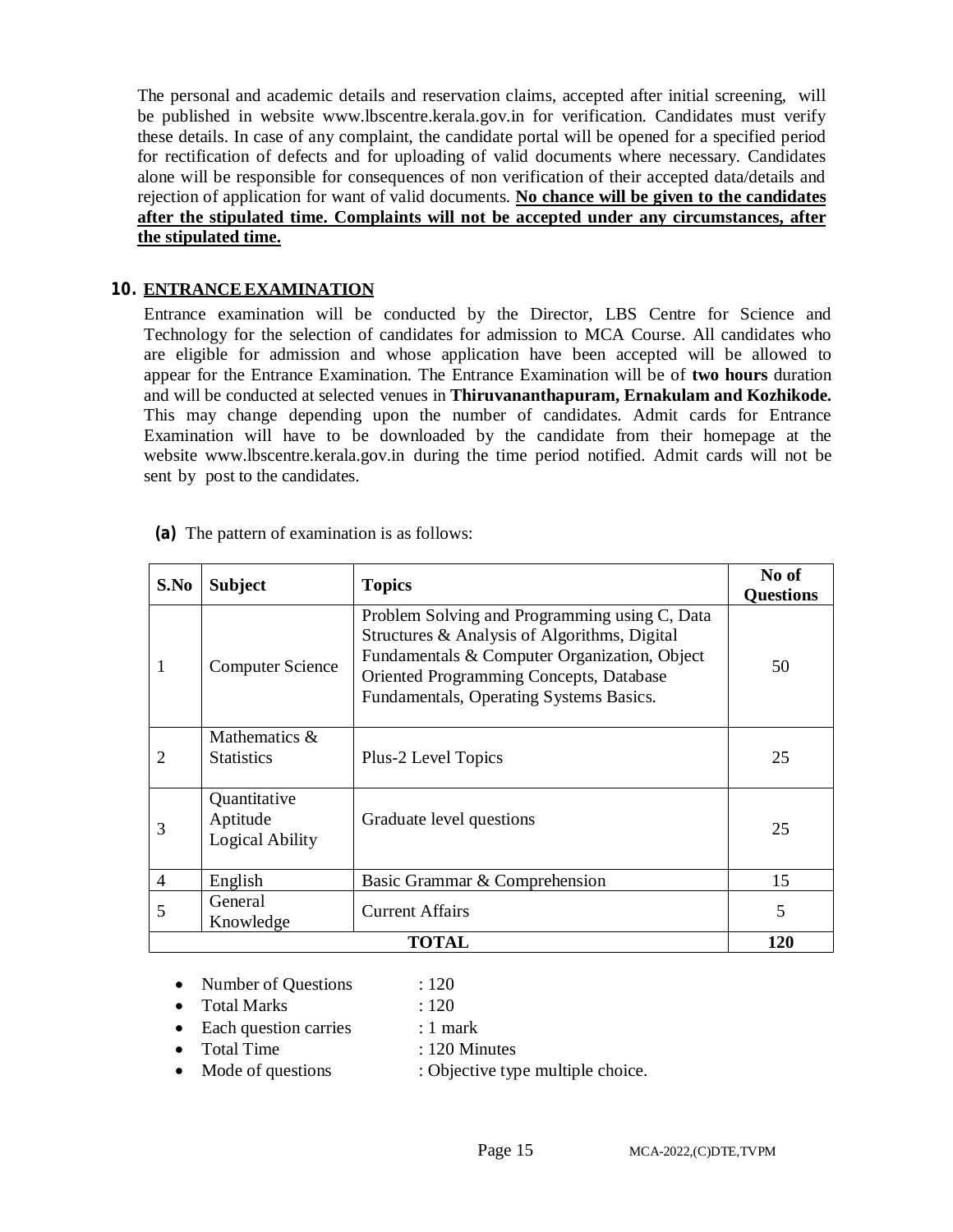The personal and academic details and reservation claims, accepted after initial screening, will be published in website [www.lbscentre.kerala.gov.in](http://www.lbscentre.kerala.gov.in) for verification. Candidates must verify these details. In case of any complaint, the candidate portal will be opened for a specified period for rectification of defects and for uploading of valid documents where necessary. Candidates alone will be responsible for consequences of non verification of their accepted data/details and rejection of application for want of valid documents. **No chance will be given to the candidates after the stipulated time. Complaints will not be accepted under any circumstances, after the stipulated time.**

#### **10. ENTRANCE EXAMINATION**

Entrance examination will be conducted by the Director, LBS Centre for Science and Technology for the selection of candidates for admission to MCA Course. All candidates who are eligible for admission and whose application have been accepted will be allowed to appear for the Entrance Examination. The Entrance Examination will be of **two hours** duration and will be conducted at selected venues in **Thiruvananthapuram, Ernakulam and Kozhikode.**  This may change depending upon the number of candidates. Admit cards for Entrance Examination will have to be downloaded by the candidate from their homepage at the website [www.lbscentre.kerala.gov.in](http://www.lbscentre.kerala.gov.in) during the time period notified. Admit cards will not be sent by post to the candidates.

| S.No           | <b>Subject</b>                              | <b>Topics</b>                                                                                                                                                                                                                       | No of<br><b>Questions</b> |
|----------------|---------------------------------------------|-------------------------------------------------------------------------------------------------------------------------------------------------------------------------------------------------------------------------------------|---------------------------|
| 1              | <b>Computer Science</b>                     | Problem Solving and Programming using C, Data<br>Structures & Analysis of Algorithms, Digital<br>Fundamentals & Computer Organization, Object<br>Oriented Programming Concepts, Database<br>Fundamentals, Operating Systems Basics. | 50                        |
| 2              | Mathematics &<br><b>Statistics</b>          | Plus-2 Level Topics                                                                                                                                                                                                                 | 25                        |
| 3              | Quantitative<br>Aptitude<br>Logical Ability | Graduate level questions                                                                                                                                                                                                            | 25                        |
| $\overline{4}$ | English                                     | Basic Grammar & Comprehension                                                                                                                                                                                                       | 15                        |
| 5              | General<br>Knowledge                        | <b>Current Affairs</b>                                                                                                                                                                                                              | 5                         |
|                |                                             | <b>TOTAL</b>                                                                                                                                                                                                                        | <b>120</b>                |

**(a)** The pattern of examination is as follows:

- Number of Questions : 120
- Total Marks : 120
	-
- Each question carries : 1 mark
- Total Time : 120 Minutes
- Mode of questions : Objective type multiple choice.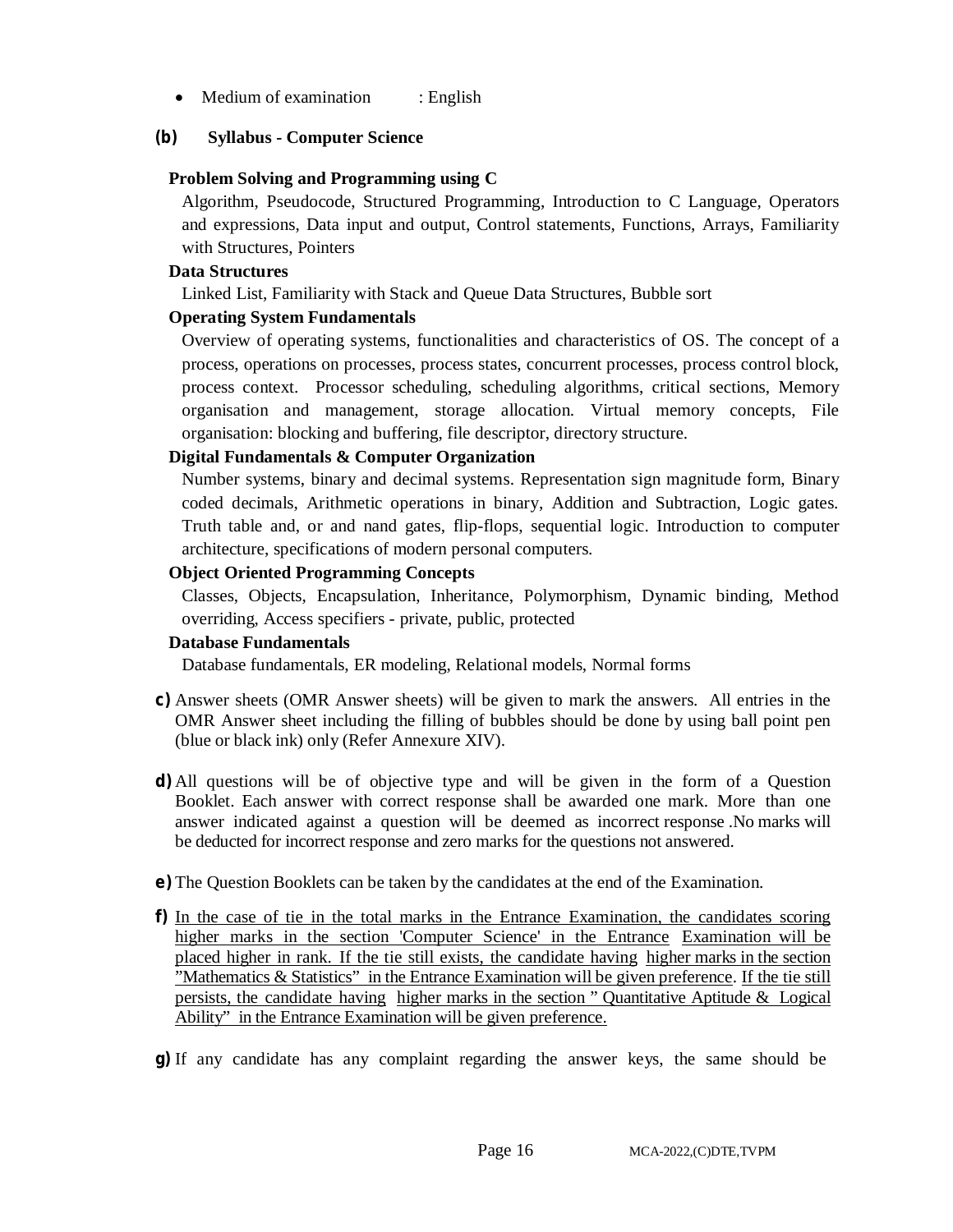• Medium of examination : English

# **(b) Syllabus - Computer Science**

# **Problem Solving and Programming using C**

Algorithm, Pseudocode, Structured Programming, Introduction to C Language, Operators and expressions, Data input and output, Control statements, Functions, Arrays, Familiarity with Structures, Pointers

# **Data Structures**

Linked List, Familiarity with Stack and Queue Data Structures, Bubble sort

# **Operating System Fundamentals**

Overview of operating systems, functionalities and characteristics of OS. The concept of a process, operations on processes, process states, concurrent processes, process control block, process context. Processor scheduling, scheduling algorithms, critical sections, Memory organisation and management, storage allocation. Virtual memory concepts, File organisation: blocking and buffering, file descriptor, directory structure.

# **Digital Fundamentals & Computer Organization**

Number systems, binary and decimal systems. Representation sign magnitude form, Binary coded decimals, Arithmetic operations in binary, Addition and Subtraction, Logic gates. Truth table and, or and nand gates, flip-flops, sequential logic. Introduction to computer architecture, specifications of modern personal computers.

# **Object Oriented Programming Concepts**

Classes, Objects, Encapsulation, Inheritance, Polymorphism, Dynamic binding, Method overriding, Access specifiers - private, public, protected

# **Database Fundamentals**

Database fundamentals, ER modeling, Relational models, Normal forms

- **c)** Answer sheets (OMR Answer sheets) will be given to mark the answers. All entries in the OMR Answer sheet including the filling of bubbles should be done by using ball point pen (blue or black ink) only (Refer Annexure XIV).
- **d)** All questions will be of objective type and will be given in the form of a Question Booklet. Each answer with correct response shall be awarded one mark. More than one answer indicated against a question will be deemed as incorrect response .No marks will be deducted for incorrect response and zero marks for the questions not answered.
- **e)** The Question Booklets can be taken by the candidates at the end of the Examination.
- **f)** In the case of tie in the total marks in the Entrance Examination, the candidates scoring higher marks in the section 'Computer Science' in the Entrance Examination will be placed higher in rank. If the tie still exists, the candidate having higher marks in the section "Mathematics & Statistics" in the Entrance Examination will be given preference. If the tie still persists, the candidate having higher marks in the section " Quantitative Aptitude & Logical Ability" in the Entrance Examination will be given preference.
- **g)** If any candidate has any complaint regarding the answer keys, the same should be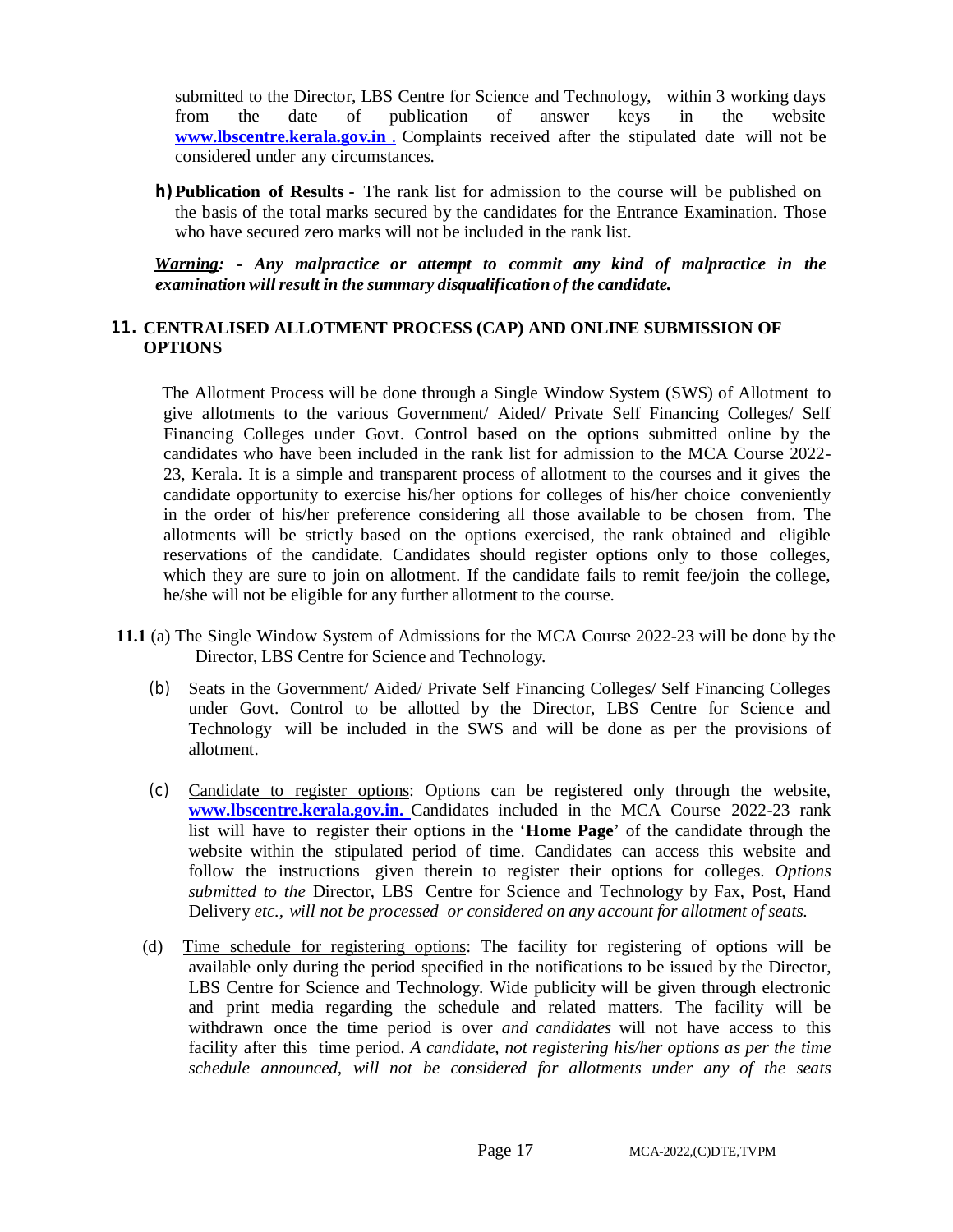submitted to the Director, LBS Centre for Science and Technology, within 3 working days from the date of publication of answer keys in the website **[www.lbscentre.kerala.gov.in](http://www.lbscentre.kerala.gov.in)** . Complaints received after the stipulated date will not be considered under any circumstances.

**h)Publication of Results -** The rank list for admission to the course will be published on the basis of the total marks secured by the candidates for the Entrance Examination. Those who have secured zero marks will not be included in the rank list.

 *Warning: - Any malpractice or attempt to commit any kind of malpractice in the examination willresult in the summary disqualification of the candidate.*

#### **11. CENTRALISED ALLOTMENT PROCESS (CAP) AND ONLINE SUBMISSION OF OPTIONS**

The Allotment Process will be done through a Single Window System (SWS) of Allotment to give allotments to the various Government/ Aided/ Private Self Financing Colleges/ Self Financing Colleges under Govt. Control based on the options submitted online by the candidates who have been included in the rank list for admission to the MCA Course 2022- 23, Kerala. It is a simple and transparent process of allotment to the courses and it gives the candidate opportunity to exercise his/her options for colleges of his/her choice conveniently in the order of his/her preference considering all those available to be chosen from. The allotments will be strictly based on the options exercised, the rank obtained and eligible reservations of the candidate. Candidates should register options only to those colleges, which they are sure to join on allotment. If the candidate fails to remit fee/join the college, he/she will not be eligible for any further allotment to the course.

- **11.1** (a) The Single Window System of Admissions for the MCA Course 2022-23 will be done by the Director, LBS Centre for Science and Technology.
	- (b) Seats in the Government/ Aided/ Private Self Financing Colleges/ Self Financing Colleges under Govt. Control to be allotted by the Director, LBS Centre for Science and Technology will be included in the SWS and will be done as per the provisions of allotment.
	- (c) Candidate to register options: Options can be registered only through the website, **[www.lbscentre.kerala.gov.in.](http://www.lbscentre.kerala.gov.in.)** Candidates included in the MCA Course 2022-23 rank list will have to register their options in the '**Home Page**' of the candidate through the website within the stipulated period of time. Candidates can access this website and follow the instructions given therein to register their options for colleges. *Options submitted to the* Director, LBS Centre for Science and Technology by Fax, Post, Hand Delivery *etc., will not be processed or considered on any account for allotment of seats.*
	- (d) Time schedule for registering options: The facility for registering of options will be available only during the period specified in the notifications to be issued by the Director, LBS Centre for Science and Technology. Wide publicity will be given through electronic and print media regarding the schedule and related matters. The facility will be withdrawn once the time period is over *and candidates* will not have access to this facility after this time period. *A candidate, not registering his/her options as per the time schedule announced, will not be considered for allotments under any of the seats*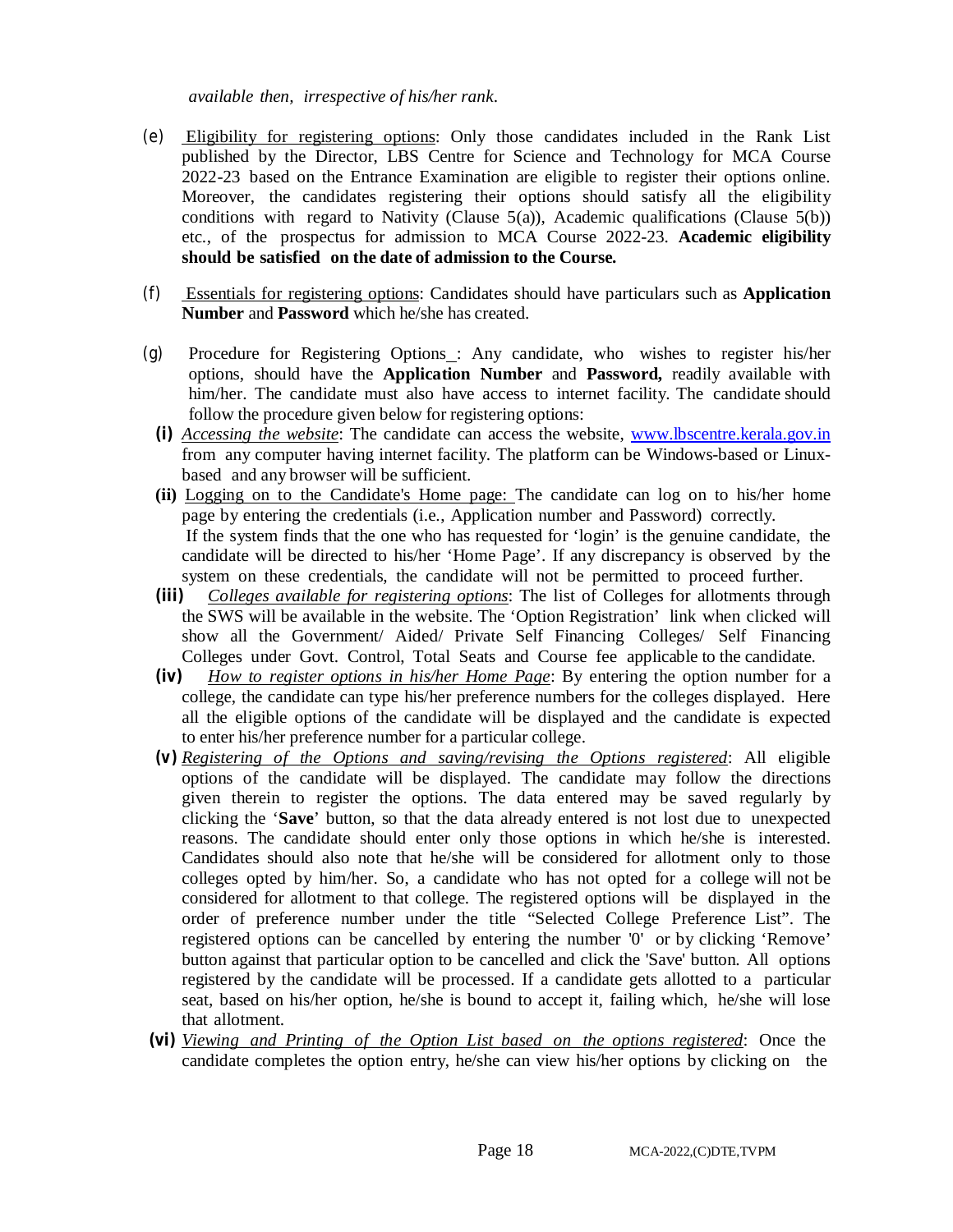*available then, irrespective of his/her rank*.

- (e) Eligibility for registering options: Only those candidates included in the Rank List published by the Director, LBS Centre for Science and Technology for MCA Course 2022-23 based on the Entrance Examination are eligible to register their options online. Moreover, the candidates registering their options should satisfy all the eligibility conditions with regard to Nativity (Clause  $5(a)$ ), Academic qualifications (Clause  $5(b)$ ) etc., of the prospectus for admission to MCA Course 2022-23. **Academic eligibility should be satisfied on the date of admission to the Course.**
- (f) Essentials for registering options: Candidates should have particulars such as **Application Number** and **Password** which he/she has created.
- (g) Procedure for Registering Options : Any candidate, who wishes to register his/her options, should have the **Application Number** and **Password,** readily available with him/her. The candidate must also have access to internet facility. The candidate should follow the procedure given below for registering options:
	- **(i)** *Accessing the website*: The candidate can access the website, [www.lbscentre.kerala.gov.in](http://www.lbscentre.kerala.gov.in) from any computer having internet facility. The platform can be Windows-based or Linuxbased and any browser will be sufficient.
	- **(ii)** Logging on to the Candidate's Home page: The candidate can log on to his/her home page by entering the credentials (i.e., Application number and Password) correctly. If the system finds that the one who has requested for 'login' is the genuine candidate, the candidate will be directed to his/her 'Home Page'. If any discrepancy is observed by the system on these credentials, the candidate will not be permitted to proceed further.
	- **(iii)** *Colleges available for registering options*: The list of Colleges for allotments through the SWS will be available in the website. The 'Option Registration' link when clicked will show all the Government/ Aided/ Private Self Financing Colleges/ Self Financing Colleges under Govt. Control, Total Seats and Course fee applicable to the candidate.
	- **(iv)** *How to register options in his/her Home Page*: By entering the option number for a college, the candidate can type his/her preference numbers for the colleges displayed. Here all the eligible options of the candidate will be displayed and the candidate is expected to enter his/her preference number for a particular college.
	- *(v) Registering of the Options and saving/revising the Options registered*: All eligible options of the candidate will be displayed. The candidate may follow the directions given therein to register the options. The data entered may be saved regularly by clicking the '**Save**' button, so that the data already entered is not lost due to unexpected reasons. The candidate should enter only those options in which he/she is interested. Candidates should also note that he/she will be considered for allotment only to those colleges opted by him/her. So, a candidate who has not opted for a college will not be considered for allotment to that college. The registered options will be displayed in the order of preference number under the title "Selected College Preference List". The registered options can be cancelled by entering the number '0' or by clicking 'Remove' button against that particular option to be cancelled and click the 'Save' button. All options registered by the candidate will be processed. If a candidate gets allotted to a particular seat, based on his/her option, he/she is bound to accept it, failing which, he/she will lose that allotment.
- **(vi)** *Viewing and Printing of the Option List based on the options registered*: Once the candidate completes the option entry, he/she can view his/her options by clicking on the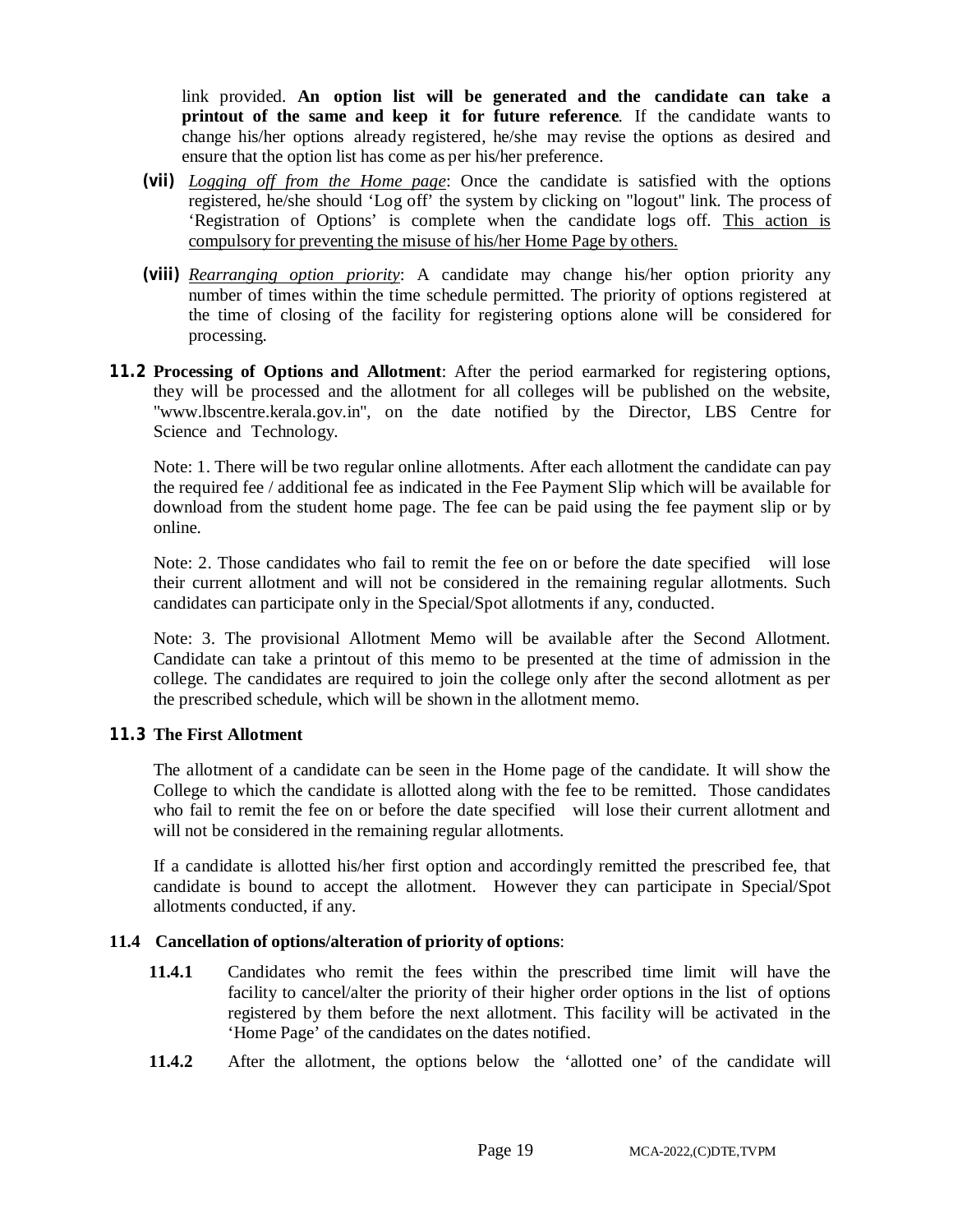link provided. **An option list will be generated and the candidate can take a printout of the same and keep it for future reference**. If the candidate wants to change his/her options already registered, he/she may revise the options as desired and ensure that the option list has come as per his/her preference.

- **(vii)** *Logging off from the Home page*: Once the candidate is satisfied with the options registered, he/she should 'Log off' the system by clicking on "logout" link. The process of 'Registration of Options' is complete when the candidate logs off. This action is compulsory for preventing the misuse of his/her Home Page by others.
- **(viii)** *Rearranging option priority*: A candidate may change his/her option priority any number of times within the time schedule permitted. The priority of options registered at the time of closing of the facility for registering options alone will be considered for processing.
- **11.2 Processing of Options and Allotment**: After the period earmarked for registering options, they will be processed and the allotment for all colleges will be published on the website, ["www.lbscentre.kerala.gov.in"](http://www.lbscentre.kerala.gov.in), on the date notified by the Director, LBS Centre for Science and Technology.

Note: 1. There will be two regular online allotments. After each allotment the candidate can pay the required fee / additional fee as indicated in the Fee Payment Slip which will be available for download from the student home page. The fee can be paid using the fee payment slip or by online.

Note: 2. Those candidates who fail to remit the fee on or before the date specified will lose their current allotment and will not be considered in the remaining regular allotments. Such candidates can participate only in the Special/Spot allotments if any, conducted.

Note: 3. The provisional Allotment Memo will be available after the Second Allotment. Candidate can take a printout of this memo to be presented at the time of admission in the college. The candidates are required to join the college only after the second allotment as per the prescribed schedule, which will be shown in the allotment memo.

#### **11.3 The First Allotment**

The allotment of a candidate can be seen in the Home page of the candidate. It will show the College to which the candidate is allotted along with the fee to be remitted. Those candidates who fail to remit the fee on or before the date specified will lose their current allotment and will not be considered in the remaining regular allotments.

If a candidate is allotted his/her first option and accordingly remitted the prescribed fee, that candidate is bound to accept the allotment. However they can participate in Special/Spot allotments conducted, if any.

# **11.4 Cancellation of options/alteration of priority of options**:

- **11.4.1** Candidates who remit the fees within the prescribed time limit will have the facility to cancel/alter the priority of their higher order options in the list of options registered by them before the next allotment. This facility will be activated in the 'Home Page' of the candidates on the dates notified.
- **11.4.2** After the allotment, the options below the 'allotted one' of the candidate will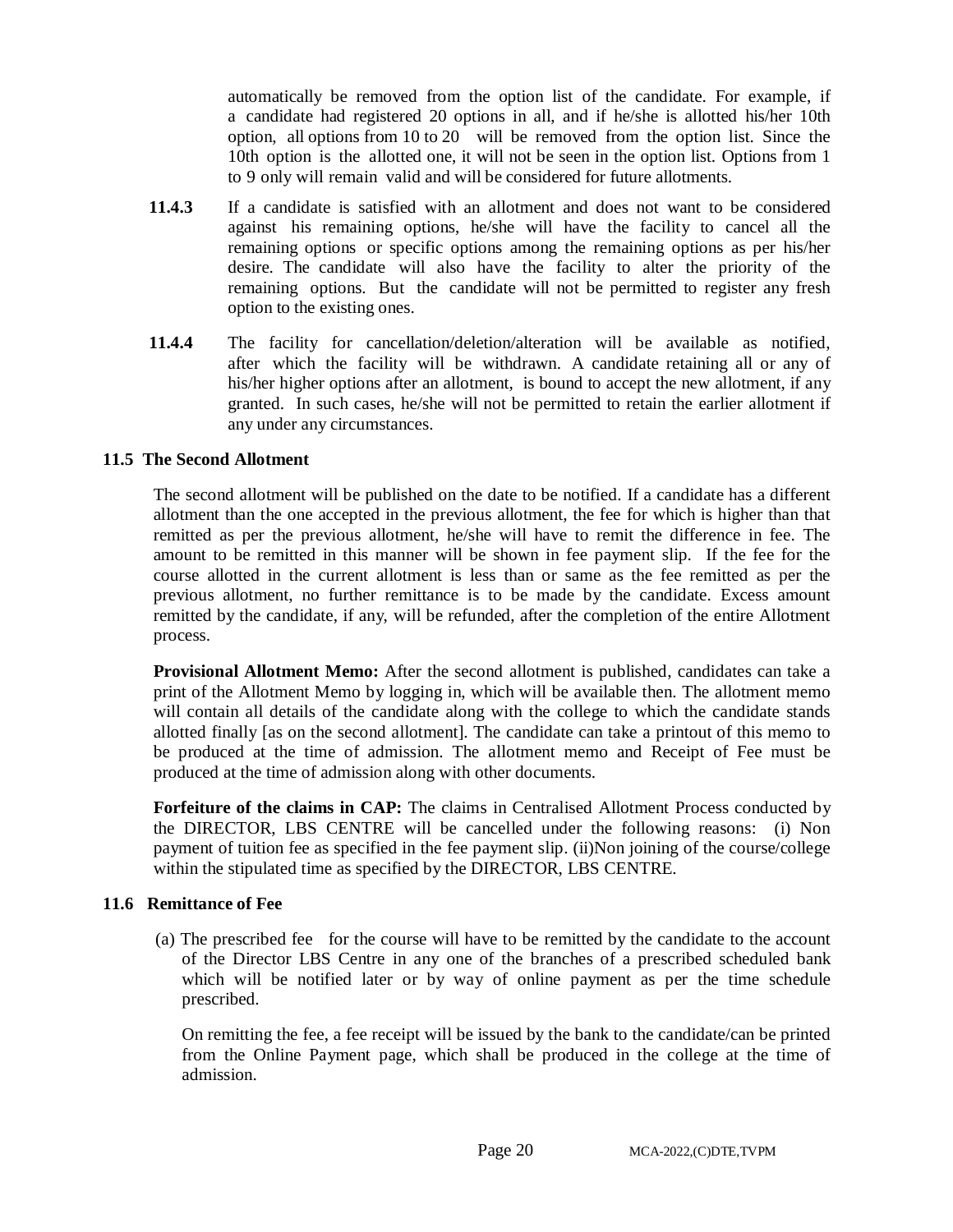automatically be removed from the option list of the candidate. For example, if a candidate had registered 20 options in all, and if he/she is allotted his/her 10th option, all options from 10 to 20 will be removed from the option list. Since the 10th option is the allotted one, it will not be seen in the option list. Options from 1 to 9 only will remain valid and will be considered for future allotments.

- **11.4.3** If a candidate is satisfied with an allotment and does not want to be considered against his remaining options, he/she will have the facility to cancel all the remaining options or specific options among the remaining options as per his/her desire. The candidate will also have the facility to alter the priority of the remaining options. But the candidate will not be permitted to register any fresh option to the existing ones.
- **11.4.4** The facility for cancellation/deletion/alteration will be available as notified, after which the facility will be withdrawn. A candidate retaining all or any of his/her higher options after an allotment, is bound to accept the new allotment, if any granted. In such cases, he/she will not be permitted to retain the earlier allotment if any under any circumstances.

#### **11.5 The Second Allotment**

The second allotment will be published on the date to be notified. If a candidate has a different allotment than the one accepted in the previous allotment, the fee for which is higher than that remitted as per the previous allotment, he/she will have to remit the difference in fee. The amount to be remitted in this manner will be shown in fee payment slip. If the fee for the course allotted in the current allotment is less than or same as the fee remitted as per the previous allotment, no further remittance is to be made by the candidate. Excess amount remitted by the candidate, if any, will be refunded, after the completion of the entire Allotment process.

**Provisional Allotment Memo:** After the second allotment is published, candidates can take a print of the Allotment Memo by logging in, which will be available then. The allotment memo will contain all details of the candidate along with the college to which the candidate stands allotted finally [as on the second allotment]. The candidate can take a printout of this memo to be produced at the time of admission. The allotment memo and Receipt of Fee must be produced at the time of admission along with other documents.

**Forfeiture of the claims in CAP:** The claims in Centralised Allotment Process conducted by the DIRECTOR, LBS CENTRE will be cancelled under the following reasons: (i) Non payment of tuition fee as specified in the fee payment slip. (ii)Non joining of the course/college within the stipulated time as specified by the DIRECTOR, LBS CENTRE.

#### **11.6 Remittance of Fee**

(a) The prescribed fee for the course will have to be remitted by the candidate to the account of the Director LBS Centre in any one of the branches of a prescribed scheduled bank which will be notified later or by way of online payment as per the time schedule prescribed.

On remitting the fee, a fee receipt will be issued by the bank to the candidate/can be printed from the Online Payment page, which shall be produced in the college at the time of admission.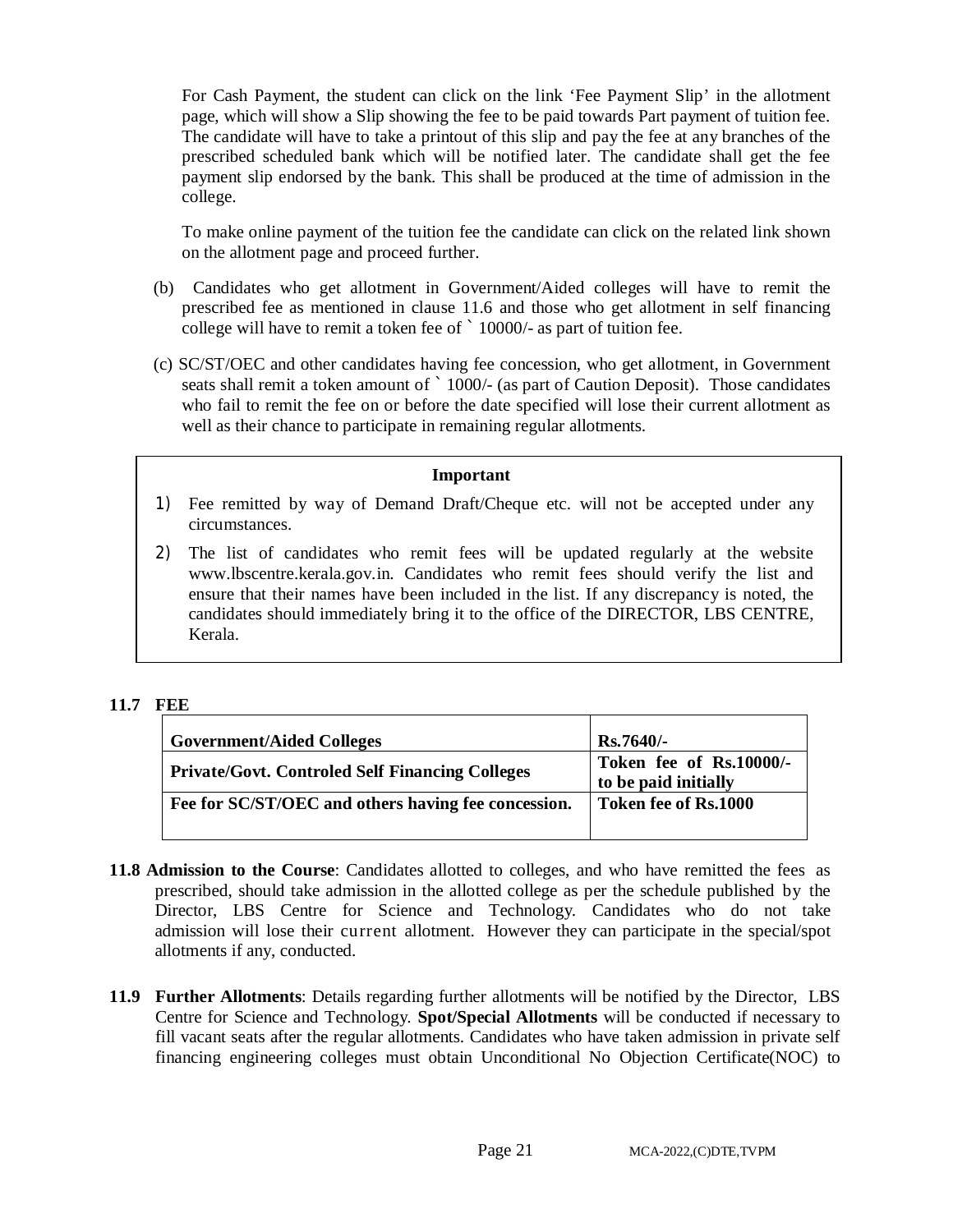For Cash Payment, the student can click on the link 'Fee Payment Slip' in the allotment page, which will show a Slip showing the fee to be paid towards Part payment of tuition fee. The candidate will have to take a printout of this slip and pay the fee at any branches of the prescribed scheduled bank which will be notified later. The candidate shall get the fee payment slip endorsed by the bank. This shall be produced at the time of admission in the college.

To make online payment of the tuition fee the candidate can click on the related link shown on the allotment page and proceed further.

- (b) Candidates who get allotment in Government/Aided colleges will have to remit the prescribed fee as mentioned in clause 11.6 and those who get allotment in self financing college will have to remit a token fee of `10000/- as part of tuition fee.
- (c) SC/ST/OEC and other candidates having fee concession, who get allotment, in Government seats shall remit a token amount of `1000/- (as part of Caution Deposit). Those candidates who fail to remit the fee on or before the date specified will lose their current allotment as well as their chance to participate in remaining regular allotments.

#### **Important**

- 1) Fee remitted by way of Demand Draft/Cheque etc. will not be accepted under any circumstances.
- 2) The list of candidates who remit fees will be updated regularly at the website [www.lbscentre.kerala.gov.in.](http://www.lbscentre.kerala.gov.in.) Candidates who remit fees should verify the list and ensure that their names have been included in the list. If any discrepancy is noted, the candidates should immediately bring it to the office of the DIRECTOR, LBS CENTRE, Kerala.

# **11.7 FEE**

| <b>Government/Aided Colleges</b>                    | $Rs.7640/-$                                     |
|-----------------------------------------------------|-------------------------------------------------|
| Private/Govt. Controled Self Financing Colleges     | Token fee of Rs.10000/-<br>to be paid initially |
| Fee for SC/ST/OEC and others having fee concession. | Token fee of Rs.1000                            |

- **11.8 Admission to the Course**: Candidates allotted to colleges, and who have remitted the fees as prescribed, should take admission in the allotted college as per the schedule published by the Director, LBS Centre for Science and Technology. Candidates who do not take admission will lose their current allotment. However they can participate in the special/spot allotments if any, conducted.
- **11.9 Further Allotments**: Details regarding further allotments will be notified by the Director, LBS Centre for Science and Technology. **Spot/Special Allotments** will be conducted if necessary to fill vacant seats after the regular allotments. Candidates who have taken admission in private self financing engineering colleges must obtain Unconditional No Objection Certificate(NOC) to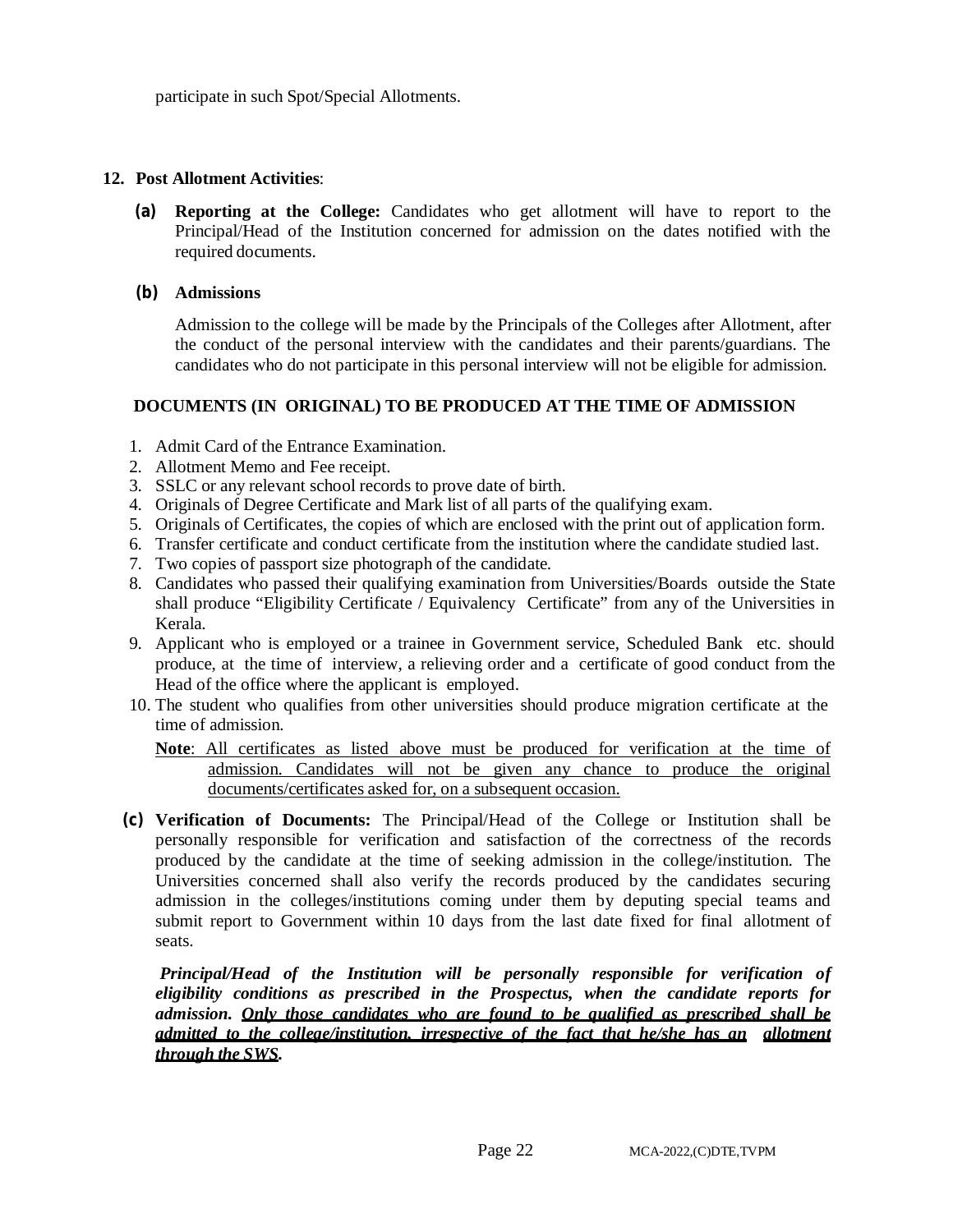participate in such Spot/Special Allotments.

### **12. Post Allotment Activities**:

**(a) Reporting at the College:** Candidates who get allotment will have to report to the Principal/Head of the Institution concerned for admission on the dates notified with the required documents.

#### **(b) Admissions**

Admission to the college will be made by the Principals of the Colleges after Allotment, after the conduct of the personal interview with the candidates and their parents/guardians. The candidates who do not participate in this personal interview will not be eligible for admission.

# **DOCUMENTS (IN ORIGINAL) TO BE PRODUCED AT THE TIME OF ADMISSION**

- 1. Admit Card of the Entrance Examination.
- 2. Allotment Memo and Fee receipt.
- 3. SSLC or any relevant school records to prove date of birth.
- 4. Originals of Degree Certificate and Mark list of all parts of the qualifying exam.
- 5. Originals of Certificates, the copies of which are enclosed with the print out of application form.
- 6. Transfer certificate and conduct certificate from the institution where the candidate studied last.
- 7. Two copies of passport size photograph of the candidate.
- 8. Candidates who passed their qualifying examination from Universities/Boards outside the State shall produce "Eligibility Certificate / Equivalency Certificate" from any of the Universities in Kerala.
- 9. Applicant who is employed or a trainee in Government service, Scheduled Bank etc. should produce, at the time of interview, a relieving order and a certificate of good conduct from the Head of the office where the applicant is employed.
- 10. The student who qualifies from other universities should produce migration certificate at the time of admission.

**Note**: All certificates as listed above must be produced for verification at the time of admission. Candidates will not be given any chance to produce the original documents/certificates asked for, on a subsequent occasion.

**(c) Verification of Documents:** The Principal/Head of the College or Institution shall be personally responsible for verification and satisfaction of the correctness of the records produced by the candidate at the time of seeking admission in the college/institution. The Universities concerned shall also verify the records produced by the candidates securing admission in the colleges/institutions coming under them by deputing special teams and submit report to Government within 10 days from the last date fixed for final allotment of seats.

*Principal/Head of the Institution will be personally responsible for verification of eligibility conditions as prescribed in the Prospectus, when the candidate reports for admission. Only those candidates who are found to be qualified as prescribed shall be admitted to the college/institution, irrespective of the fact that he/she has an allotment through the SWS.*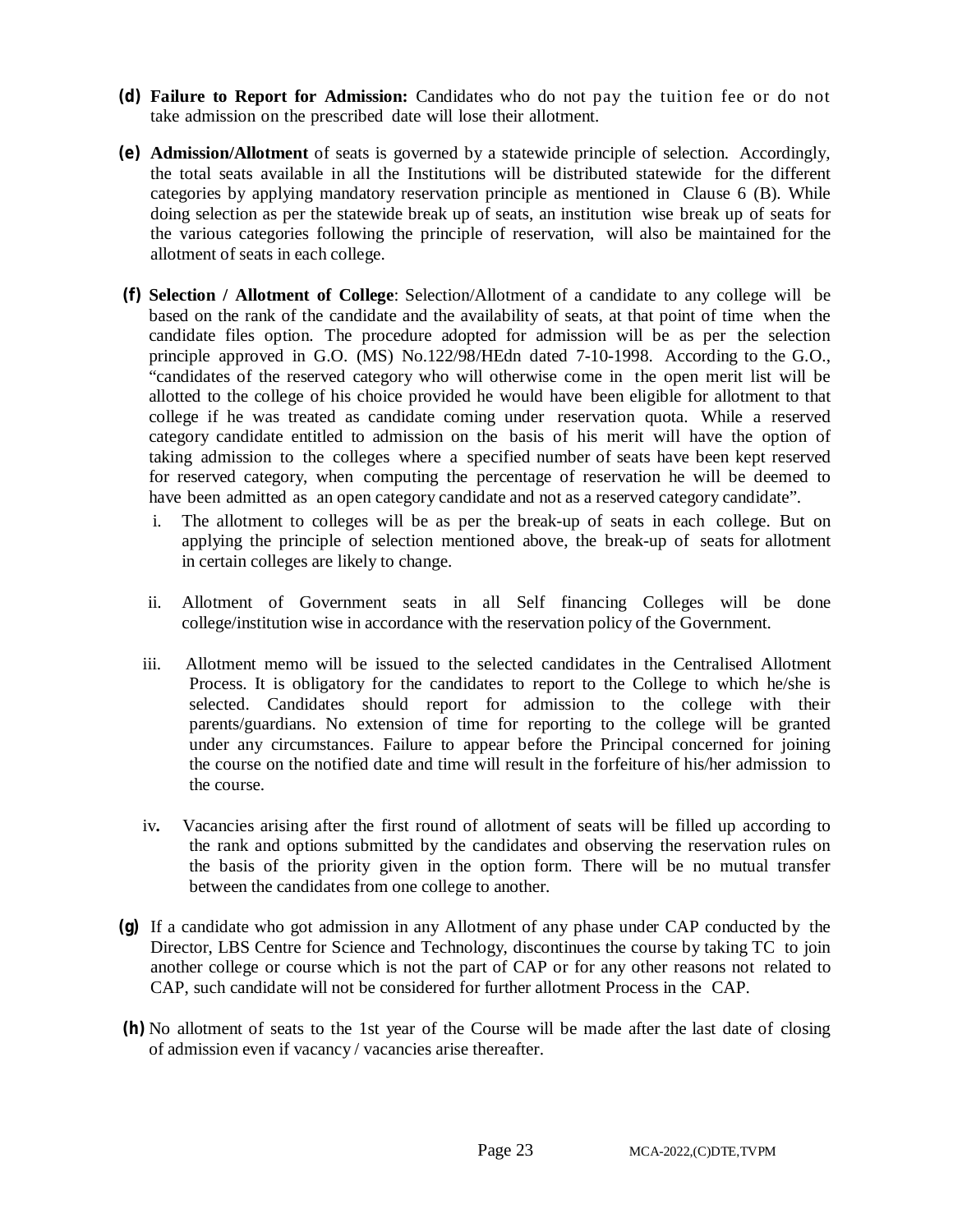- **(d) Failure to Report for Admission:** Candidates who do not pay the tuition fee or do not take admission on the prescribed date will lose their allotment.
- **(e) Admission/Allotment** of seats is governed by a statewide principle of selection. Accordingly, the total seats available in all the Institutions will be distributed statewide for the different categories by applying mandatory reservation principle as mentioned in Clause 6 (B). While doing selection as per the statewide break up of seats, an institution wise break up of seats for the various categories following the principle of reservation, will also be maintained for the allotment of seats in each college.
- **(f) Selection / Allotment of College**: Selection/Allotment of a candidate to any college will be based on the rank of the candidate and the availability of seats, at that point of time when the candidate files option. The procedure adopted for admission will be as per the selection principle approved in G.O. (MS) No.122/98/HEdn dated 7-10-1998. According to the G.O., "candidates of the reserved category who will otherwise come in the open merit list will be allotted to the college of his choice provided he would have been eligible for allotment to that college if he was treated as candidate coming under reservation quota. While a reserved category candidate entitled to admission on the basis of his merit will have the option of taking admission to the colleges where a specified number of seats have been kept reserved for reserved category, when computing the percentage of reservation he will be deemed to have been admitted as an open category candidate and not as a reserved category candidate".
	- i. The allotment to colleges will be as per the break-up of seats in each college. But on applying the principle of selection mentioned above, the break-up of seats for allotment in certain colleges are likely to change.
	- ii. Allotment of Government seats in all Self financing Colleges will be done college/institution wise in accordance with the reservation policy of the Government.
	- iii. Allotment memo will be issued to the selected candidates in the Centralised Allotment Process. It is obligatory for the candidates to report to the College to which he/she is selected. Candidates should report for admission to the college with their parents/guardians. No extension of time for reporting to the college will be granted under any circumstances. Failure to appear before the Principal concerned for joining the course on the notified date and time will result in the forfeiture of his/her admission to the course.
	- iv**.** Vacancies arising after the first round of allotment of seats will be filled up according to the rank and options submitted by the candidates and observing the reservation rules on the basis of the priority given in the option form. There will be no mutual transfer between the candidates from one college to another.
- **(g)** If a candidate who got admission in any Allotment of any phase under CAP conducted by the Director, LBS Centre for Science and Technology, discontinues the course by taking TC to join another college or course which is not the part of CAP or for any other reasons not related to CAP, such candidate will not be considered for further allotment Process in the CAP.
- **(h)** No allotment of seats to the 1st year of the Course will be made after the last date of closing of admission even if vacancy / vacancies arise thereafter.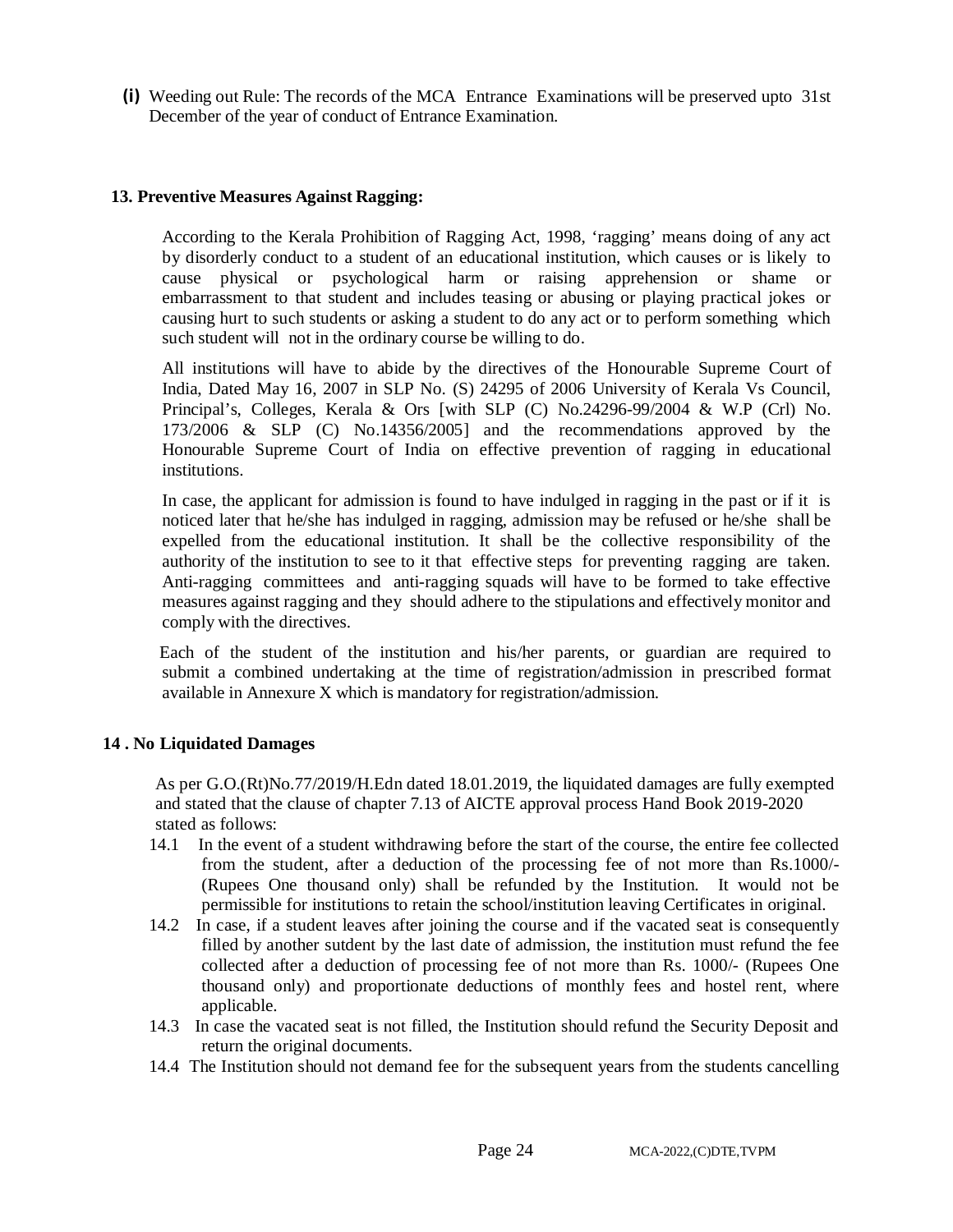**(i)** Weeding out Rule: The records of the MCA Entrance Examinations will be preserved upto 31st December of the year of conduct of Entrance Examination.

#### **13. Preventive Measures Against Ragging:**

According to the Kerala Prohibition of Ragging Act, 1998, 'ragging' means doing of any act by disorderly conduct to a student of an educational institution, which causes or is likely to cause physical or psychological harm or raising apprehension or shame or embarrassment to that student and includes teasing or abusing or playing practical jokes or causing hurt to such students or asking a student to do any act or to perform something which such student will not in the ordinary course be willing to do.

All institutions will have to abide by the directives of the Honourable Supreme Court of India, Dated May 16, 2007 in SLP No. (S) 24295 of 2006 University of Kerala Vs Council, Principal's, Colleges, Kerala & Ors [with SLP (C) No.24296-99/2004 & W.P (Crl) No. 173/2006 & SLP (C) No.14356/2005] and the recommendations approved by the Honourable Supreme Court of India on effective prevention of ragging in educational institutions.

In case, the applicant for admission is found to have indulged in ragging in the past or if it is noticed later that he/she has indulged in ragging, admission may be refused or he/she shall be expelled from the educational institution. It shall be the collective responsibility of the authority of the institution to see to it that effective steps for preventing ragging are taken. Anti-ragging committees and anti-ragging squads will have to be formed to take effective measures against ragging and they should adhere to the stipulations and effectively monitor and comply with the directives.

Each of the student of the institution and his/her parents, or guardian are required to submit a combined undertaking at the time of registration/admission in prescribed format available in Annexure X which is mandatory for registration/admission.

#### **14 . No Liquidated Damages**

As per G.O.(Rt)No.77/2019/H.Edn dated 18.01.2019, the liquidated damages are fully exempted and stated that the clause of chapter 7.13 of AICTE approval process Hand Book 2019-2020 stated as follows:

- 14.1 In the event of a student withdrawing before the start of the course, the entire fee collected from the student, after a deduction of the processing fee of not more than Rs.1000/- (Rupees One thousand only) shall be refunded by the Institution. It would not be permissible for institutions to retain the school/institution leaving Certificates in original.
- 14.2 In case, if a student leaves after joining the course and if the vacated seat is consequently filled by another sutdent by the last date of admission, the institution must refund the fee collected after a deduction of processing fee of not more than Rs. 1000/- (Rupees One thousand only) and proportionate deductions of monthly fees and hostel rent, where applicable.
- 14.3 In case the vacated seat is not filled, the Institution should refund the Security Deposit and return the original documents.
- 14.4 The Institution should not demand fee for the subsequent years from the students cancelling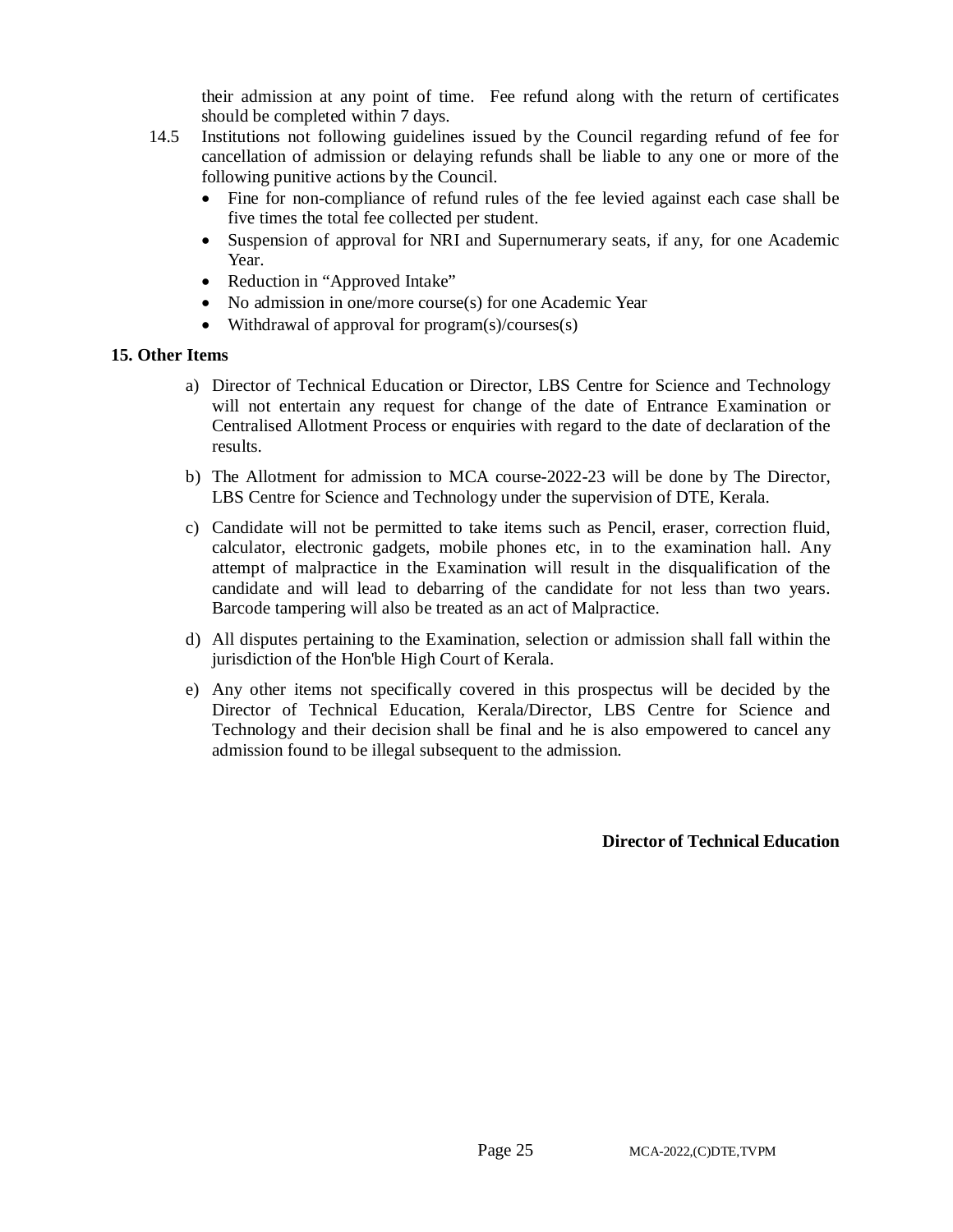their admission at any point of time. Fee refund along with the return of certificates should be completed within 7 days.

- 14.5 Institutions not following guidelines issued by the Council regarding refund of fee for cancellation of admission or delaying refunds shall be liable to any one or more of the following punitive actions by the Council.
	- Fine for non-compliance of refund rules of the fee levied against each case shall be five times the total fee collected per student.
	- Suspension of approval for NRI and Supernumerary seats, if any, for one Academic Year.
	- Reduction in "Approved Intake"
	- No admission in one/more course(s) for one Academic Year
	- Withdrawal of approval for program(s)/courses(s)

#### **15. Other Items**

- a) Director of Technical Education or Director, LBS Centre for Science and Technology will not entertain any request for change of the date of Entrance Examination or Centralised Allotment Process or enquiries with regard to the date of declaration of the results.
- b) The Allotment for admission to MCA course-2022-23 will be done by The Director, LBS Centre for Science and Technology under the supervision of DTE, Kerala.
- c) Candidate will not be permitted to take items such as Pencil, eraser, correction fluid, calculator, electronic gadgets, mobile phones etc, in to the examination hall. Any attempt of malpractice in the Examination will result in the disqualification of the candidate and will lead to debarring of the candidate for not less than two years. Barcode tampering will also be treated as an act of Malpractice.
- d) All disputes pertaining to the Examination, selection or admission shall fall within the jurisdiction of the Hon'ble High Court of Kerala.
- e) Any other items not specifically covered in this prospectus will be decided by the Director of Technical Education, Kerala/Director, LBS Centre for Science and Technology and their decision shall be final and he is also empowered to cancel any admission found to be illegal subsequent to the admission.

 **Director of Technical Education**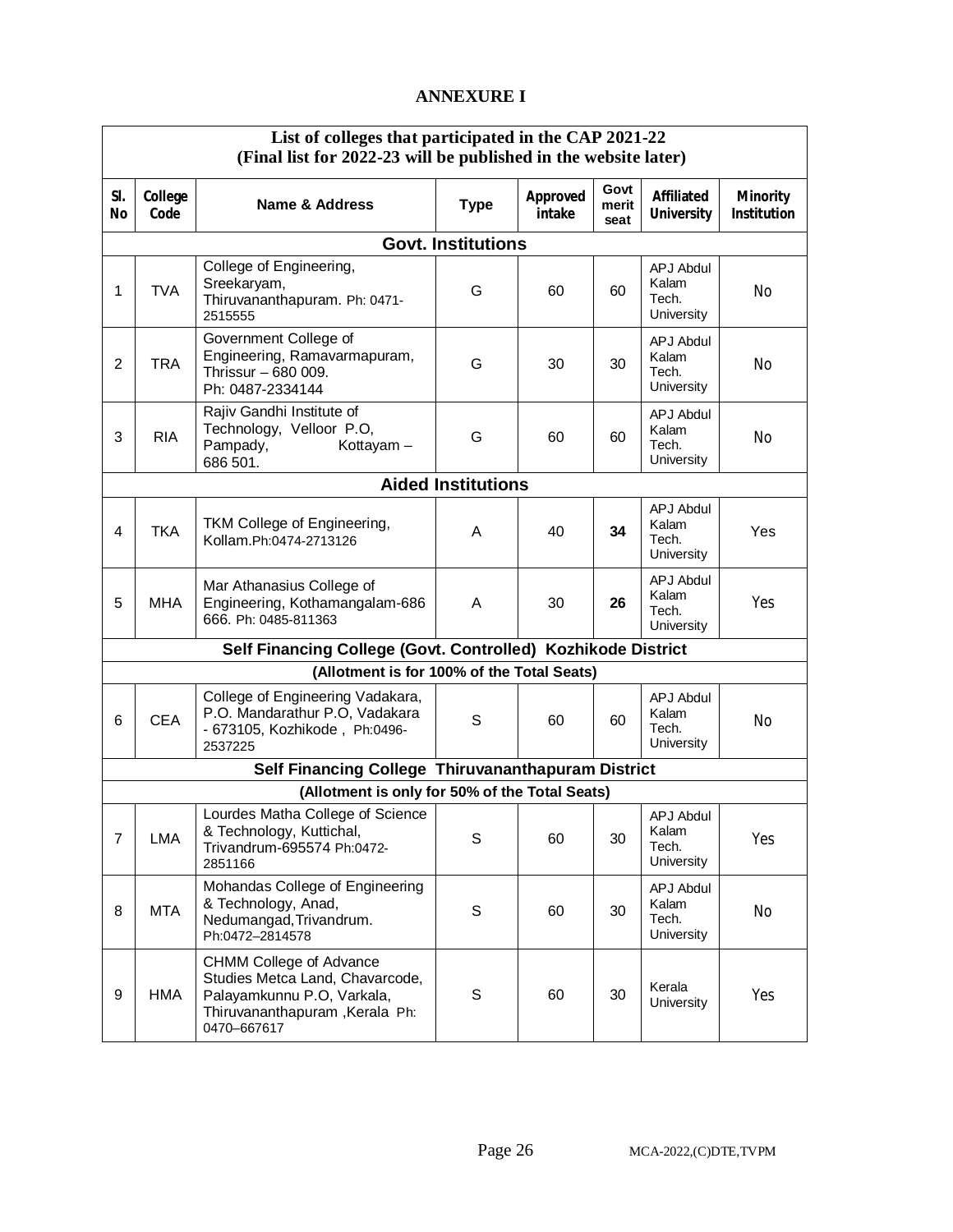# **ANNEXURE I**

|                | List of colleges that participated in the CAP 2021-22<br>(Final list for 2022-23 will be published in the website later) |                                                                                                                                                  |                           |                    |                       |                                                  |                                       |
|----------------|--------------------------------------------------------------------------------------------------------------------------|--------------------------------------------------------------------------------------------------------------------------------------------------|---------------------------|--------------------|-----------------------|--------------------------------------------------|---------------------------------------|
| SI.<br>No      | College<br>Code                                                                                                          | Name & Address                                                                                                                                   | <b>Type</b>               | Approved<br>intake | Govt<br>merit<br>seat | <b>Affiliated</b><br><b>University</b>           | <b>Minority</b><br><b>Institution</b> |
|                |                                                                                                                          |                                                                                                                                                  | <b>Govt. Institutions</b> |                    |                       |                                                  |                                       |
| 1              | <b>TVA</b>                                                                                                               | College of Engineering,<br>Sreekaryam,<br>Thiruvananthapuram. Ph: 0471-<br>2515555                                                               | G                         | 60                 | 60                    | <b>APJ Abdul</b><br>Kalam<br>Tech.<br>University | No                                    |
| $\overline{2}$ | <b>TRA</b>                                                                                                               | Government College of<br>Engineering, Ramavarmapuram,<br>Thrissur - 680 009.<br>Ph: 0487-2334144                                                 | G                         | 30                 | 30                    | <b>APJ Abdul</b><br>Kalam<br>Tech.<br>University | No                                    |
| 3              | <b>RIA</b>                                                                                                               | Rajiv Gandhi Institute of<br>Technology, Velloor P.O,<br>Pampady,<br>Kottayam-<br>686 501.                                                       | G                         | 60                 | 60                    | <b>APJ Abdul</b><br>Kalam<br>Tech.<br>University | No                                    |
|                |                                                                                                                          |                                                                                                                                                  | <b>Aided Institutions</b> |                    |                       |                                                  |                                       |
| 4              | <b>TKA</b>                                                                                                               | TKM College of Engineering,<br>Kollam.Ph:0474-2713126                                                                                            | A                         | 40                 | 34                    | <b>APJ Abdul</b><br>Kalam<br>Tech.<br>University | Yes                                   |
| 5              | <b>MHA</b>                                                                                                               | Mar Athanasius College of<br>Engineering, Kothamangalam-686<br>666. Ph: 0485-811363                                                              | A                         | 30                 | 26                    | <b>APJ Abdul</b><br>Kalam<br>Tech.<br>University | Yes                                   |
|                |                                                                                                                          | Self Financing College (Govt. Controlled) Kozhikode District                                                                                     |                           |                    |                       |                                                  |                                       |
|                |                                                                                                                          | (Allotment is for 100% of the Total Seats)                                                                                                       |                           |                    |                       |                                                  |                                       |
| 6              | <b>CEA</b>                                                                                                               | College of Engineering Vadakara,<br>P.O. Mandarathur P.O, Vadakara<br>- 673105, Kozhikode, Ph:0496-<br>2537225                                   | S                         | 60                 | 60                    | APJ Abdul<br>Kalam<br>Tech.<br>University        | No                                    |
|                |                                                                                                                          | Self Financing College Thiruvananthapuram District                                                                                               |                           |                    |                       |                                                  |                                       |
|                |                                                                                                                          | (Allotment is only for 50% of the Total Seats)                                                                                                   |                           |                    |                       |                                                  |                                       |
| $\overline{7}$ | LMA                                                                                                                      | Lourdes Matha College of Science<br>& Technology, Kuttichal,<br>Trivandrum-695574 Ph:0472-<br>2851166                                            | S                         | 60                 | 30                    | <b>APJ Abdul</b><br>Kalam<br>Tech.<br>University | Yes                                   |
| 8              | <b>MTA</b>                                                                                                               | Mohandas College of Engineering<br>& Technology, Anad,<br>Nedumangad, Trivandrum.<br>Ph:0472-2814578                                             | S                         | 60                 | 30                    | APJ Abdul<br>Kalam<br>Tech.<br>University        | No                                    |
| 9              | <b>HMA</b>                                                                                                               | <b>CHMM College of Advance</b><br>Studies Metca Land, Chavarcode,<br>Palayamkunnu P.O, Varkala,<br>Thiruvananthapuram, Kerala Ph:<br>0470-667617 | S                         | 60                 | 30                    | Kerala<br>University                             | Yes                                   |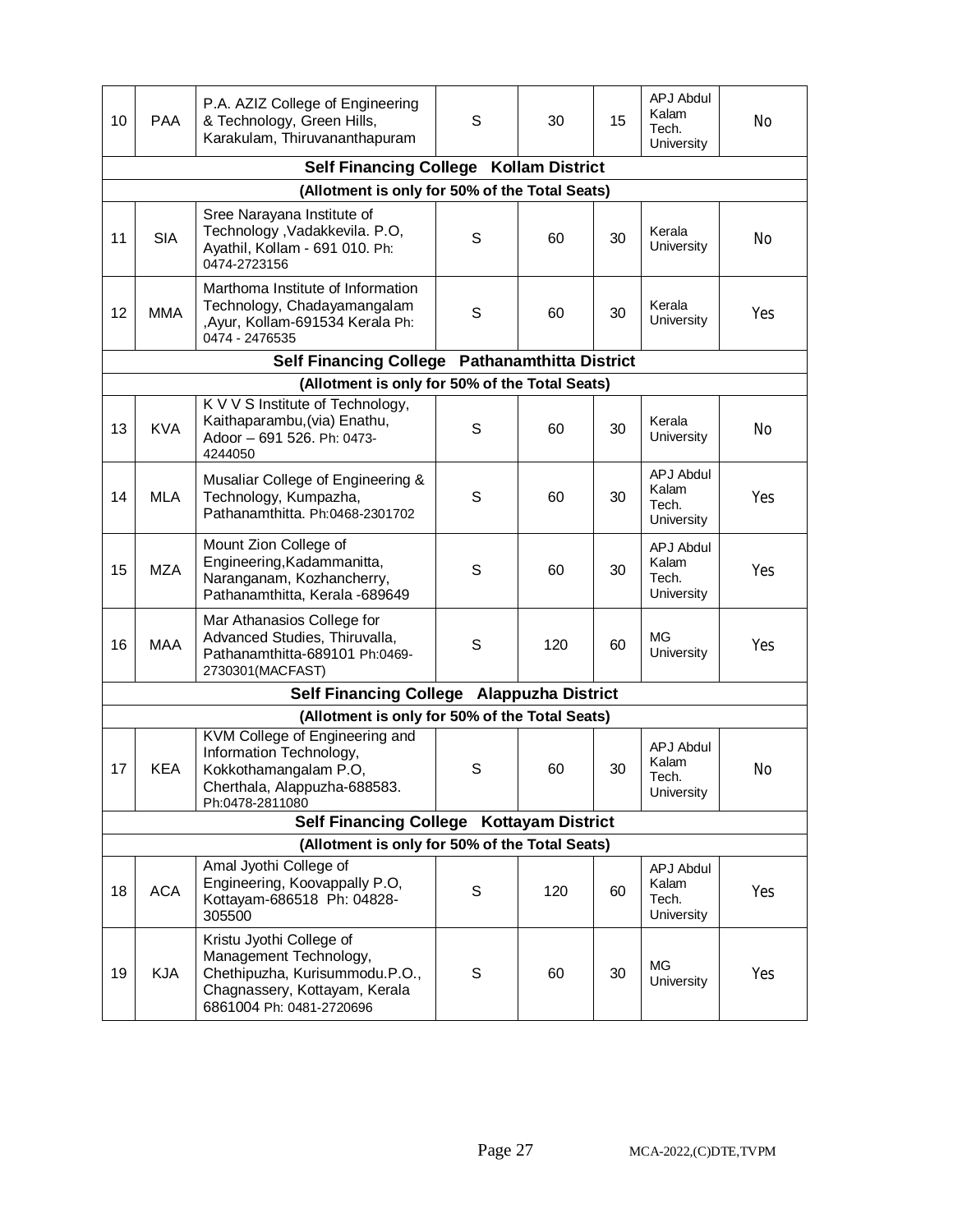| 10 | <b>PAA</b>                                     | P.A. AZIZ College of Engineering<br>& Technology, Green Hills,<br>Karakulam, Thiruvananthapuram                                                   | S | 30  | 15 | <b>APJ Abdul</b><br>Kalam<br>Tech.<br>University | No  |  |
|----|------------------------------------------------|---------------------------------------------------------------------------------------------------------------------------------------------------|---|-----|----|--------------------------------------------------|-----|--|
|    |                                                | Self Financing College Kollam District                                                                                                            |   |     |    |                                                  |     |  |
|    | (Allotment is only for 50% of the Total Seats) |                                                                                                                                                   |   |     |    |                                                  |     |  |
| 11 | <b>SIA</b>                                     | Sree Narayana Institute of<br>Technology , Vadakkevila. P.O,<br>Ayathil, Kollam - 691 010. Ph:<br>0474-2723156                                    | S | 60  | 30 | Kerala<br>University                             | No  |  |
| 12 | <b>MMA</b>                                     | Marthoma Institute of Information<br>Technology, Chadayamangalam<br>, Ayur, Kollam-691534 Kerala Ph:<br>0474 - 2476535                            | S | 60  | 30 | Kerala<br>University                             | Yes |  |
|    |                                                | Self Financing College Pathanamthitta District                                                                                                    |   |     |    |                                                  |     |  |
|    |                                                | (Allotment is only for 50% of the Total Seats)                                                                                                    |   |     |    |                                                  |     |  |
| 13 | <b>KVA</b>                                     | K V V S Institute of Technology,<br>Kaithaparambu, (via) Enathu,<br>Adoor - 691 526. Ph: 0473-<br>4244050                                         | S | 60  | 30 | Kerala<br>University                             | No  |  |
| 14 | <b>MLA</b>                                     | Musaliar College of Engineering &<br>Technology, Kumpazha,<br>Pathanamthitta. Ph:0468-2301702                                                     | S | 60  | 30 | <b>APJ Abdul</b><br>Kalam<br>Tech.<br>University | Yes |  |
| 15 | <b>MZA</b>                                     | Mount Zion College of<br>Engineering, Kadammanitta,<br>Naranganam, Kozhancherry,<br>Pathanamthitta, Kerala -689649                                | S | 60  | 30 | <b>APJ Abdul</b><br>Kalam<br>Tech.<br>University | Yes |  |
| 16 | <b>MAA</b>                                     | Mar Athanasios College for<br>Advanced Studies, Thiruvalla,<br>Pathanamthitta-689101 Ph:0469-<br>2730301(MACFAST)                                 | S | 120 | 60 | МG<br>University                                 | Yes |  |
|    |                                                | Self Financing College Alappuzha District                                                                                                         |   |     |    |                                                  |     |  |
|    |                                                | (Allotment is only for 50% of the Total Seats)                                                                                                    |   |     |    |                                                  |     |  |
| 17 | <b>KEA</b>                                     | KVM College of Engineering and<br>Information Technology,<br>Kokkothamangalam P.O,<br>Cherthala, Alappuzha-688583.<br>Ph:0478-2811080             | S | 60  | 30 | APJ Abdul<br>Kalam<br>Tech.<br>University        | No  |  |
|    |                                                | Self Financing College Kottayam District                                                                                                          |   |     |    |                                                  |     |  |
|    |                                                | (Allotment is only for 50% of the Total Seats)                                                                                                    |   |     |    |                                                  |     |  |
| 18 | <b>ACA</b>                                     | Amal Jyothi College of<br>Engineering, Koovappally P.O,<br>Kottayam-686518 Ph: 04828-<br>305500                                                   | S | 120 | 60 | <b>APJ Abdul</b><br>Kalam<br>Tech.<br>University | Yes |  |
| 19 | <b>KJA</b>                                     | Kristu Jyothi College of<br>Management Technology,<br>Chethipuzha, Kurisummodu.P.O.,<br>Chagnassery, Kottayam, Kerala<br>6861004 Ph: 0481-2720696 | S | 60  | 30 | <b>MG</b><br>University                          | Yes |  |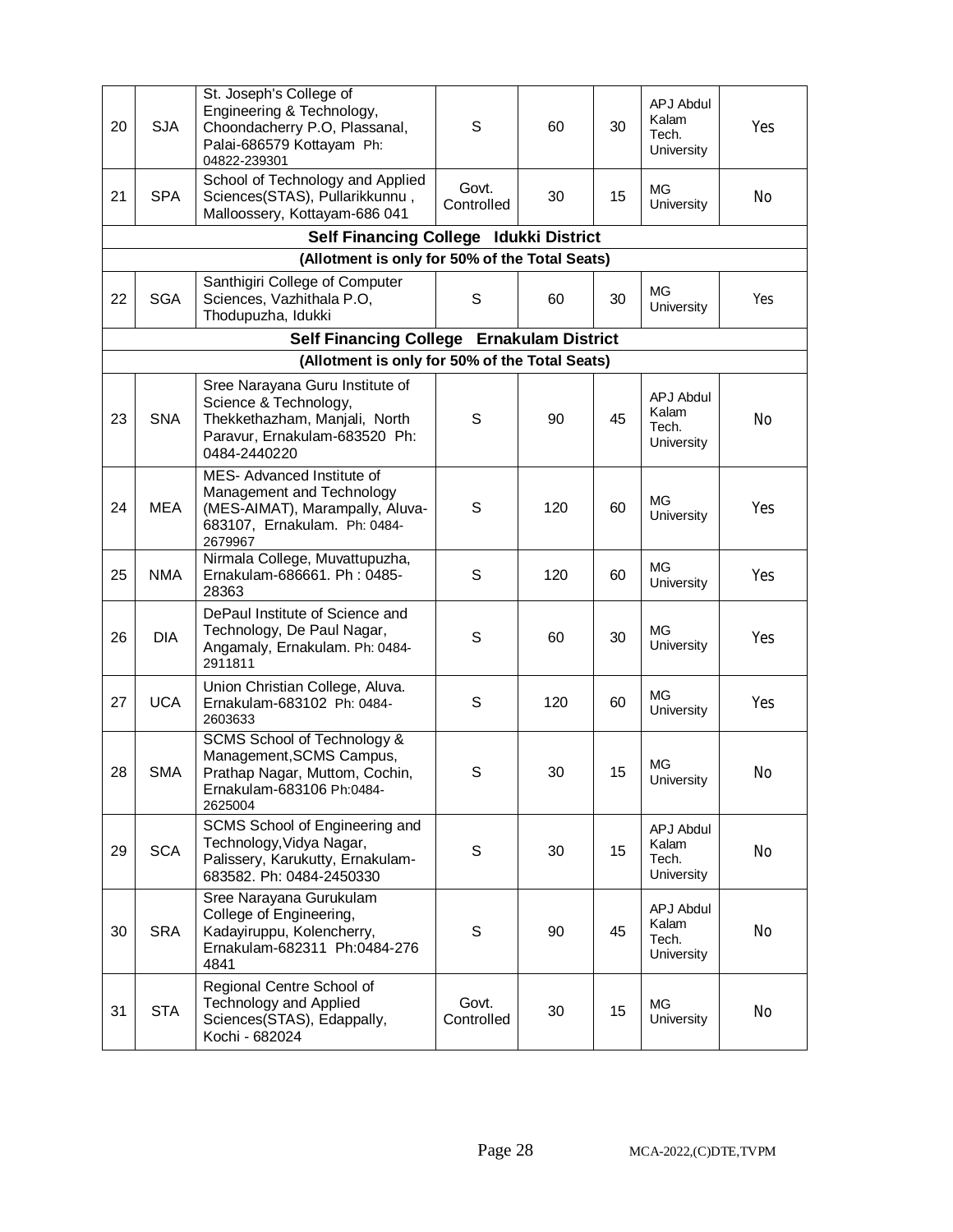| 20 | <b>SJA</b>                                     | St. Joseph's College of<br>Engineering & Technology,<br>Choondacherry P.O, Plassanal,<br>Palai-686579 Kottayam Ph:<br>04822-239301         | S                   | 60                     | 30 | APJ Abdul<br>Kalam<br>Tech.<br>University        | Yes |
|----|------------------------------------------------|--------------------------------------------------------------------------------------------------------------------------------------------|---------------------|------------------------|----|--------------------------------------------------|-----|
| 21 | <b>SPA</b>                                     | School of Technology and Applied<br>Sciences(STAS), Pullarikkunnu,<br>Malloossery, Kottayam-686 041                                        | Govt.<br>Controlled | 30                     | 15 | МG<br>University                                 | No  |
|    |                                                | <b>Self Financing College</b>                                                                                                              |                     | <b>Idukki District</b> |    |                                                  |     |
|    | (Allotment is only for 50% of the Total Seats) |                                                                                                                                            |                     |                        |    |                                                  |     |
| 22 | <b>SGA</b>                                     | Santhigiri College of Computer<br>Sciences, Vazhithala P.O,<br>Thodupuzha, Idukki                                                          | S                   | 60                     | 30 | MG<br>University                                 | Yes |
|    |                                                | Self Financing College Ernakulam District                                                                                                  |                     |                        |    |                                                  |     |
|    |                                                | (Allotment is only for 50% of the Total Seats)                                                                                             |                     |                        |    |                                                  |     |
| 23 | <b>SNA</b>                                     | Sree Narayana Guru Institute of<br>Science & Technology,<br>Thekkethazham, Manjali, North<br>Paravur, Ernakulam-683520 Ph:<br>0484-2440220 | S                   | 90                     | 45 | <b>APJ Abdul</b><br>Kalam<br>Tech.<br>University | No  |
| 24 | <b>MEA</b>                                     | MES-Advanced Institute of<br>Management and Technology<br>(MES-AIMAT), Marampally, Aluva-<br>683107, Ernakulam. Ph: 0484-<br>2679967       | S                   | 120                    | 60 | <b>MG</b><br>University                          | Yes |
| 25 | <b>NMA</b>                                     | Nirmala College, Muvattupuzha,<br>Ernakulam-686661. Ph: 0485-<br>28363                                                                     | S                   | 120                    | 60 | МG<br>University                                 | Yes |
| 26 | <b>DIA</b>                                     | DePaul Institute of Science and<br>Technology, De Paul Nagar,<br>Angamaly, Ernakulam. Ph: 0484-<br>2911811                                 | S                   | 60                     | 30 | <b>MG</b><br>University                          | Yes |
| 27 | <b>UCA</b>                                     | Union Christian College, Aluva.<br>Ernakulam-683102 Ph: 0484-<br>2603633                                                                   | S                   | 120                    | 60 | <b>MG</b><br>University                          | Yes |
| 28 | <b>SMA</b>                                     | SCMS School of Technology &<br>Management, SCMS Campus,<br>Prathap Nagar, Muttom, Cochin,<br>Ernakulam-683106 Ph:0484-<br>2625004          | S                   | 30                     | 15 | МG<br>University                                 | No  |
| 29 | <b>SCA</b>                                     | SCMS School of Engineering and<br>Technology, Vidya Nagar,<br>Palissery, Karukutty, Ernakulam-<br>683582. Ph: 0484-2450330                 | S                   | 30                     | 15 | <b>APJ Abdul</b><br>Kalam<br>Tech.<br>University | No  |
| 30 | <b>SRA</b>                                     | Sree Narayana Gurukulam<br>College of Engineering,<br>Kadayiruppu, Kolencherry,<br>Ernakulam-682311 Ph:0484-276<br>4841                    | S                   | 90                     | 45 | <b>APJ Abdul</b><br>Kalam<br>Tech.<br>University | No  |
| 31 | <b>STA</b>                                     | Regional Centre School of<br><b>Technology and Applied</b><br>Sciences(STAS), Edappally,<br>Kochi - 682024                                 | Govt.<br>Controlled | 30                     | 15 | МG<br>University                                 | No  |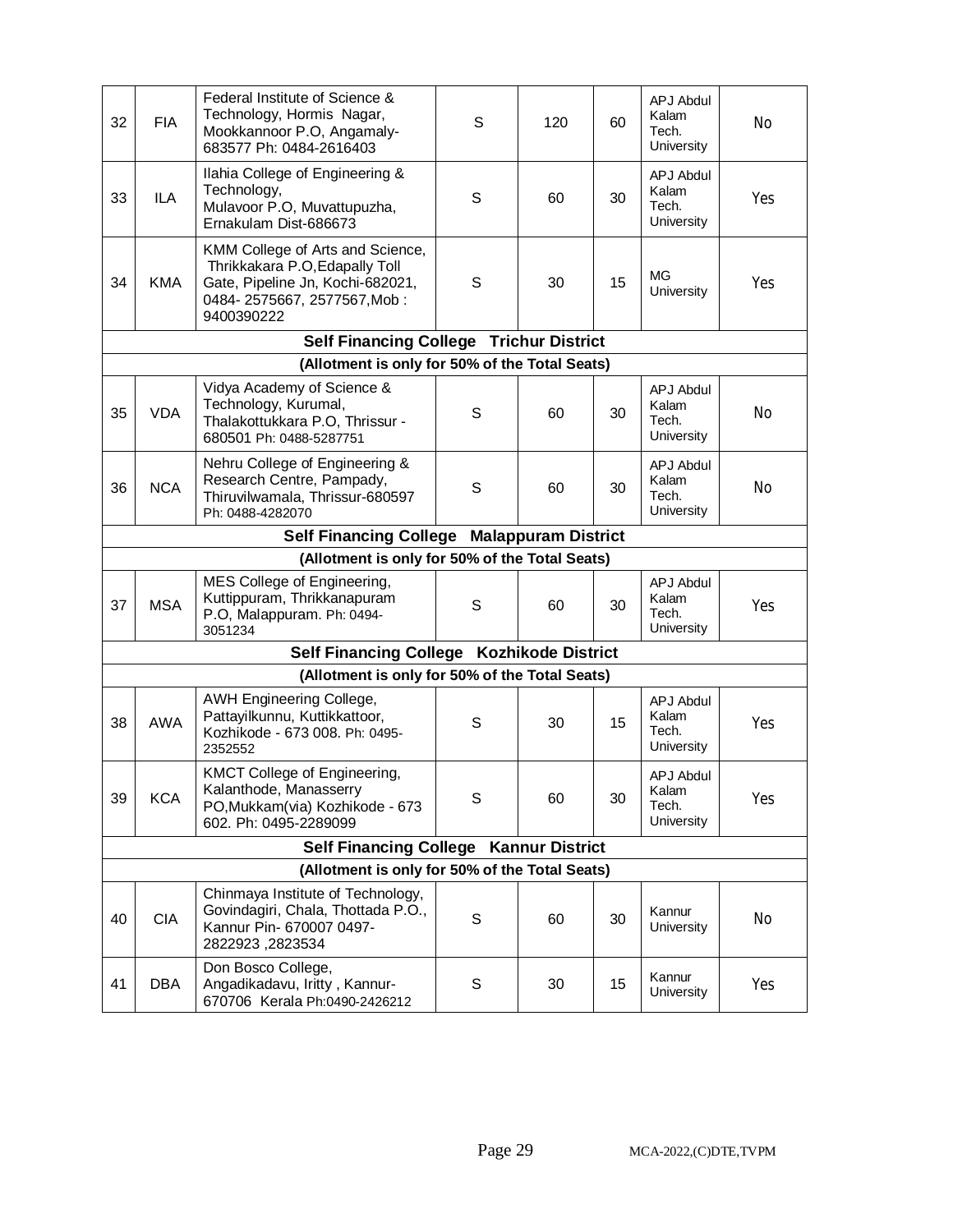| 32 | <b>FIA</b> | Federal Institute of Science &<br>Technology, Hormis Nagar,<br>Mookkannoor P.O, Angamaly-<br>683577 Ph: 0484-2616403                                | S | 120 | 60 | <b>APJ Abdul</b><br>Kalam<br>Tech.<br>University | No  |
|----|------------|-----------------------------------------------------------------------------------------------------------------------------------------------------|---|-----|----|--------------------------------------------------|-----|
| 33 | ILA        | Ilahia College of Engineering &<br>Technology,<br>Mulavoor P.O, Muvattupuzha,<br>Ernakulam Dist-686673                                              | S | 60  | 30 | <b>APJ Abdul</b><br>Kalam<br>Tech.<br>University | Yes |
| 34 | <b>KMA</b> | KMM College of Arts and Science,<br>Thrikkakara P.O, Edapally Toll<br>Gate, Pipeline Jn, Kochi-682021,<br>0484-2575667, 2577567, Mob:<br>9400390222 | S | 30  | 15 | МG<br>University                                 | Yes |
|    |            | <b>Self Financing College Trichur District</b>                                                                                                      |   |     |    |                                                  |     |
|    |            | (Allotment is only for 50% of the Total Seats)                                                                                                      |   |     |    |                                                  |     |
| 35 | <b>VDA</b> | Vidya Academy of Science &<br>Technology, Kurumal,<br>Thalakottukkara P.O, Thrissur -<br>680501 Ph: 0488-5287751                                    | S | 60  | 30 | <b>APJ Abdul</b><br>Kalam<br>Tech.<br>University | No  |
| 36 | <b>NCA</b> | Nehru College of Engineering &<br>Research Centre, Pampady,<br>Thiruvilwamala, Thrissur-680597<br>Ph: 0488-4282070                                  | S | 60  | 30 | <b>APJ Abdul</b><br>Kalam<br>Tech.<br>University | No  |
|    |            | Self Financing College Malappuram District                                                                                                          |   |     |    |                                                  |     |
|    |            | (Allotment is only for 50% of the Total Seats)                                                                                                      |   |     |    |                                                  |     |
| 37 | <b>MSA</b> | MES College of Engineering,<br>Kuttippuram, Thrikkanapuram<br>P.O, Malappuram. Ph: 0494-<br>3051234                                                 | S | 60  | 30 | <b>APJ Abdul</b><br>Kalam<br>Tech.<br>University | Yes |
|    |            | Self Financing College Kozhikode District                                                                                                           |   |     |    |                                                  |     |
|    |            | (Allotment is only for 50% of the Total Seats)                                                                                                      |   |     |    |                                                  |     |
| 38 | <b>AWA</b> | AWH Engineering College,<br>Pattayilkunnu, Kuttikkattoor,<br>Kozhikode - 673 008. Ph: 0495-<br>2352552                                              | S | 30  | 15 | <b>APJ Abdul</b><br>Kalam<br>Tech.<br>University | Yes |
| 39 | <b>KCA</b> | KMCT College of Engineering,<br>Kalanthode, Manasserry<br>PO, Mukkam (via) Kozhikode - 673<br>602. Ph: 0495-2289099                                 | S | 60  | 30 | APJ Abdul<br>Kalam<br>Tech.<br>University        | Yes |
|    |            | Self Financing College Kannur District                                                                                                              |   |     |    |                                                  |     |
|    |            | (Allotment is only for 50% of the Total Seats)                                                                                                      |   |     |    |                                                  |     |
| 40 | <b>CIA</b> | Chinmaya Institute of Technology,<br>Govindagiri, Chala, Thottada P.O.,<br>Kannur Pin- 670007 0497-<br>2822923, 2823534                             | S | 60  | 30 | Kannur<br>University                             | No  |
| 41 | DBA        | Don Bosco College,<br>Angadikadavu, Iritty, Kannur-<br>670706 Kerala Ph:0490-2426212                                                                | S | 30  | 15 | Kannur<br>University                             | Yes |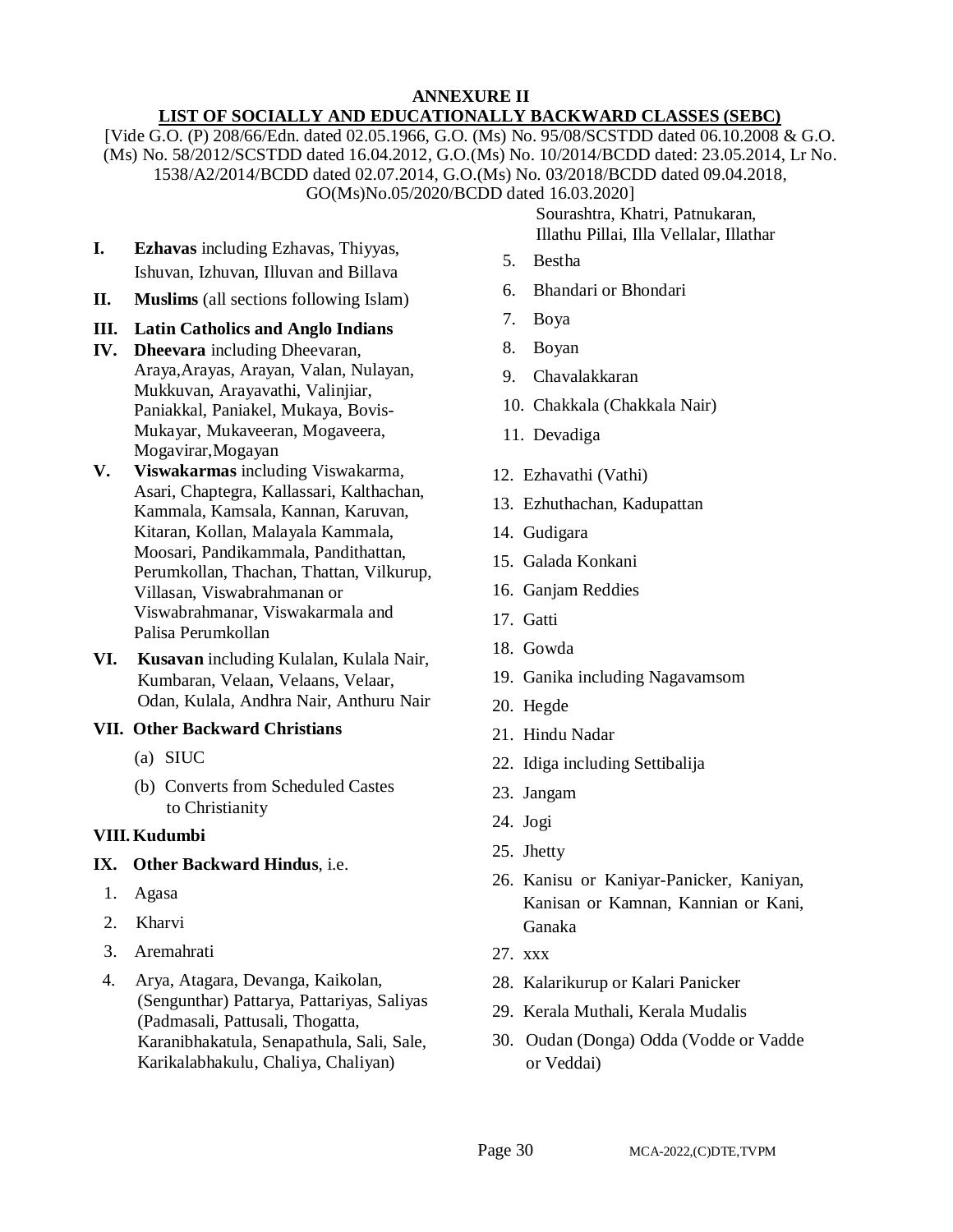#### **ANNEXURE II LIST OF SOCIALLY AND EDUCATIONALLY BACKWARD CLASSES (SEBC)**

[Vide G.O. (P) 208/66/Edn. dated 02.05.1966, G.O. (Ms) No. 95/08/SCSTDD dated 06.10.2008 & G.O. (Ms) No. 58/2012/SCSTDD dated 16.04.2012, G.O.(Ms) No. 10/2014/BCDD dated: 23.05.2014, Lr No. 1538/A2/2014/BCDD dated 02.07.2014, G.O.(Ms) No. 03/2018/BCDD dated 09.04.2018, GO(Ms)No.05/2020/BCDD dated 16.03.2020]

- **I. Ezhavas** including Ezhavas, Thiyyas, Ishuvan, Izhuvan, Illuvan and Billava
- **II. Muslims** (all sections following Islam)

# **III. Latin Catholics and Anglo Indians**

- **IV. Dheevara** including Dheevaran, Araya,Arayas, Arayan, Valan, Nulayan, Mukkuvan, Arayavathi, Valinjiar, Paniakkal, Paniakel, Mukaya, Bovis-Mukayar, Mukaveeran, Mogaveera, Mogavirar,Mogayan
- **V. Viswakarmas** including Viswakarma, Asari, Chaptegra, Kallassari, Kalthachan, Kammala, Kamsala, Kannan, Karuvan, Kitaran, Kollan, Malayala Kammala, Moosari, Pandikammala, Pandithattan, Perumkollan, Thachan, Thattan, Vilkurup, Villasan, Viswabrahmanan or Viswabrahmanar, Viswakarmala and Palisa Perumkollan
- **VI. Kusavan** including Kulalan, Kulala Nair, Kumbaran, Velaan, Velaans, Velaar, Odan, Kulala, Andhra Nair, Anthuru Nair

# **VII. Other Backward Christians**

- (a) SIUC
- (b) Converts from Scheduled Castes to Christianity

# **VIII.Kudumbi**

# **IX. Other Backward Hindus**, i.e.

- 1. Agasa
- 2. Kharvi
- 3. Aremahrati
- 4. Arya, Atagara, Devanga, Kaikolan, (Sengunthar) Pattarya, Pattariyas, Saliyas (Padmasali, Pattusali, Thogatta, Karanibhakatula, Senapathula, Sali, Sale, Karikalabhakulu, Chaliya, Chaliyan)

Sourashtra, Khatri, Patnukaran, Illathu Pillai, Illa Vellalar, Illathar

- 5. Bestha
- 6. Bhandari or Bhondari
- 7. Boya
- 8. Boyan
- 9. Chavalakkaran
- 10. Chakkala (Chakkala Nair)
- 11. Devadiga
- 12. Ezhavathi (Vathi)
- 13. Ezhuthachan, Kadupattan
- 14. Gudigara
- 15. Galada Konkani
- 16. Ganjam Reddies
- 17. Gatti
- 18. Gowda
- 19. Ganika including Nagavamsom
- 20. Hegde
- 21. Hindu Nadar
- 22. Idiga including Settibalija
- 23. Jangam
- 24. Jogi
- 25. Jhetty
- 26. Kanisu or Kaniyar-Panicker, Kaniyan, Kanisan or Kamnan, Kannian or Kani, Ganaka
- 27. xxx
- 28. Kalarikurup or Kalari Panicker
- 29. Kerala Muthali, Kerala Mudalis
- 30. Oudan (Donga) Odda (Vodde or Vadde or Veddai)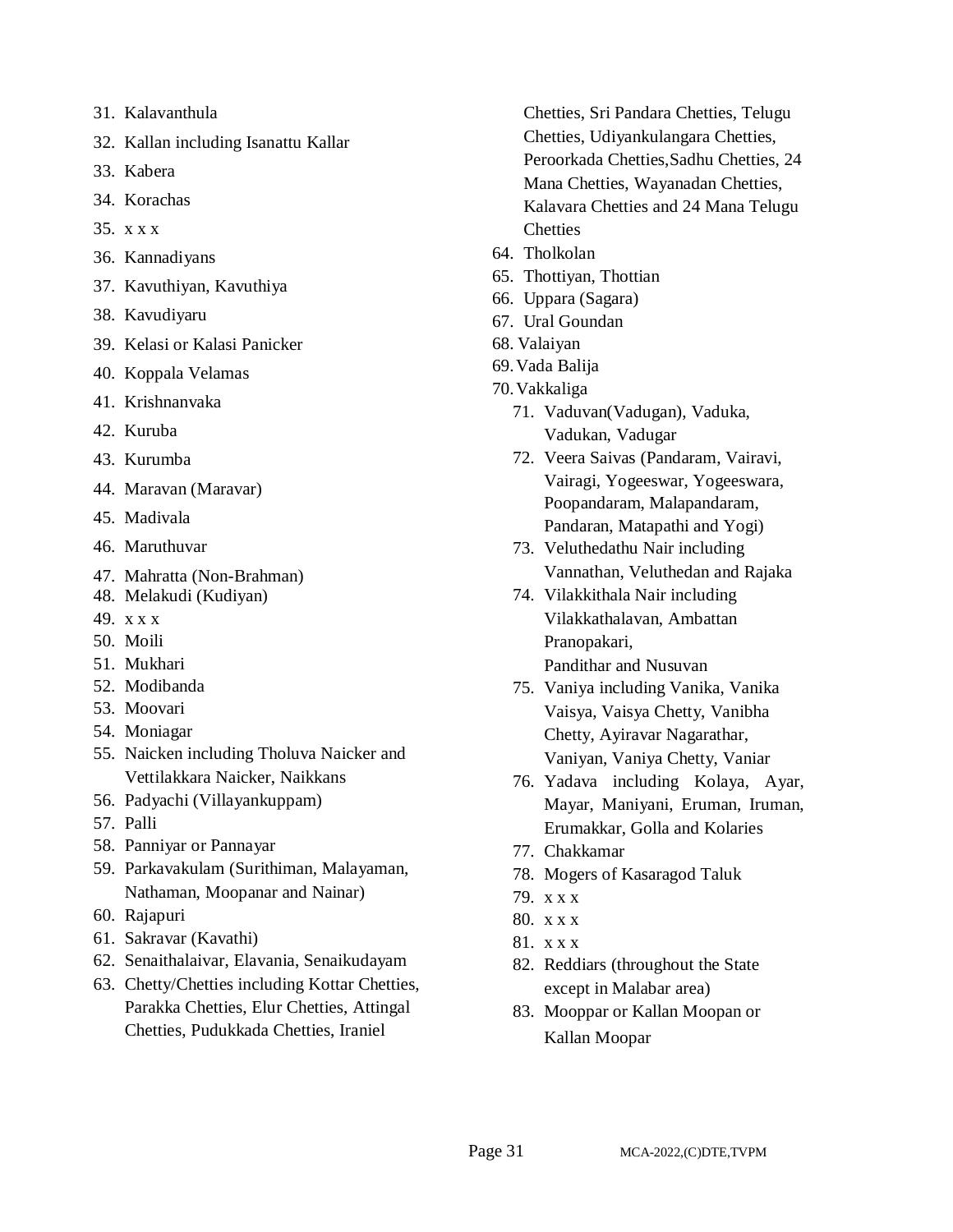- 31. Kalavanthula
- 32. Kallan including Isanattu Kallar
- 33. Kabera
- 34. Korachas
- 35. x x x
- 36. Kannadiyans
- 37. Kavuthiyan, Kavuthiya
- 38. Kavudiyaru
- 39. Kelasi or Kalasi Panicker
- 40. Koppala Velamas
- 41. Krishnanvaka
- 42. Kuruba
- 43. Kurumba
- 44. Maravan (Maravar)
- 45. Madivala
- 46. Maruthuvar
- 47. Mahratta (Non-Brahman)
- 48. Melakudi (Kudiyan)
- 49. x x x
- 50. Moili
- 51. Mukhari
- 52. Modibanda
- 53. Moovari
- 54. Moniagar
- 55. Naicken including Tholuva Naicker and Vettilakkara Naicker, Naikkans
- 56. Padyachi (Villayankuppam)
- 57. Palli
- 58. Panniyar or Pannayar
- 59. Parkavakulam (Surithiman, Malayaman, Nathaman, Moopanar and Nainar)
- 60. Rajapuri
- 61. Sakravar (Kavathi)
- 62. Senaithalaivar, Elavania, Senaikudayam
- 63. Chetty/Chetties including Kottar Chetties, Parakka Chetties, Elur Chetties, Attingal Chetties, Pudukkada Chetties, Iraniel
- Chetties, Sri Pandara Chetties, Telugu Chetties, Udiyankulangara Chetties, Peroorkada Chetties,Sadhu Chetties, 24 Mana Chetties, Wayanadan Chetties, Kalavara Chetties and 24 Mana Telugu **Chetties**
- 64. Tholkolan
- 65. Thottiyan, Thottian
- 66. Uppara (Sagara)
- 67. Ural Goundan
- 68. Valaiyan
- 69.Vada Balija
- 70.Vakkaliga
	- 71. Vaduvan(Vadugan), Vaduka, Vadukan, Vadugar
	- 72. Veera Saivas (Pandaram, Vairavi, Vairagi, Yogeeswar, Yogeeswara, Poopandaram, Malapandaram, Pandaran, Matapathi and Yogi)
	- 73. Veluthedathu Nair including Vannathan, Veluthedan and Rajaka
	- 74. Vilakkithala Nair including Vilakkathalavan, Ambattan Pranopakari, Pandithar and Nusuvan
	- 75. Vaniya including Vanika, Vanika Vaisya, Vaisya Chetty, Vanibha Chetty, Ayiravar Nagarathar, Vaniyan, Vaniya Chetty, Vaniar
	- 76. Yadava including Kolaya, Ayar, Mayar, Maniyani, Eruman, Iruman, Erumakkar, Golla and Kolaries
	- 77. Chakkamar
	- 78. Mogers of Kasaragod Taluk
	- 79. x x x
	- 80. x x x
	- 81. x x x
	- 82. Reddiars (throughout the State except in Malabar area)
	- 83. Mooppar or Kallan Moopan or Kallan Moopar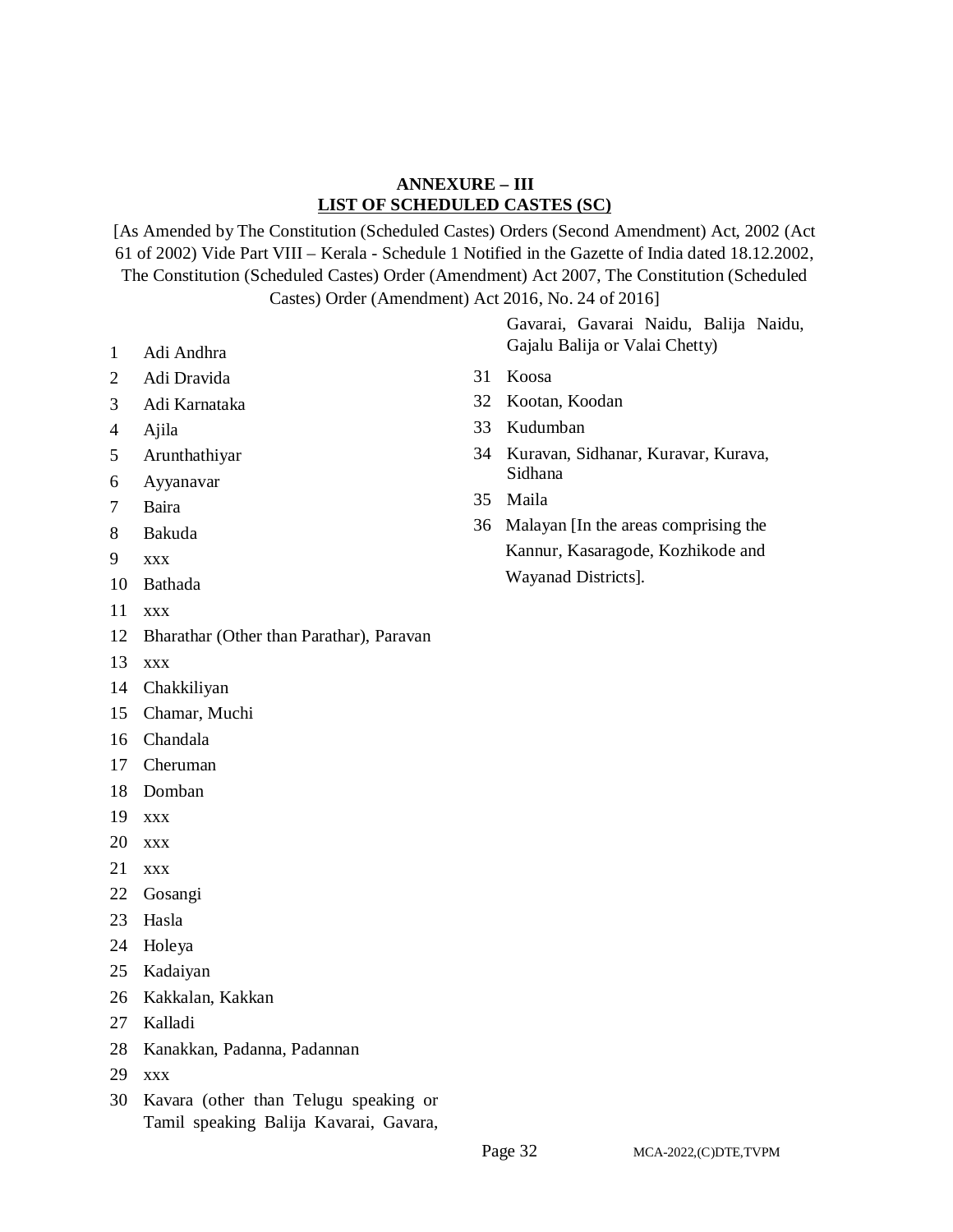### **ANNEXURE – III LIST OF SCHEDULED CASTES (SC)**

[As Amended by The Constitution (Scheduled Castes) Orders (Second Amendment) Act, 2002 (Act 61 of 2002) Vide Part VIII – Kerala - Schedule 1 Notified in the Gazette of India dated 18.12.2002, The Constitution (Scheduled Castes) Order (Amendment) Act 2007, The Constitution (Scheduled Castes) Order (Amendment) Act 2016, No. 24 of 2016]

- Adi Andhra
- Adi Dravida
- Adi Karnataka
- Ajila
- Arunthathiyar
- Ayyanavar
- Baira
- Bakuda
- xxx
- Bathada
- xxx
- Bharathar (Other than Parathar), Paravan
- xxx
- Chakkiliyan
- Chamar, Muchi
- Chandala
- Cheruman
- Domban
- xxx
- xxx
- xxx
- Gosangi
- Hasla
- Holeya
- Kadaiyan
- Kakkalan, Kakkan
- Kalladi
- Kanakkan, Padanna, Padannan
- xxx
- Kavara (other than Telugu speaking or Tamil speaking Balija Kavarai, Gavara,

Gavarai, Gavarai Naidu, Balija Naidu, Gajalu Balija or Valai Chetty)

- Koosa
- Kootan, Koodan
- Kudumban
- Kuravan, Sidhanar, Kuravar, Kurava, Sidhana
- Maila
- Malayan [In the areas comprising the Kannur, Kasaragode, Kozhikode and Wayanad Districts].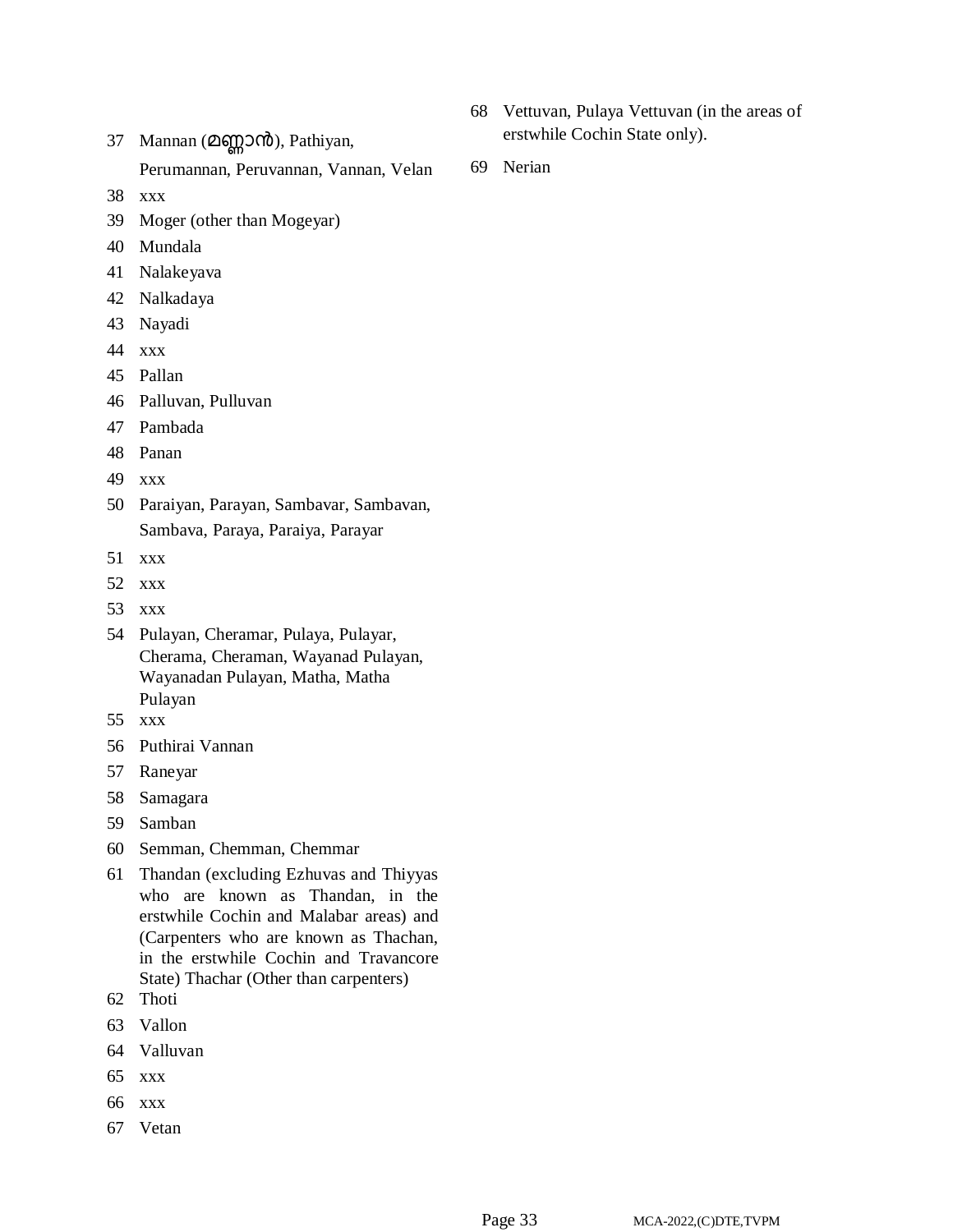- 37 Mannan (മണ്ണാൻ), Pathiyan, Perumannan, Peruvannan, Vannan, Velan
- xxx
- Moger (other than Mogeyar)
- Mundala
- Nalakeyava
- Nalkadaya
- Nayadi
- xxx
- Pallan
- Palluvan, Pulluvan
- Pambada
- Panan
- xxx
- Paraiyan, Parayan, Sambavar, Sambavan, Sambava, Paraya, Paraiya, Parayar
- xxx
- xxx
- xxx
- Pulayan, Cheramar, Pulaya, Pulayar, Cherama, Cheraman, Wayanad Pulayan, Wayanadan Pulayan, Matha, Matha Pulayan
- xxx
- Puthirai Vannan
- Raneyar
- Samagara
- Samban
- Semman, Chemman, Chemmar
- Thandan (excluding Ezhuvas and Thiyyas who are known as Thandan, in the erstwhile Cochin and Malabar areas) and (Carpenters who are known as Thachan, in the erstwhile Cochin and Travancore State) Thachar (Other than carpenters)
- Thoti
- Vallon
- Valluvan
- xxx
- xxx
- Vetan
- Vettuvan, Pulaya Vettuvan (in the areas of erstwhile Cochin State only).
- Nerian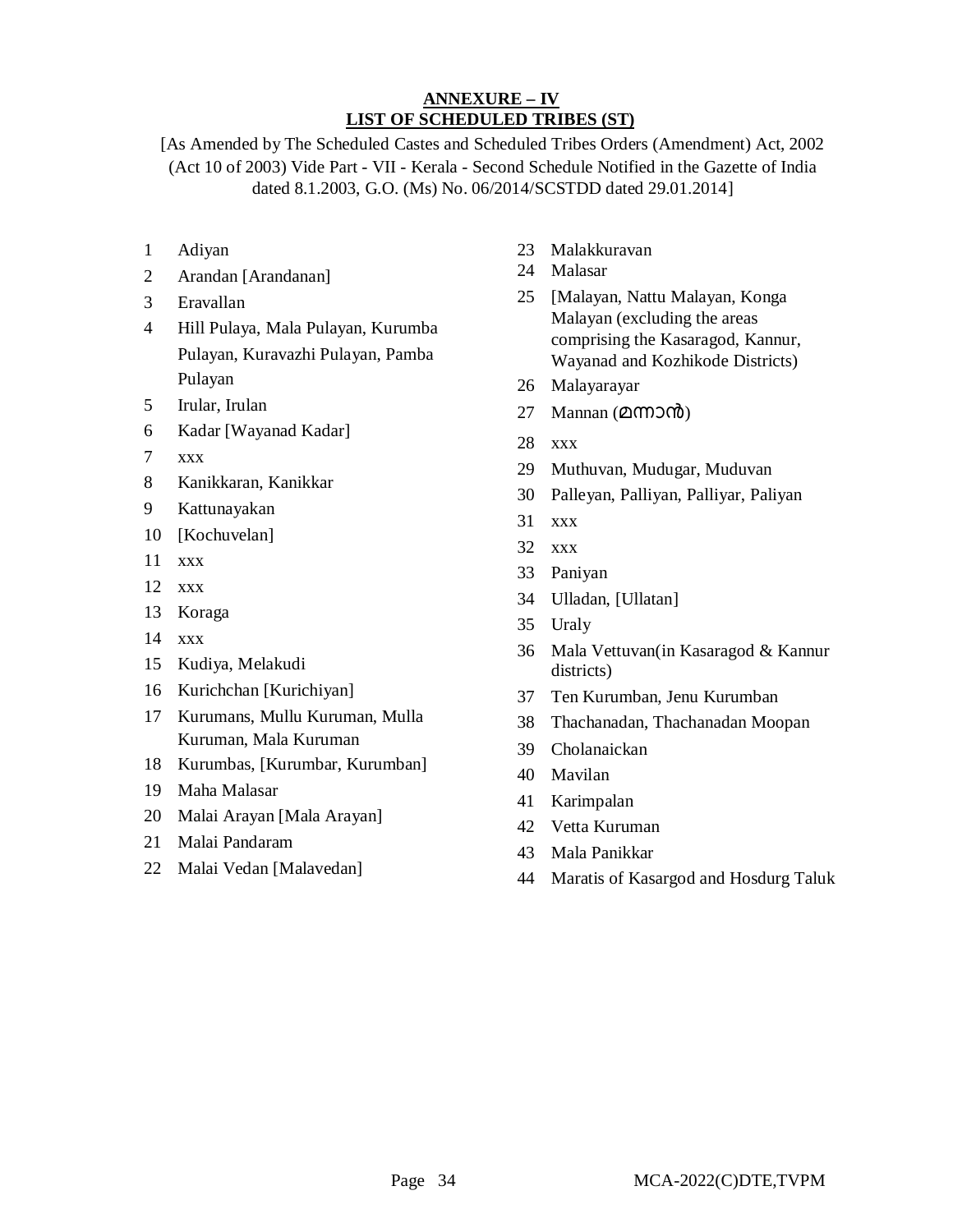# **ANNEXURE – IV LIST OF SCHEDULED TRIBES (ST)**

[As Amended by The Scheduled Castes and Scheduled Tribes Orders (Amendment) Act, 2002 (Act 10 of 2003) Vide Part - VII - Kerala - Second Schedule Notified in the Gazette of India dated 8.1.2003, G.O. (Ms) No. 06/2014/SCSTDD dated 29.01.2014]

- Adiyan
- Arandan [Arandanan]
- Eravallan
- Hill Pulaya, Mala Pulayan, Kurumba Pulayan, Kuravazhi Pulayan, Pamba Pulayan
- Irular, Irulan
- Kadar [Wayanad Kadar]
- xxx
- Kanikkaran, Kanikkar
- Kattunayakan
- [Kochuvelan]
- xxx
- xxx
- Koraga
- xxx
- Kudiya, Melakudi
- Kurichchan [Kurichiyan]
- Kurumans, Mullu Kuruman, Mulla Kuruman, Mala Kuruman
- Kurumbas, [Kurumbar, Kurumban]
- Maha Malasar
- Malai Arayan [Mala Arayan]
- Malai Pandaram
- Malai Vedan [Malavedan]
- Malakkuravan
- Malasar
- [Malayan, Nattu Malayan, Konga Malayan (excluding the areas comprising the Kasaragod, Kannur, Wayanad and Kozhikode Districts)
- Malayarayar
- 27 Mannan  $(2007)$
- xxx
- Muthuvan, Mudugar, Muduvan
- Palleyan, Palliyan, Palliyar, Paliyan
- xxx
- xxx
- Paniyan
- Ulladan, [Ullatan]
- Uraly
- Mala Vettuvan(in Kasaragod & Kannur districts)
- Ten Kurumban, Jenu Kurumban
- Thachanadan, Thachanadan Moopan
- Cholanaickan
- Mavilan
- Karimpalan
- Vetta Kuruman
- Mala Panikkar
- Maratis of Kasargod and Hosdurg Taluk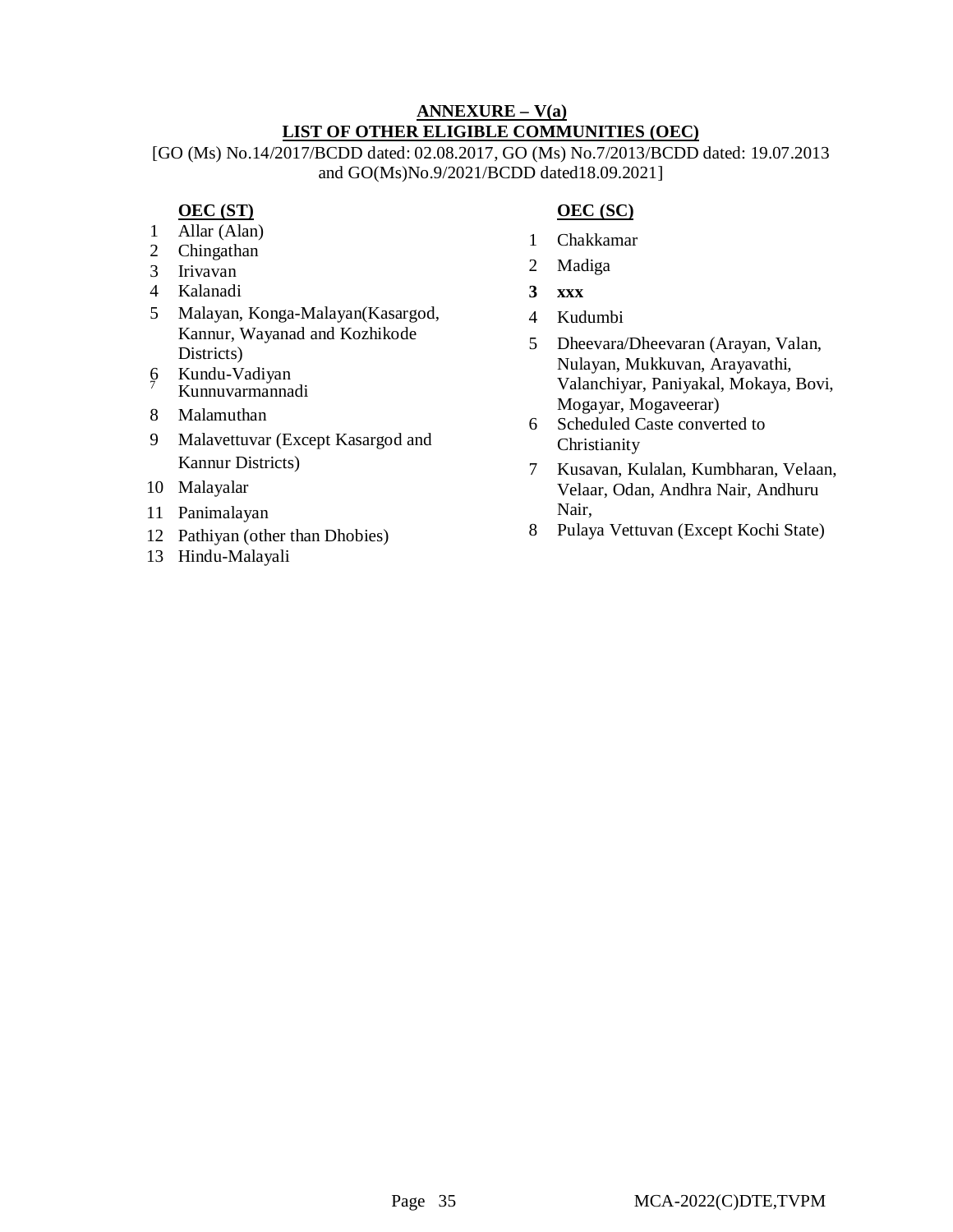# **ANNEXURE – V(a) LIST OF OTHER ELIGIBLE COMMUNITIES (OEC)**

[GO (Ms) No.14/2017/BCDD dated: 02.08.2017, GO (Ms) No.7/2013/BCDD dated: 19.07.2013 and GO(Ms)No.9/2021/BCDD dated18.09.2021]

# **OEC (ST)**

- 1 Allar (Alan)
- 2 Chingathan
- 3 Irivavan
- 4 Kalanadi
- 5 Malayan, Konga-Malayan(Kasargod, Kannur, Wayanad and Kozhikode Districts)
- 6 Kundu-Vadiyan Kunnuvarmannadi
- 8 Malamuthan
- 9 Malavettuvar (Except Kasargod and Kannur Districts)
- 10 Malayalar
- 11 Panimalayan
- 12 Pathiyan (other than Dhobies)
- 13 Hindu-Malayali

# **OEC (SC)**

- 1 Chakkamar
- 2 Madiga
- **3 xxx**
- 4 Kudumbi
- 5 Dheevara/Dheevaran (Arayan, Valan, Nulayan, Mukkuvan, Arayavathi, Valanchiyar, Paniyakal, Mokaya, Bovi, Mogayar, Mogaveerar)
- 6 Scheduled Caste converted to Christianity
- 7 Kusavan, Kulalan, Kumbharan, Velaan, Velaar, Odan, Andhra Nair, Andhuru Nair,
- 8 Pulaya Vettuvan (Except Kochi State)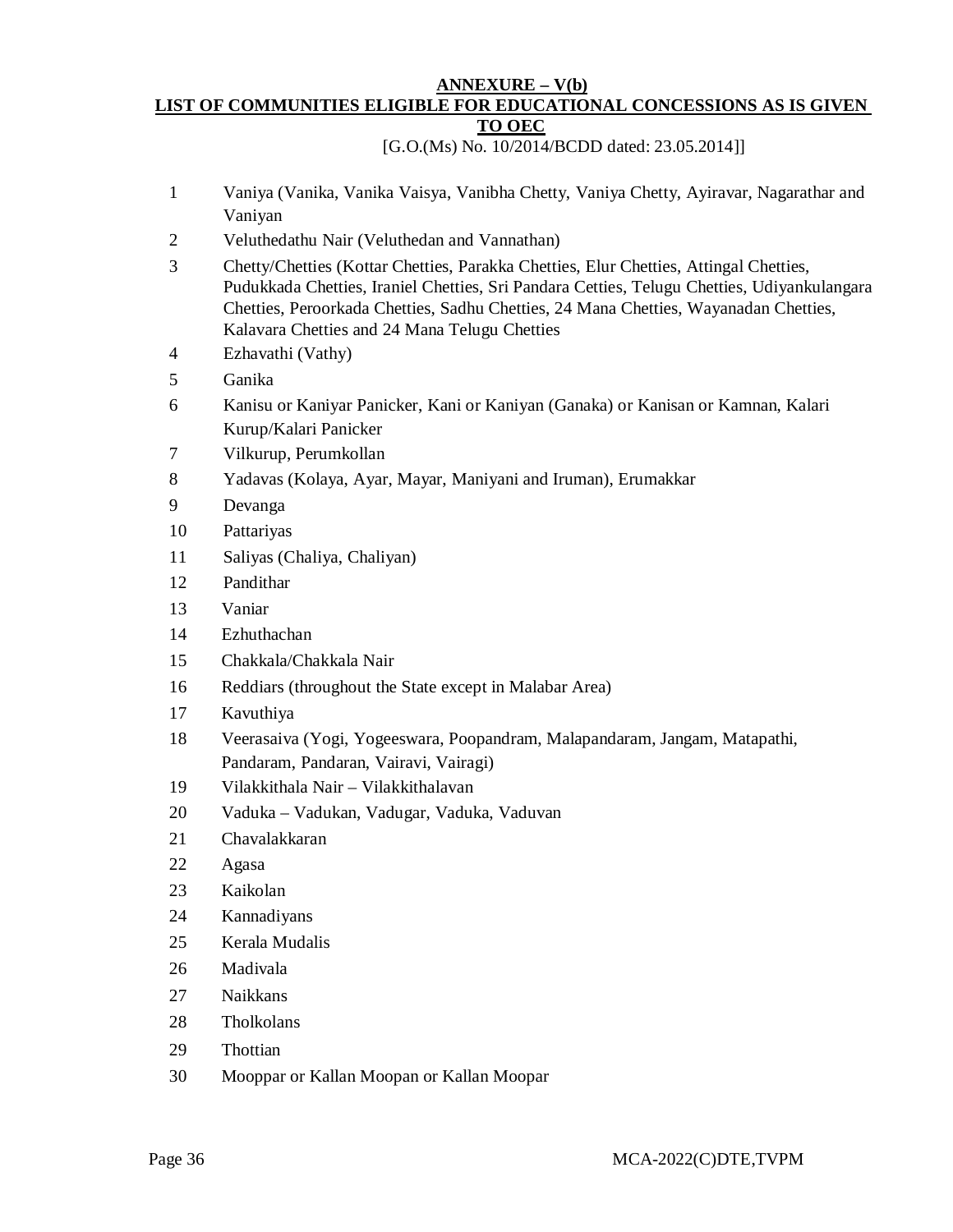#### **ANNEXURE – V(b) LIST OF COMMUNITIES ELIGIBLE FOR EDUCATIONAL CONCESSIONS AS IS GIVEN TO OEC**

[G.O.(Ms) No. 10/2014/BCDD dated: 23.05.2014]]

- Vaniya (Vanika, Vanika Vaisya, Vanibha Chetty, Vaniya Chetty, Ayiravar, Nagarathar and Vaniyan
- Veluthedathu Nair (Veluthedan and Vannathan)
- Chetty/Chetties (Kottar Chetties, Parakka Chetties, Elur Chetties, Attingal Chetties, Pudukkada Chetties, Iraniel Chetties, Sri Pandara Cetties, Telugu Chetties, Udiyankulangara Chetties, Peroorkada Chetties, Sadhu Chetties, 24 Mana Chetties, Wayanadan Chetties, Kalavara Chetties and 24 Mana Telugu Chetties
- Ezhavathi (Vathy)
- Ganika
- Kanisu or Kaniyar Panicker, Kani or Kaniyan (Ganaka) or Kanisan or Kamnan, Kalari Kurup/Kalari Panicker
- Vilkurup, Perumkollan
- Yadavas (Kolaya, Ayar, Mayar, Maniyani and Iruman), Erumakkar
- Devanga
- Pattariyas
- Saliyas (Chaliya, Chaliyan)
- Pandithar
- Vaniar
- Ezhuthachan
- Chakkala/Chakkala Nair
- Reddiars (throughout the State except in Malabar Area)
- Kavuthiya
- Veerasaiva (Yogi, Yogeeswara, Poopandram, Malapandaram, Jangam, Matapathi, Pandaram, Pandaran, Vairavi, Vairagi)
- Vilakkithala Nair Vilakkithalavan
- Vaduka Vadukan, Vadugar, Vaduka, Vaduvan
- Chavalakkaran
- Agasa
- Kaikolan
- Kannadiyans
- Kerala Mudalis
- Madivala
- Naikkans
- Tholkolans
- Thottian
- Mooppar or Kallan Moopan or Kallan Moopar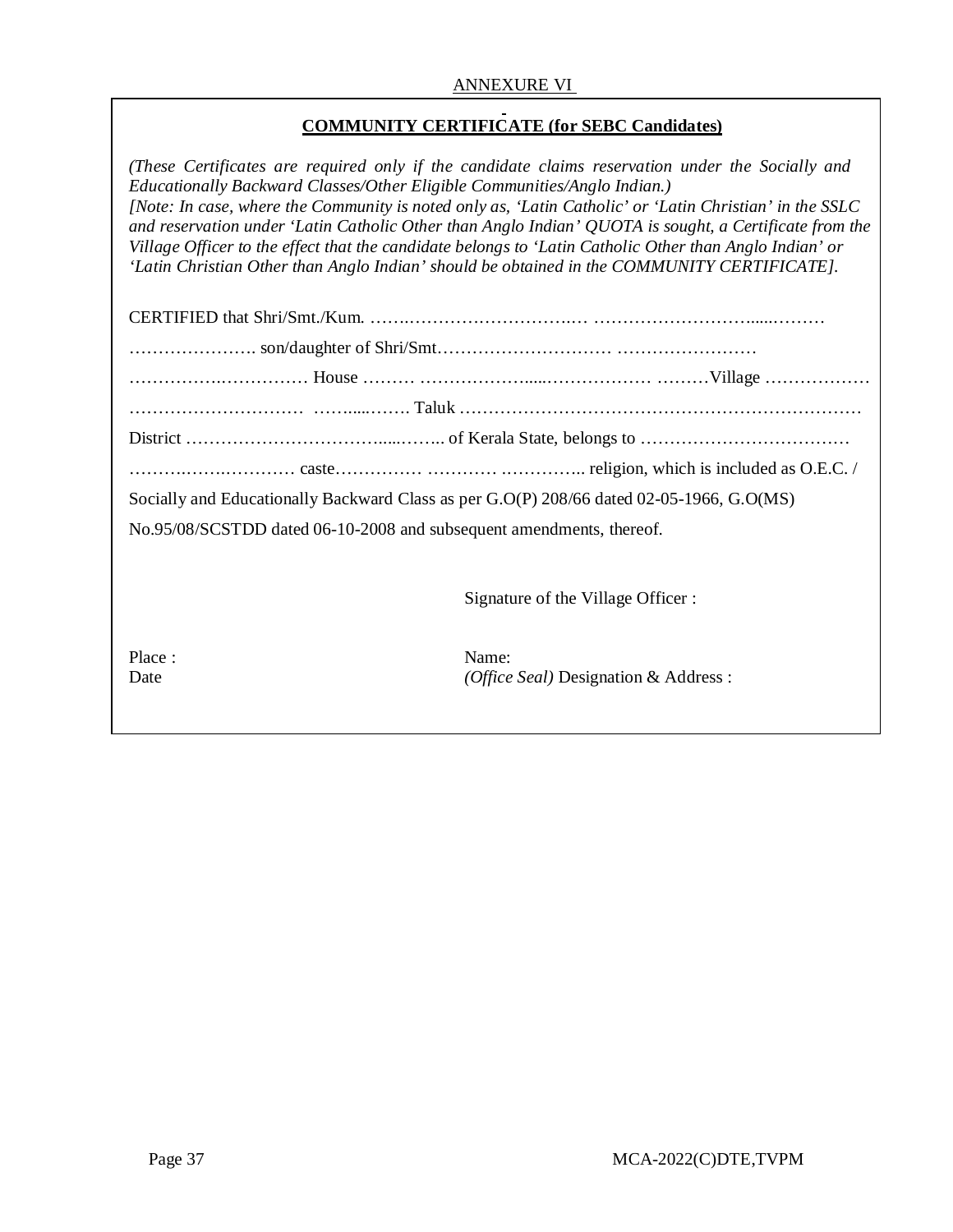### ANNEXURE VI

# **COMMUNITY CERTIFICATE (for SEBC Candidates)**

*(These Certificates are required only if the candidate claims reservation under the Socially and Educationally Backward Classes/Other Eligible Communities/Anglo Indian.) [Note: In case, where the Community is noted only as, 'Latin Catholic' or 'Latin Christian' in the SSLC and reservation under 'Latin Catholic Other than Anglo Indian' QUOTA is sought, a Certificate from the Village Officer to the effect that the candidate belongs to 'Latin Catholic Other than Anglo Indian' or 'Latin Christian Other than Anglo Indian' should be obtained in the COMMUNITY CERTIFICATE].*

|                                                                      | Socially and Educationally Backward Class as per G.O(P) 208/66 dated 02-05-1966, G.O(MS) |
|----------------------------------------------------------------------|------------------------------------------------------------------------------------------|
| No.95/08/SCSTDD dated 06-10-2008 and subsequent amendments, thereof. |                                                                                          |
|                                                                      |                                                                                          |
|                                                                      | Signature of the Village Officer:                                                        |
| Place:<br>Date                                                       | Name:<br>( <i>Office Seal</i> ) Designation & Address :                                  |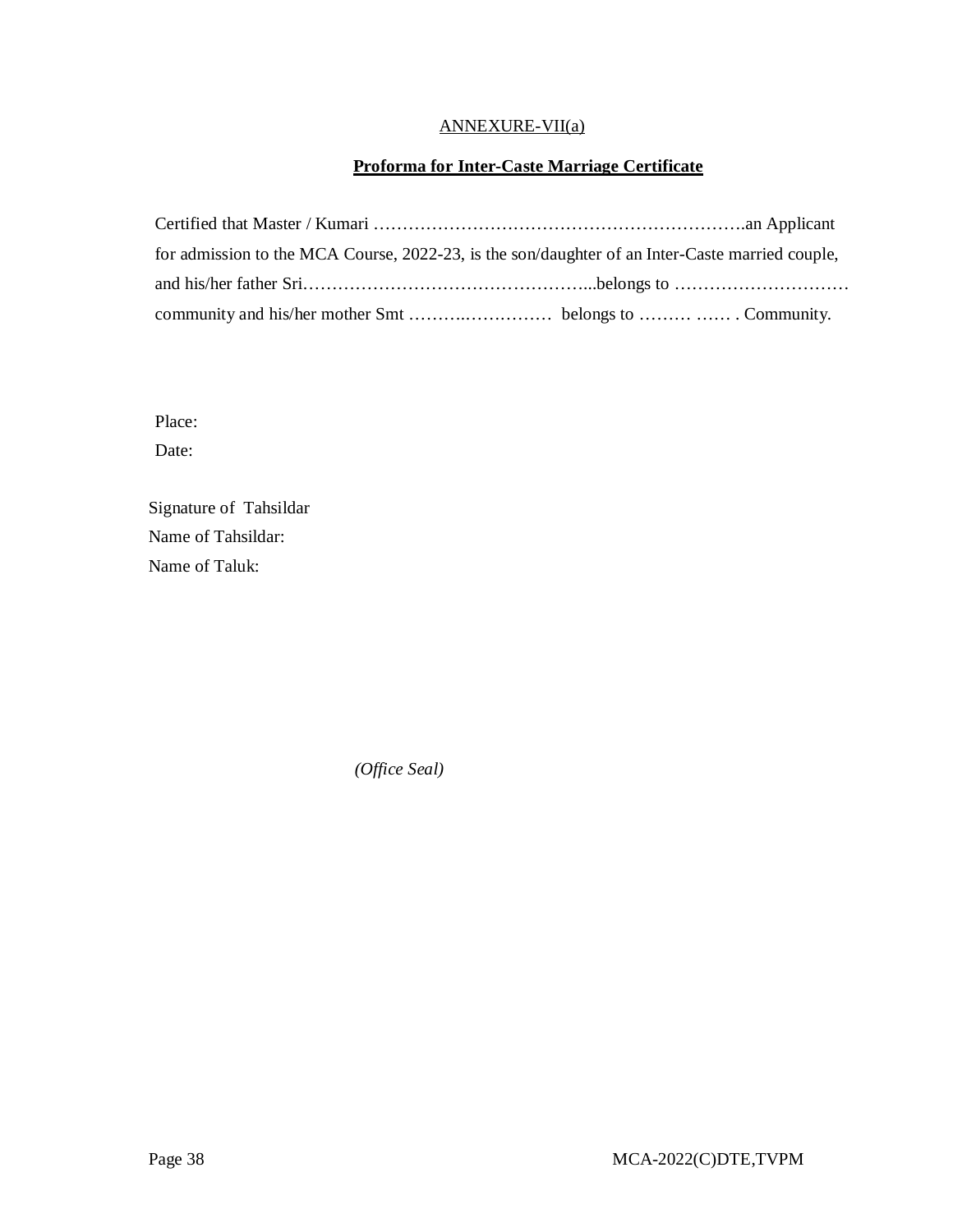# ANNEXURE-VII(a)

# **Proforma for Inter-Caste Marriage Certificate**

| for admission to the MCA Course, 2022-23, is the son/daughter of an Inter-Caste married couple, |  |
|-------------------------------------------------------------------------------------------------|--|
|                                                                                                 |  |
|                                                                                                 |  |

Place:

Date:

Signature of Tahsildar Name of Tahsildar: Name of Taluk:

 *(Office Seal)*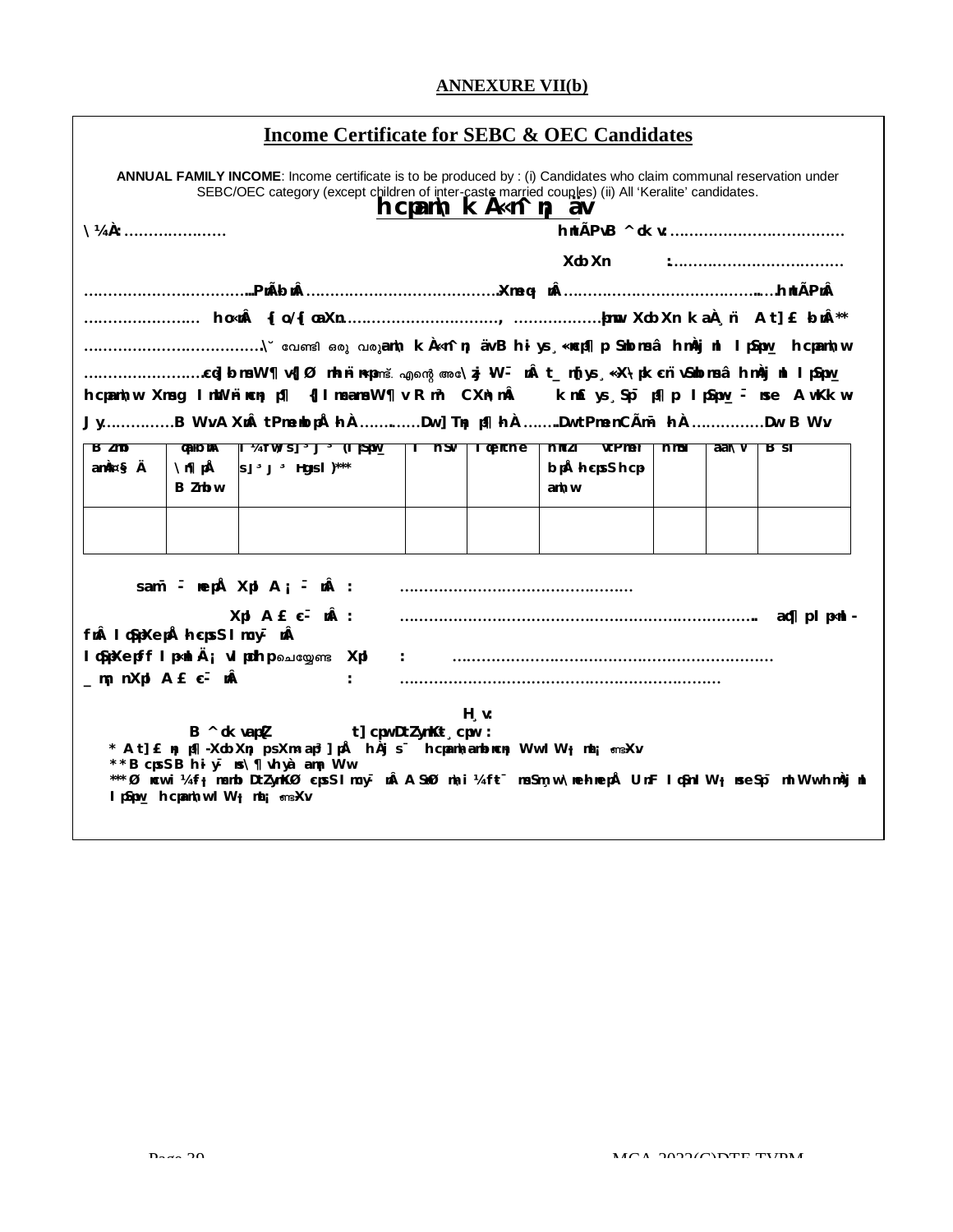# **ANNEXURE VII(b)**

|  |  |  |  |  |  |  | Income Certificate for SEBC & OEC Candidates |
|--|--|--|--|--|--|--|----------------------------------------------|
|--|--|--|--|--|--|--|----------------------------------------------|

|                              |                               | ANNUAL FAMILY INCOME: Income certificate is to be produced by : (i) Candidates who claim communal reservation under<br>SEBC/OEC category (except children of inter-caste married couples) (ii) All 'Keralite' candidates.                                |               |  | $\mathsf{hcpam} \setminus \mathsf{K} \mathsf{A} \le \mathsf{A} \le \mathsf{B}$ |                      |        |      |       |     |  |
|------------------------------|-------------------------------|----------------------------------------------------------------------------------------------------------------------------------------------------------------------------------------------------------------------------------------------------------|---------------|--|--------------------------------------------------------------------------------|----------------------|--------|------|-------|-----|--|
| $\mathcal{V}4\mathbf{A}$ :   |                               |                                                                                                                                                                                                                                                          |               |  |                                                                                |                      |        |      |       |     |  |
| XobXn<br>:                   |                               |                                                                                                                                                                                                                                                          |               |  |                                                                                |                      |        |      |       |     |  |
|                              |                               |                                                                                                                                                                                                                                                          |               |  |                                                                                |                      |        |      |       |     |  |
|                              |                               |                                                                                                                                                                                                                                                          |               |  |                                                                                |                      |        |      |       |     |  |
|                              |                               |                                                                                                                                                                                                                                                          |               |  |                                                                                |                      |        |      |       |     |  |
|                              |                               | cq] bmsW¶ v{]Ø mhn ni nxpளš. എന്റെ അcNj W - n t_m[ys ¸ «X\pk cn vSnbmsâ hmÀj nl l pSpw                                                                                                                                                                   |               |  |                                                                                |                      |        |      |       |     |  |
|                              |                               | hcpam\w Xmsg ImWn`ncn; p¶ {]ImcamsW¶v Rm <sup>3</sup> CXn\m km£ys Sp <sup>-</sup> p¶p. IpSpw_- nse AwKkw-                                                                                                                                                |               |  |                                                                                |                      |        |      |       |     |  |
|                              |                               | JyB Wy AXm tPmentopÅ hÀ Dw ] Tn; p¶ hÀ Dw tPmen CÃm <sup>-</sup> hÀ Dw BWv                                                                                                                                                                               |               |  |                                                                                |                      |        |      |       |     |  |
| B/mD                         |                               | ganbmA ji ¼tw/sj <sup>3</sup> j <sup>3</sup> (lpSpw_   l hSw   lgenthe                                                                                                                                                                                   |               |  |                                                                                | hmt Zi               | vtPmen | hmst | aar\w | Bst |  |
| amA¤§Ä                       | <b>∖r∏pÅ</b><br><b>B</b> Zmbw | s] <sup>3</sup> j <sup>3</sup> Hgmsl)***                                                                                                                                                                                                                 |               |  |                                                                                | bpÅhcpsShcp-<br>am\w |        |      |       |     |  |
|                              |                               |                                                                                                                                                                                                                                                          |               |  |                                                                                |                      |        |      |       |     |  |
|                              |                               |                                                                                                                                                                                                                                                          |               |  |                                                                                |                      |        |      |       |     |  |
|                              |                               |                                                                                                                                                                                                                                                          |               |  |                                                                                |                      |        |      |       |     |  |
|                              |                               | sam <sup>-</sup> $\overline{\cdot}$ nepŠXpl $A_i$ $\overline{\cdot}$ n :                                                                                                                                                                                 |               |  |                                                                                |                      |        |      |       |     |  |
|                              |                               | Xpl A£c <sup>-</sup> mÂ:                                                                                                                                                                                                                                 |               |  |                                                                                |                      |        |      |       |     |  |
| fn I qSpXepÅ hcpsS I mcy- nÂ |                               |                                                                                                                                                                                                                                                          |               |  |                                                                                |                      |        |      |       |     |  |
|                              |                               | l        (SpXepff I p«nl Ä; vI pdhp வெழுள் Xpl   :    …………………………………………………………………                                                                                                                                                                          |               |  |                                                                                |                      |        |      |       |     |  |
| _m; nXpl A£c <sup>-</sup> nÂ |                               |                                                                                                                                                                                                                                                          | $\mathcal{L}$ |  |                                                                                |                      |        |      |       |     |  |
|                              |                               | $\mathbf{B} \wedge \mathbf{0}$ K v ap(Z $\qquad \qquad \mathbf{t}$ ] cpw D t Z ym K $\mathbf{t}$ $\qquad$ cpw :<br>* At] £ n; p¶·XobXn; p sXm« ap <sup>3</sup> ] pÅ hÀj s˙ hcpamNamboncn; Ww IW; mt; ளsXv<br>** BcpsS Bhi y <sup>-</sup> ns\¶vhyà am; Ww |               |  | $H_{.}v:$                                                                      |                      |        |      |       |     |  |
|                              |                               | ***Ørcw i ¼fj mcmb DtZymKØcpsS I mcy- n ASnØm\i ¼ft-msSm w \nethnepÅ Un F I qSn I Wj nseSp- mI Ww thmÀj nl<br>I pSpw_ hcpam\w I W <sub>i</sub> mt; snsXv                                                                                                 |               |  |                                                                                |                      |        |      |       |     |  |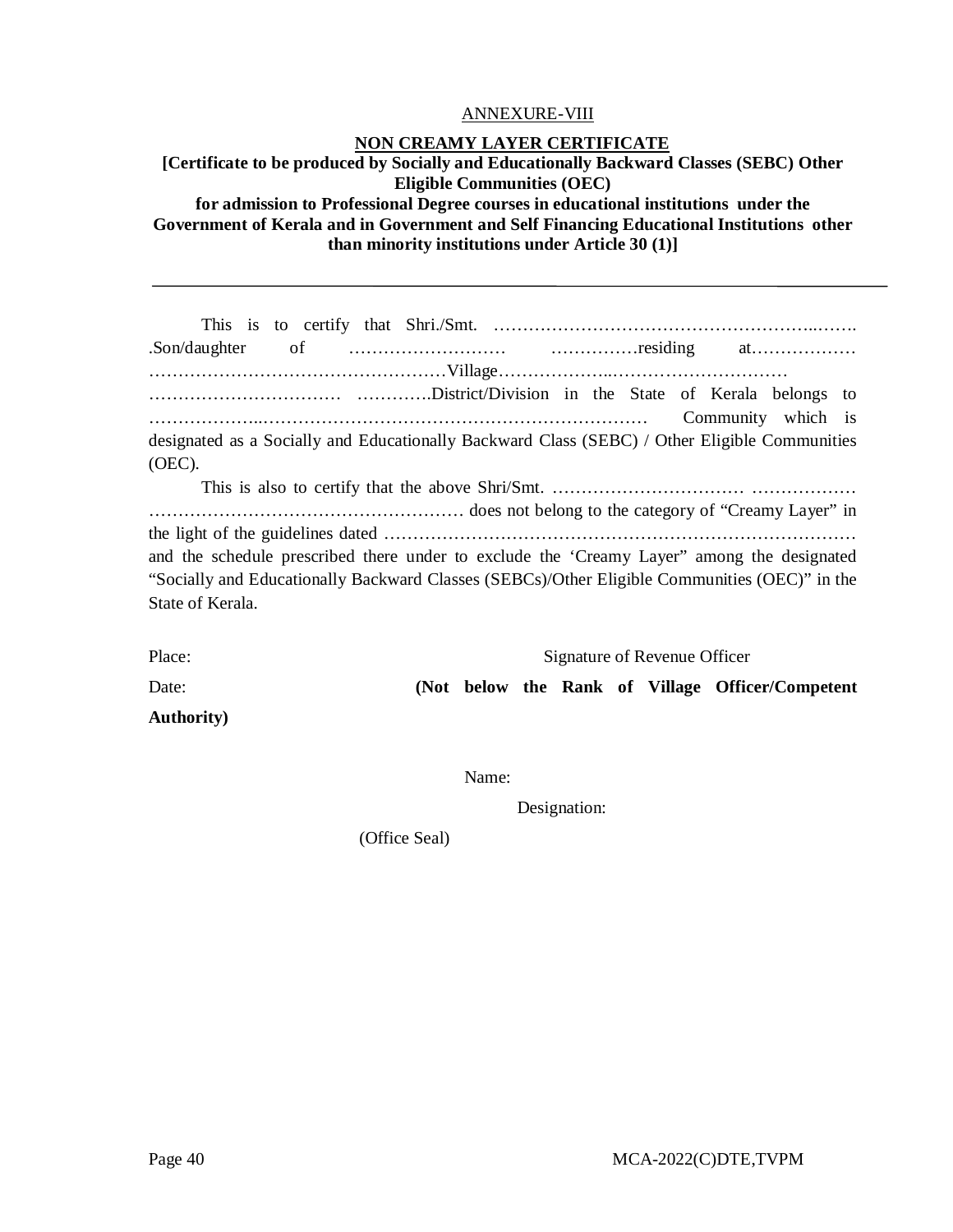#### ANNEXURE-VIII

#### **NON CREAMY LAYER CERTIFICATE**

# **[Certificate to be produced by Socially and Educationally Backward Classes (SEBC) Other Eligible Communities (OEC) for admission to Professional Degree courses in educational institutions under the Government of Kerala and in Government and Self Financing Educational Institutions other than minority institutions under Article 30 (1)]**

|                                                                                               |  | Community which is |  |
|-----------------------------------------------------------------------------------------------|--|--------------------|--|
| designated as a Socially and Educationally Backward Class (SEBC) / Other Eligible Communities |  |                    |  |
| $(OEC)$ .                                                                                     |  |                    |  |
|                                                                                               |  |                    |  |
|                                                                                               |  |                    |  |
|                                                                                               |  |                    |  |
| and the schedule prescribed there under to exclude the 'Creamy Layer'' among the designated   |  |                    |  |
| "Socially and Educationally Backward Classes (SEBCs)/Other Eligible Communities (OEC)" in the |  |                    |  |
| State of Kerala.                                                                              |  |                    |  |
|                                                                                               |  |                    |  |

| Place:             | Signature of Revenue Officer |  |  |  |  |  |                                                   |
|--------------------|------------------------------|--|--|--|--|--|---------------------------------------------------|
| Date:              |                              |  |  |  |  |  | (Not below the Rank of Village Officer/Competent) |
| <b>Authority</b> ) |                              |  |  |  |  |  |                                                   |

Name:

Designation:

(Office Seal)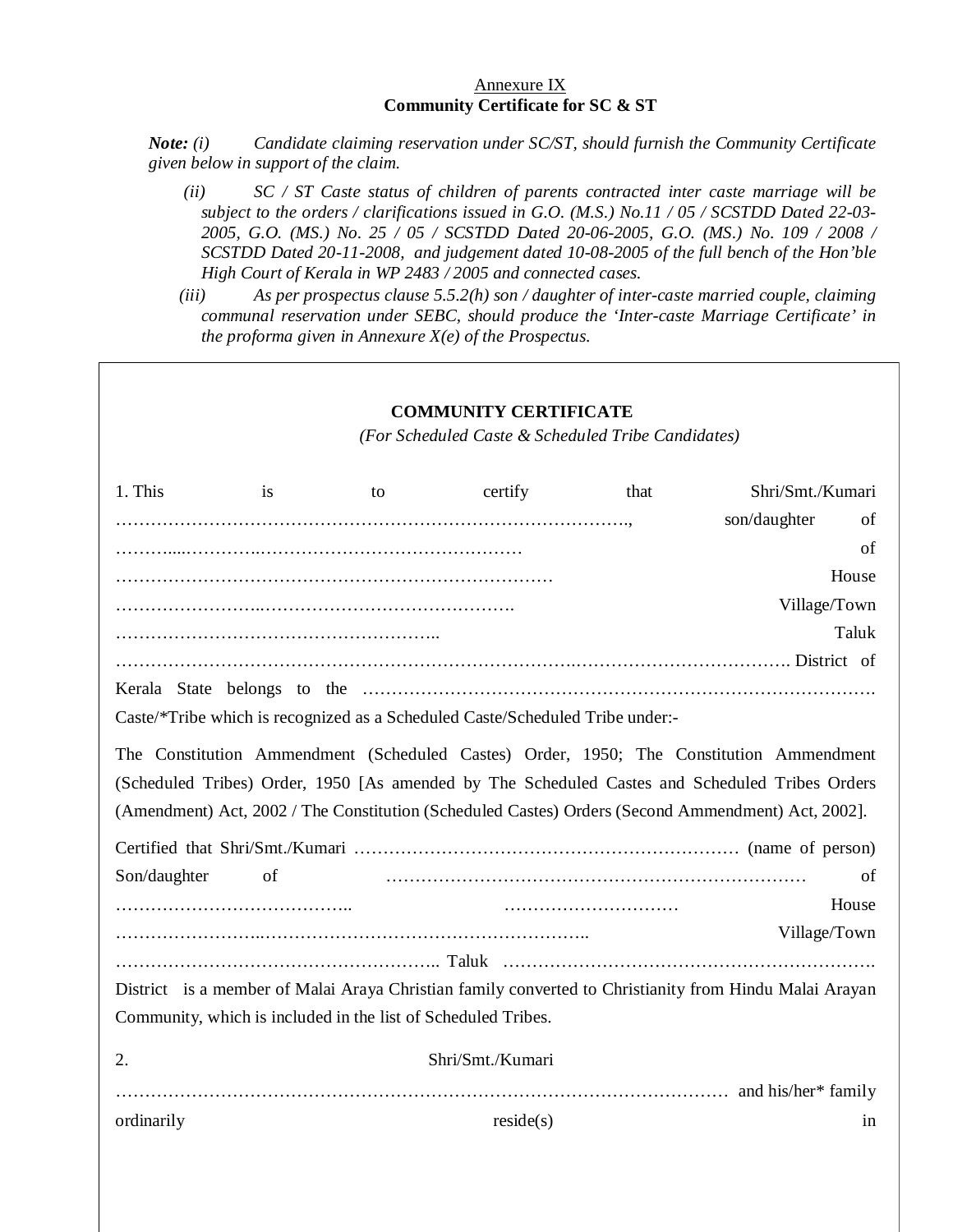#### Annexure IX **Community Certificate for SC & ST**

*Note: (i) Candidate claiming reservation under SC/ST, should furnish the Community Certificate given below in support of the claim.* 

- *(ii) SC / ST Caste status of children of parents contracted inter caste marriage will be subject to the orders / clarifications issued in G.O. (M.S.) No.11 / 05 / SCSTDD Dated 22-03- 2005, G.O. (MS.) No. 25 / 05 / SCSTDD Dated 20-06-2005, G.O. (MS.) No. 109 / 2008 / SCSTDD Dated 20-11-2008, and judgement dated 10-08-2005 of the full bench of the Hon'ble High Court of Kerala in WP 2483 / 2005 and connected cases.*
- *(iii) As per prospectus clause 5.5.2(h) son / daughter of inter-caste married couple, claiming communal reservation under SEBC, should produce the 'Inter-caste Marriage Certificate' in the proforma given in Annexure X(e) of the Prospectus.*

|              |    |                                                               | <b>COMMUNITY CERTIFICATE</b><br>(For Scheduled Caste & Scheduled Tribe Candidates) |      |                                                                                                                                                                                                                                                                                                 |       |
|--------------|----|---------------------------------------------------------------|------------------------------------------------------------------------------------|------|-------------------------------------------------------------------------------------------------------------------------------------------------------------------------------------------------------------------------------------------------------------------------------------------------|-------|
| 1. This      | is | to                                                            | certify                                                                            | that | Shri/Smt./Kumari<br>son/daughter                                                                                                                                                                                                                                                                | of    |
|              |    |                                                               |                                                                                    |      |                                                                                                                                                                                                                                                                                                 | of    |
|              |    |                                                               |                                                                                    |      |                                                                                                                                                                                                                                                                                                 | House |
|              |    |                                                               |                                                                                    |      | Village/Town                                                                                                                                                                                                                                                                                    |       |
|              |    |                                                               |                                                                                    |      |                                                                                                                                                                                                                                                                                                 | Taluk |
|              |    |                                                               |                                                                                    |      |                                                                                                                                                                                                                                                                                                 |       |
|              |    |                                                               |                                                                                    |      |                                                                                                                                                                                                                                                                                                 |       |
|              |    |                                                               | Caste/*Tribe which is recognized as a Scheduled Caste/Scheduled Tribe under:-      |      |                                                                                                                                                                                                                                                                                                 |       |
|              |    |                                                               |                                                                                    |      | The Constitution Ammendment (Scheduled Castes) Order, 1950; The Constitution Ammendment<br>(Scheduled Tribes) Order, 1950 [As amended by The Scheduled Castes and Scheduled Tribes Orders<br>(Amendment) Act, 2002 / The Constitution (Scheduled Castes) Orders (Second Ammendment) Act, 2002]. |       |
| Son/daughter | of |                                                               |                                                                                    |      |                                                                                                                                                                                                                                                                                                 | οf    |
|              |    |                                                               |                                                                                    |      |                                                                                                                                                                                                                                                                                                 | House |
|              |    |                                                               |                                                                                    |      | Village/Town                                                                                                                                                                                                                                                                                    |       |
|              |    |                                                               |                                                                                    |      |                                                                                                                                                                                                                                                                                                 |       |
|              |    |                                                               |                                                                                    |      | District is a member of Malai Araya Christian family converted to Christianity from Hindu Malai Arayan                                                                                                                                                                                          |       |
|              |    | Community, which is included in the list of Scheduled Tribes. |                                                                                    |      |                                                                                                                                                                                                                                                                                                 |       |
| 2.           |    |                                                               | Shri/Smt./Kumari                                                                   |      |                                                                                                                                                                                                                                                                                                 |       |
|              |    |                                                               |                                                                                    |      |                                                                                                                                                                                                                                                                                                 |       |
| ordinarily   |    |                                                               | reside(s)                                                                          |      |                                                                                                                                                                                                                                                                                                 | in    |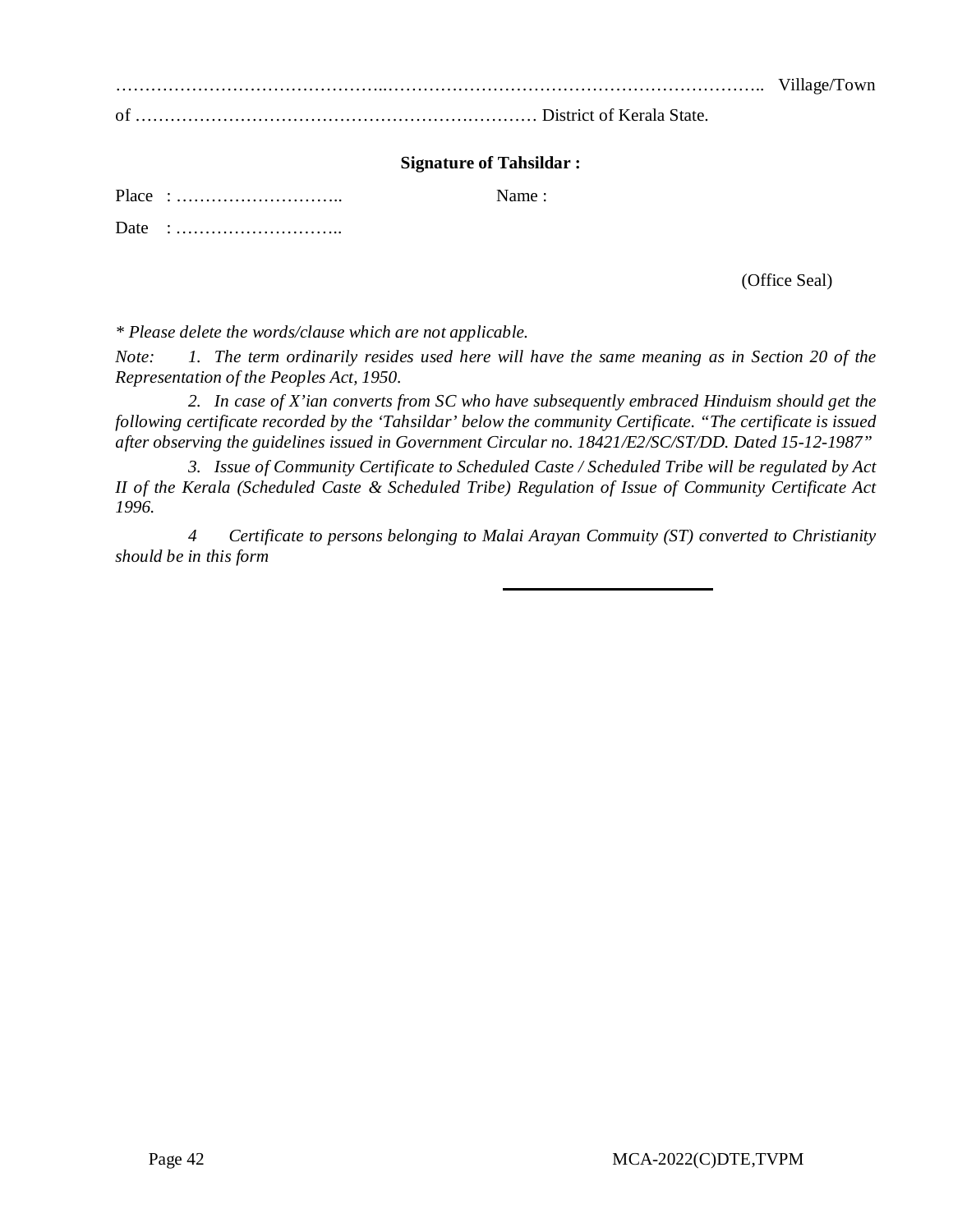………………………………………..……………………………………………………….. Village/Town of …………………………………………………………… District of Kerala State.

#### **Signature of Tahsildar :**

Place : ……………………….. Name :

Date : ………………………..

(Office Seal)

*\* Please delete the words/clause which are not applicable.*

*Note: 1. The term ordinarily resides used here will have the same meaning as in Section 20 of the Representation of the Peoples Act, 1950.*

*2. In case of X'ian converts from SC who have subsequently embraced Hinduism should get the following certificate recorded by the 'Tahsildar' below the community Certificate. "The certificate is issued after observing the guidelines issued in Government Circular no. 18421/E2/SC/ST/DD. Dated 15-12-1987"*

*3. Issue of Community Certificate to Scheduled Caste / Scheduled Tribe will be regulated by Act II of the Kerala (Scheduled Caste & Scheduled Tribe) Regulation of Issue of Community Certificate Act 1996.*

*4 Certificate to persons belonging to Malai Arayan Commuity (ST) converted to Christianity should be in this form*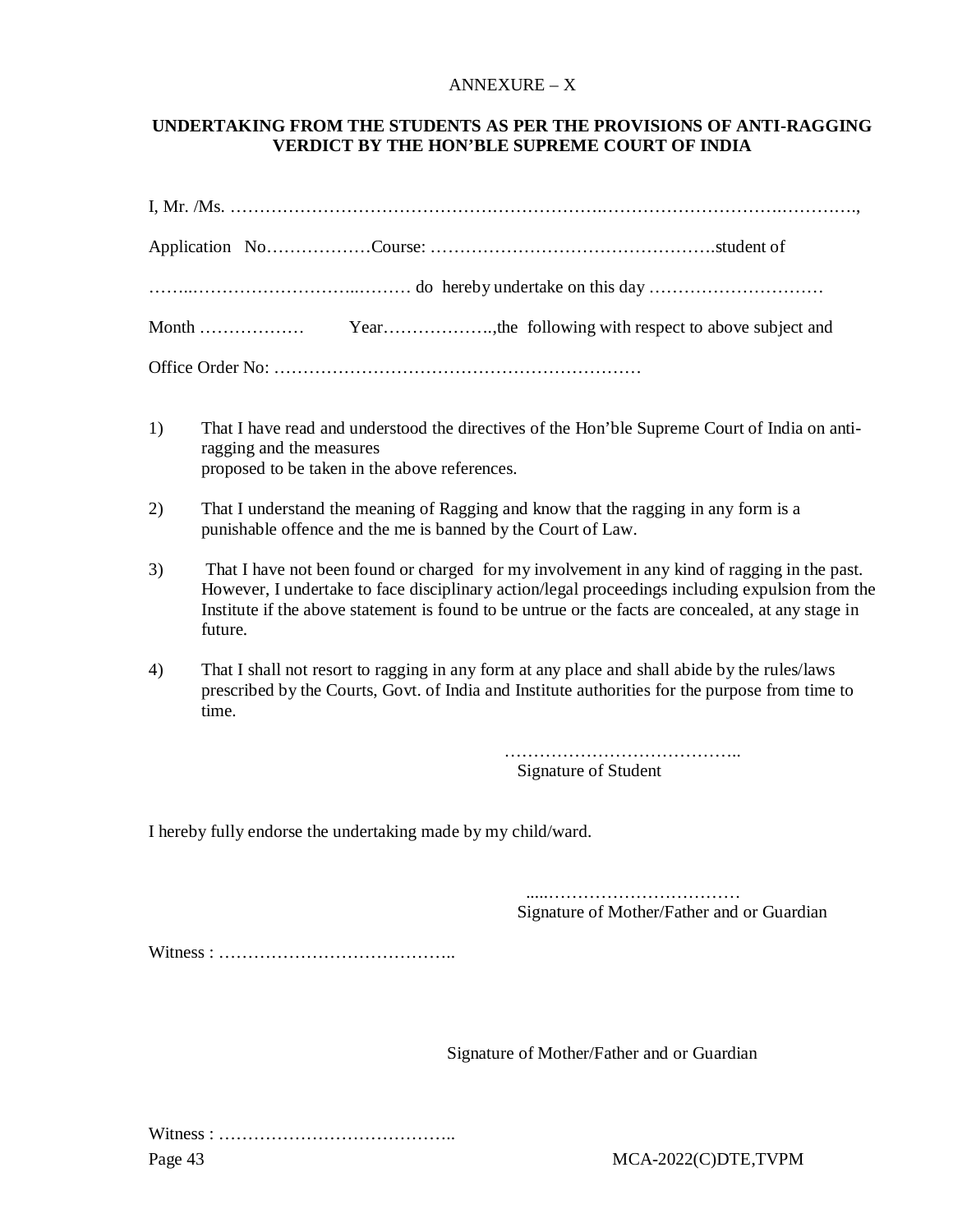#### ANNEXURE – X

### **UNDERTAKING FROM THE STUDENTS AS PER THE PROVISIONS OF ANTI-RAGGING VERDICT BY THE HON'BLE SUPREME COURT OF INDIA**

- 1) That I have read and understood the directives of the Hon'ble Supreme Court of India on antiragging and the measures proposed to be taken in the above references.
- 2) That I understand the meaning of Ragging and know that the ragging in any form is a punishable offence and the me is banned by the Court of Law.
- 3) That I have not been found or charged for my involvement in any kind of ragging in the past. However, I undertake to face disciplinary action/legal proceedings including expulsion from the Institute if the above statement is found to be untrue or the facts are concealed, at any stage in future.
- 4) That I shall not resort to ragging in any form at any place and shall abide by the rules/laws prescribed by the Courts, Govt. of India and Institute authorities for the purpose from time to time.

……………………………………… Signature of Student

I hereby fully endorse the undertaking made by my child/ward.

 .....…………………………… Signature of Mother/Father and or Guardian

Witness : …………………………………..

Signature of Mother/Father and or Guardian

Page 43 MCA-2022(C)DTE,TVPM Witness : …………………………………..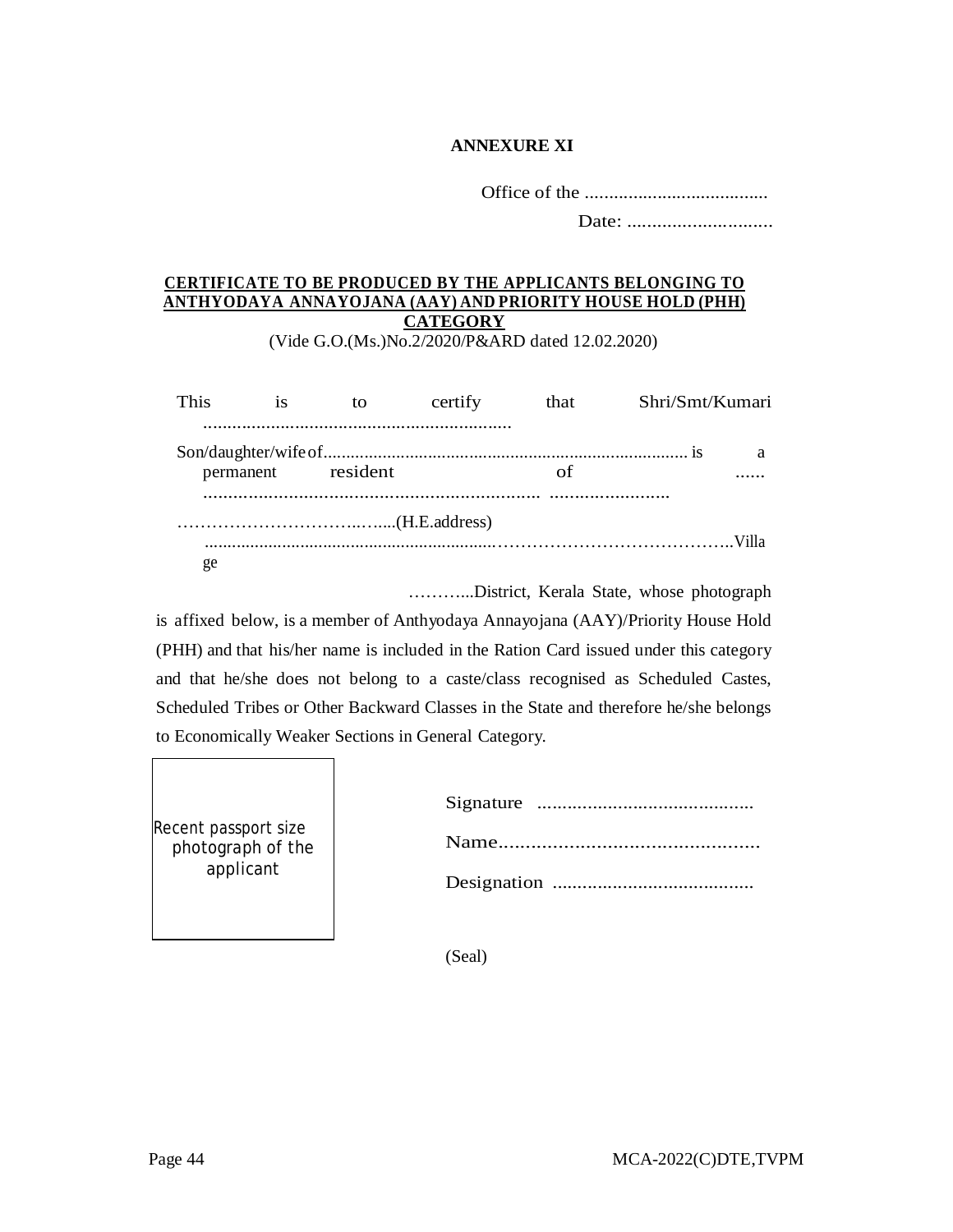# **ANNEXURE XI**

Office of the ......................................

Date: .............................

# **CERTIFICATE TO BE PRODUCED BY THE APPLICANTS BELONGING TO ANTHYODAYA ANNAYOJANA (AAY) AND PRIORITY HOUSE HOLD (PHH) CATEGORY**

(Vide G.O.(Ms.)No.2/2020/P&ARD dated 12.02.2020)

| This | <b>1S</b> | to                 | certify | that | Shri/Smt/Kumari |   |
|------|-----------|--------------------|---------|------|-----------------|---|
|      |           | permanent resident |         | οf   |                 | a |
|      |           |                    |         |      |                 |   |
| ge   |           |                    |         |      |                 |   |

………...District, Kerala State, whose photograph

is affixed below, is a member of Anthyodaya Annayojana (AAY)/Priority House Hold (PHH) and that his/her name is included in the Ration Card issued under this category and that he/she does not belong to a caste/class recognised as Scheduled Castes, Scheduled Tribes or Other Backward Classes in the State and therefore he/she belongs to Economically Weaker Sections in General Category.

| Recent passport size<br>photograph of the |  |
|-------------------------------------------|--|
| applicant                                 |  |
|                                           |  |

(Seal)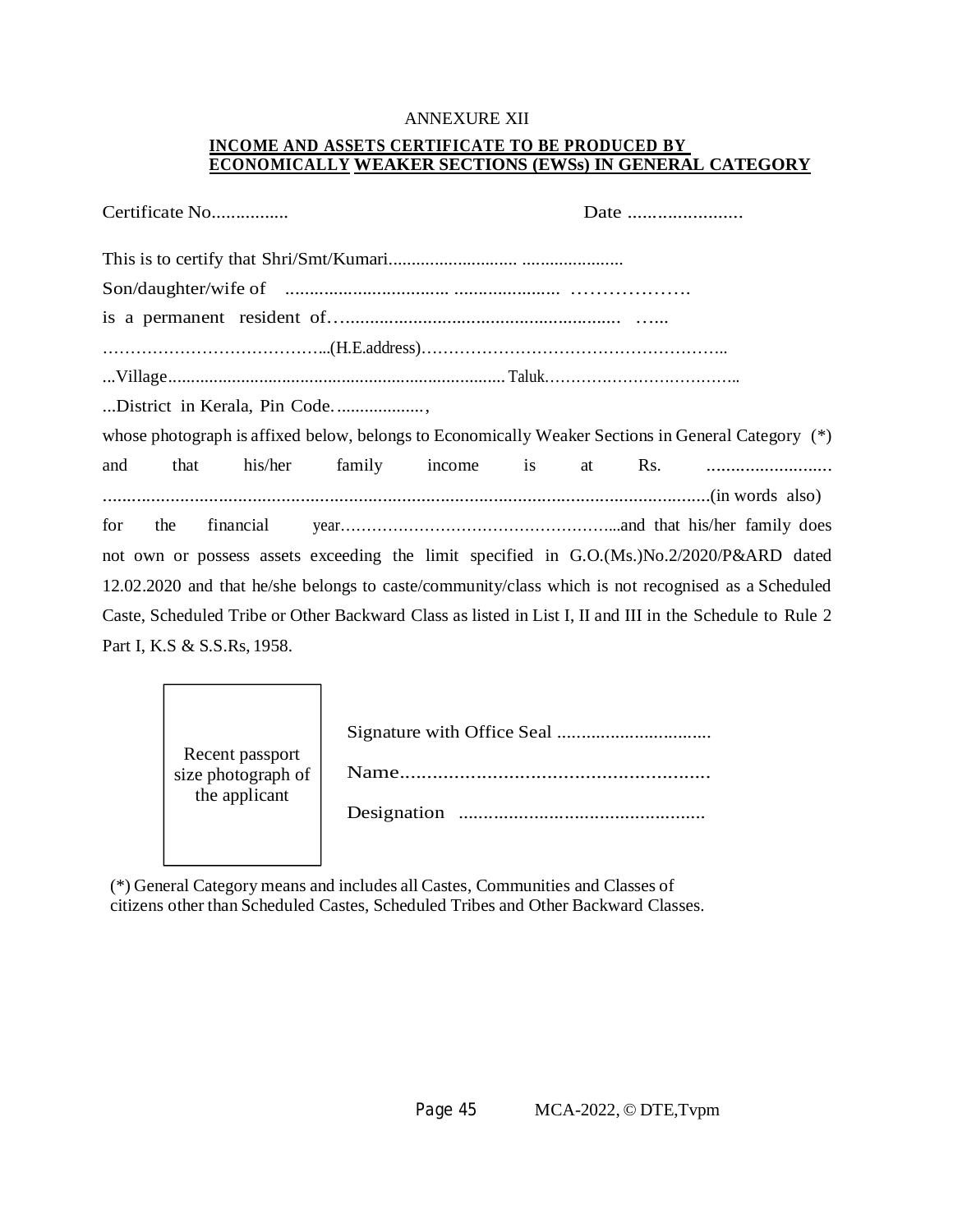#### ANNEXURE XII

# **INCOME AND ASSETS CERTIFICATE TO BE PRODUCED BY ECONOMICALLY WEAKER SECTIONS (EWSs) IN GENERAL CATEGORY**

| Certificate No                                                                                           |         |                     |  | Date |  |
|----------------------------------------------------------------------------------------------------------|---------|---------------------|--|------|--|
|                                                                                                          |         |                     |  |      |  |
|                                                                                                          |         |                     |  |      |  |
|                                                                                                          |         |                     |  |      |  |
|                                                                                                          |         |                     |  |      |  |
|                                                                                                          |         |                     |  |      |  |
| District in Kerala, Pin Code                                                                             |         |                     |  |      |  |
| whose photograph is affixed below, belongs to Economically Weaker Sections in General Category (*)       |         |                     |  |      |  |
| and<br>that                                                                                              | his/her | family income is at |  |      |  |
|                                                                                                          |         |                     |  |      |  |
| for<br>the                                                                                               |         |                     |  |      |  |
| not own or possess assets exceeding the limit specified in G.O.(Ms.)No.2/2020/P&ARD dated                |         |                     |  |      |  |
| 12.02.2020 and that he/she belongs to caste/community/class which is not recognised as a Scheduled       |         |                     |  |      |  |
| Caste, Scheduled Tribe or Other Backward Class as listed in List I, II and III in the Schedule to Rule 2 |         |                     |  |      |  |
| Part I, K.S & S.S.Rs, 1958.                                                                              |         |                     |  |      |  |

| Recent passport    |             |
|--------------------|-------------|
| size photograph of | <b>Name</b> |
| the applicant      | Designation |
|                    |             |

(\*) General Category means and includes all Castes, Communities and Classes of citizens other than Scheduled Castes, Scheduled Tribes and Other Backward Classes.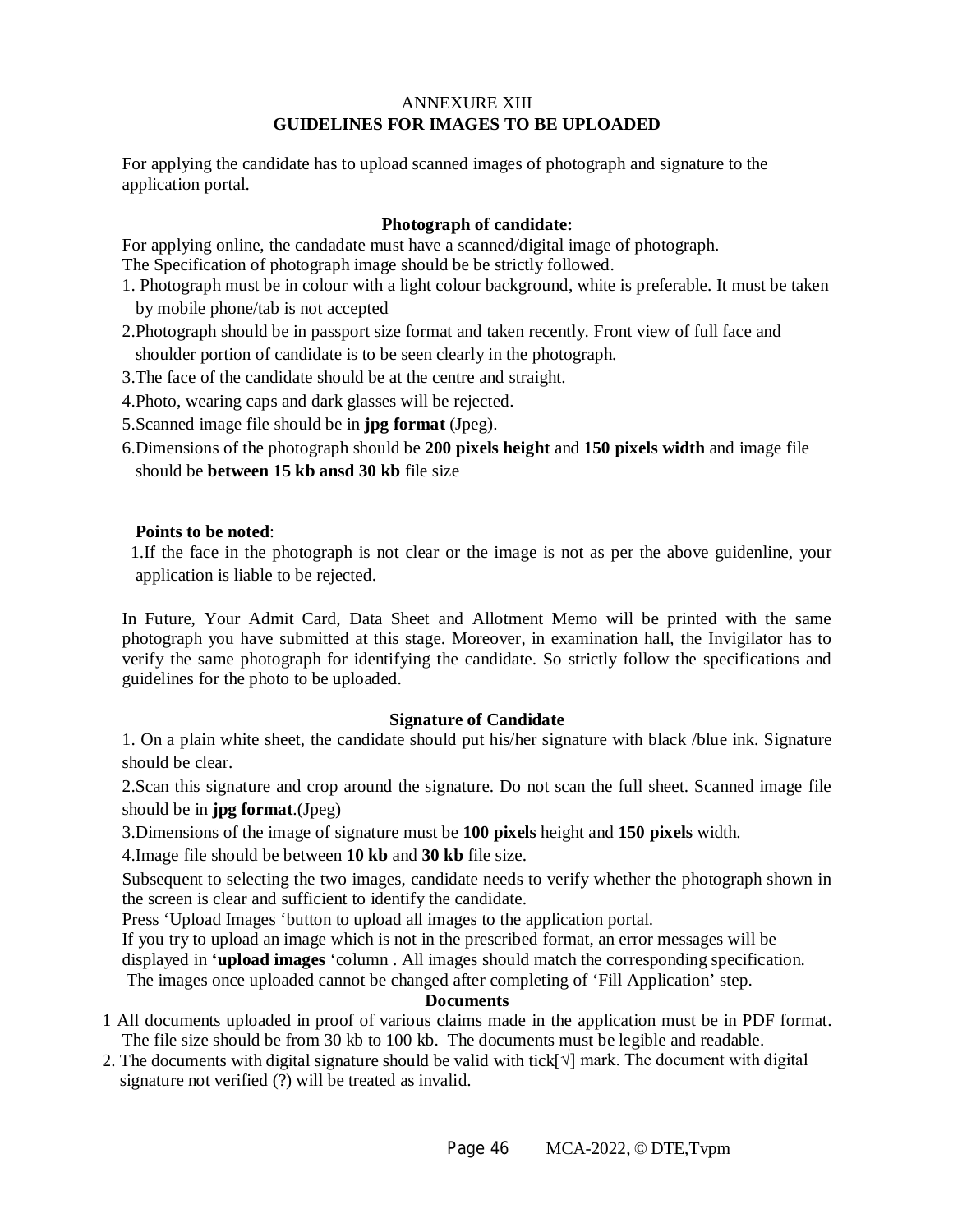# ANNEXURE XIII **GUIDELINES FOR IMAGES TO BE UPLOADED**

For applying the candidate has to upload scanned images of photograph and signature to the application portal.

# **Photograph of candidate:**

For applying online, the candadate must have a scanned/digital image of photograph.

The Specification of photograph image should be be strictly followed.

- 1. Photograph must be in colour with a light colour background, white is preferable. It must be taken by mobile phone/tab is not accepted
- 2.Photograph should be in passport size format and taken recently. Front view of full face and shoulder portion of candidate is to be seen clearly in the photograph.
- 3.The face of the candidate should be at the centre and straight.
- 4.Photo, wearing caps and dark glasses will be rejected.
- 5.Scanned image file should be in **jpg format** (Jpeg).
- 6.Dimensions of the photograph should be **200 pixels height** and **150 pixels width** and image file should be **between 15 kb ansd 30 kb** file size

# **Points to be noted**:

 1.If the face in the photograph is not clear or the image is not as per the above guidenline, your application is liable to be rejected.

In Future, Your Admit Card, Data Sheet and Allotment Memo will be printed with the same photograph you have submitted at this stage. Moreover, in examination hall, the Invigilator has to verify the same photograph for identifying the candidate. So strictly follow the specifications and guidelines for the photo to be uploaded.

# **Signature of Candidate**

1. On a plain white sheet, the candidate should put his/her signature with black /blue ink. Signature should be clear.

2.Scan this signature and crop around the signature. Do not scan the full sheet. Scanned image file should be in **jpg format**.(Jpeg)

3.Dimensions of the image of signature must be **100 pixels** height and **150 pixels** width.

4.Image file should be between **10 kb** and **30 kb** file size.

Subsequent to selecting the two images, candidate needs to verify whether the photograph shown in the screen is clear and sufficient to identify the candidate.

Press 'Upload Images 'button to upload all images to the application portal.

If you try to upload an image which is not in the prescribed format, an error messages will be displayed in **'upload images** 'column . All images should match the corresponding specification. The images once uploaded cannot be changed after completing of 'Fill Application' step.

#### **Documents**

- 1 All documents uploaded in proof of various claims made in the application must be in PDF format. The file size should be from 30 kb to 100 kb. The documents must be legible and readable.
- 2. The documents with digital signature should be valid with tick[√] mark. The document with digital signature not verified (?) will be treated as invalid.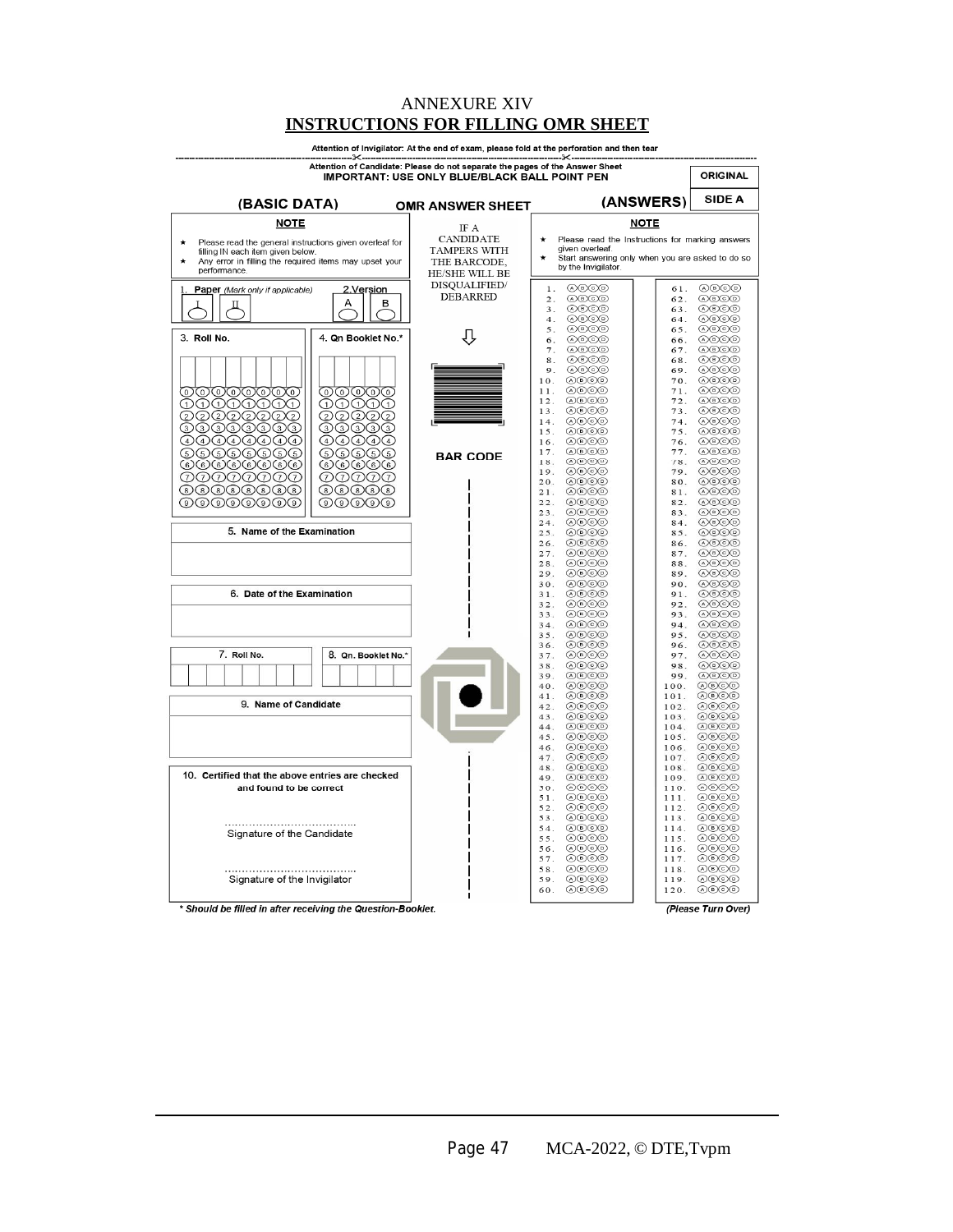#### ANNEXURE XIV **INSTRUCTIONS FOR FILLING OMR SHEET**

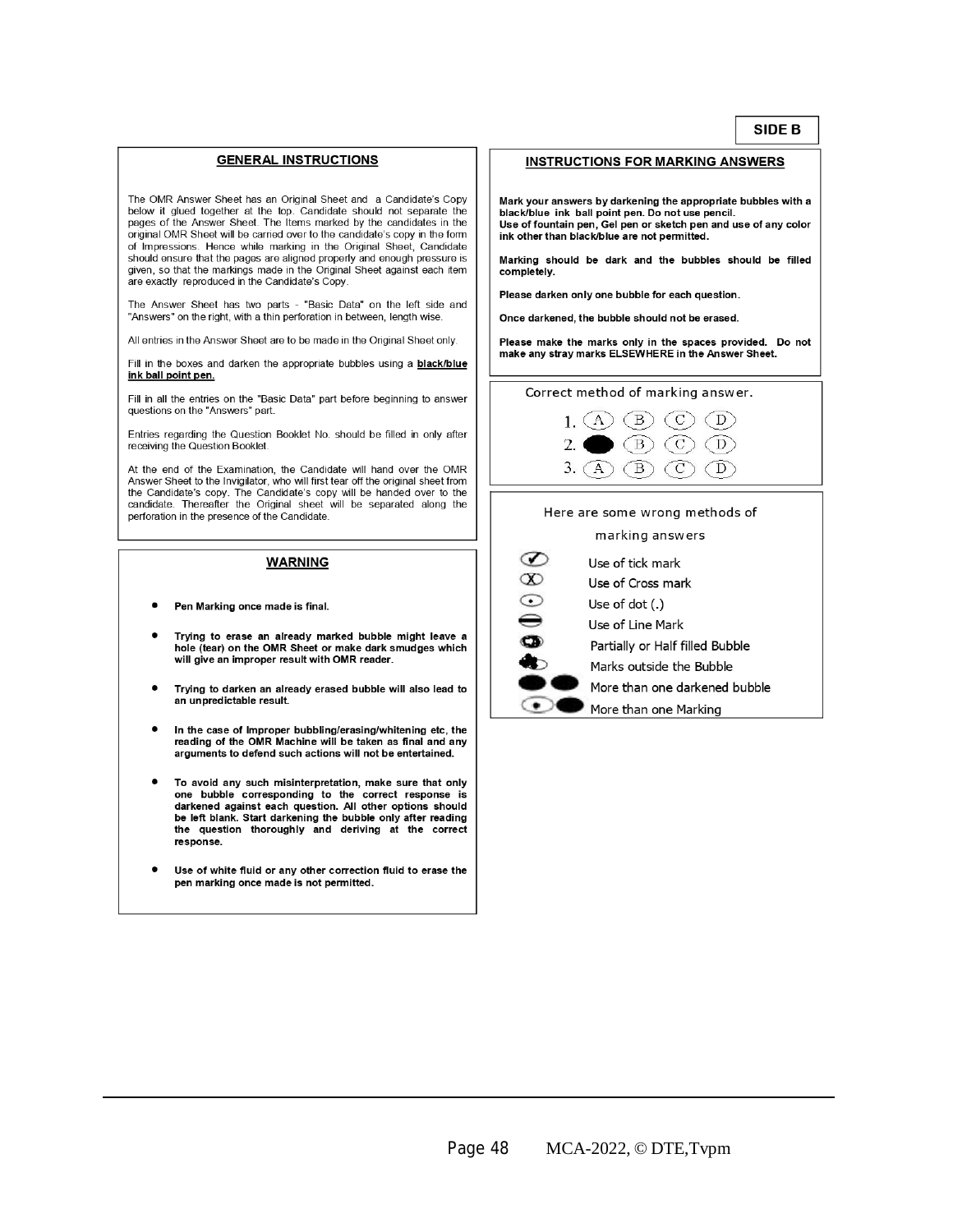#### **GENERAL INSTRUCTIONS**

The OMR Answer Sheet has an Original Sheet and a Candidate's Copy below it glued together at the top. Candidate should not separate the pages of the Answer Sheet. The Items marked by the candidates in the original OMR Sheet will be carried over to the candidate's copy in the form of Impressions. Hence while marking in the Original Sheet, Candidate should ensure that the pages are aligned properly and enough pressure is given, so that the markings made in the Original Sheet against each item are exactly reproduced in the Candidate's Copy.

The Answer Sheet has two parts - "Basic Data" on the left side and "Answers" on the right, with a thin perforation in between, length wise.

All entries in the Answer Sheet are to be made in the Original Sheet only.

Fill in the boxes and darken the appropriate bubbles using a black/blue ink ball point pen.

Fill in all the entries on the "Basic Data" part before beginning to answer questions on the "Answers" part.

Entries regarding the Question Booklet No. should be filled in only after receiving the Question Booklet.

At the end of the Examination, the Candidate will hand over the OMR Answer Sheet to the Invigilator, who will first tear off the original sheet from the Candidate's copy. The Candidate's copy will be handed over to the candidate. Thereafter the Original sheet will be separated along the perforation in the presence of the Candidate.

#### **WARNING**

- Pen Marking once made is final.
- Trying to erase an already marked bubble might leave a hole (tear) on the OMR Sheet or make dark smudges which will give an improper result with OMR reader.
- Trying to darken an already erased bubble will also lead to an unpredictable result.
- In the case of Improper bubbling/erasing/whitening etc, the reading of the OMR Machine will be taken as final and any<br>arguments to defend such actions will not be entertained.
- To avoid any such misinterpretation, make sure that only one bubble corresponding to the correct response is darkened against each question. All other options should be left blank. Start darkening the bubble only after reading the question thoroughly and deriving at the correct response.
- Use of white fluid or any other correction fluid to erase the pen marking once made is not permitted.

#### **INSTRUCTIONS FOR MARKING ANSWERS**

Mark your answers by darkening the appropriate bubbles with a black/blue ink ball point pen. Do not use pencil. Use of fountain pen, Gel pen or sketch pen and use of any color ink other than black/blue are not permitted.

Marking should be dark and the bubbles should be filled completely.

Please darken only one bubble for each question.

Once darkened, the bubble should not be erased.

Please make the marks only in the spaces provided. Do not make any stray marks ELSEWHERE in the Answer Sheet.

#### Correct method of marking answer.